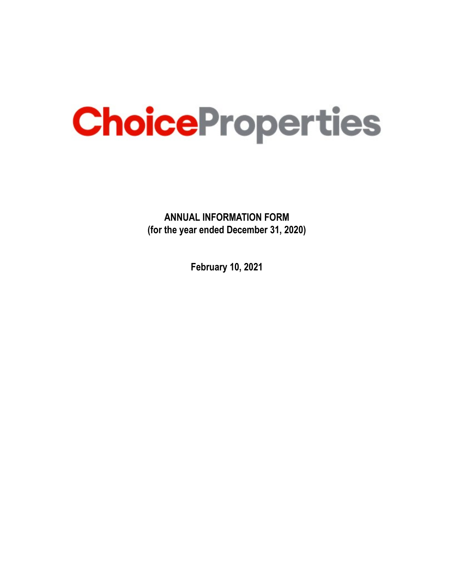# ChoiceProperties

**ANNUAL INFORMATION FORM (for the year ended December 31, 2020)**

**February 10, 2021**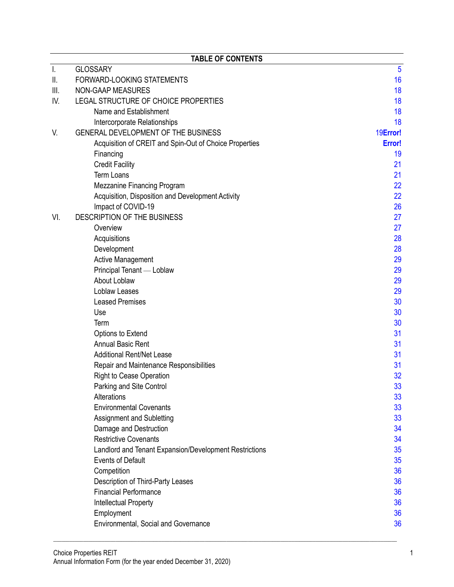|     | <b>TABLE OF CONTENTS</b>                               |          |
|-----|--------------------------------------------------------|----------|
| Ι.  | <b>GLOSSARY</b>                                        | 5        |
| ΙΙ. | FORWARD-LOOKING STATEMENTS                             | 16       |
| Ⅲ.  | <b>NON-GAAP MEASURES</b>                               | 18       |
| IV. | LEGAL STRUCTURE OF CHOICE PROPERTIES                   | 18       |
|     | Name and Establishment                                 | 18       |
|     | Intercorporate Relationships                           | 18       |
| V.  | GENERAL DEVELOPMENT OF THE BUSINESS                    | 19       |
|     | Acquisition of CREIT and Spin-Out of Choice Properties | 19       |
|     | Financing                                              | 19       |
|     | <b>Credit Facility</b>                                 | 21       |
|     | <b>Term Loans</b>                                      | 21       |
|     | <b>Mezzanine Financing Program</b>                     | 22       |
|     | Acquisition, Disposition and Development Activity      | 22       |
|     | Impact of COVID-19                                     | 26       |
| VI. | DESCRIPTION OF THE BUSINESS                            | 27       |
|     | Overview                                               | 27       |
|     | Acquisitions                                           | 28       |
|     | Development                                            | 28       |
|     | <b>Active Management</b>                               | 29       |
|     | Principal Tenant - Loblaw                              | 29       |
|     | About Loblaw                                           | 29       |
|     | Loblaw Leases                                          | 29       |
|     | <b>Leased Premises</b>                                 | 30       |
|     | Use                                                    | 30       |
|     | Term                                                   | 30       |
|     | Options to Extend                                      | 31       |
|     | <b>Annual Basic Rent</b>                               | 31<br>31 |
|     | <b>Additional Rent/Net Lease</b>                       | 31       |
|     | Repair and Maintenance Responsibilities                | 32       |
|     | <b>Right to Cease Operation</b>                        | 33       |
|     | Parking and Site Control<br>Alterations                | 33       |
|     | <b>Environmental Covenants</b>                         | 33       |
|     | Assignment and Subletting                              | 33       |
|     | Damage and Destruction                                 | 34       |
|     | <b>Restrictive Covenants</b>                           | 34       |
|     | Landlord and Tenant Expansion/Development Restrictions | 35       |
|     | <b>Events of Default</b>                               | 35       |
|     | Competition                                            | 36       |
|     | Description of Third-Party Leases                      | 36       |
|     | <b>Financial Performance</b>                           | 36       |
|     | Intellectual Property                                  | 36       |
|     | Employment                                             | 36       |
|     | Environmental, Social and Governance                   | 36       |
|     |                                                        |          |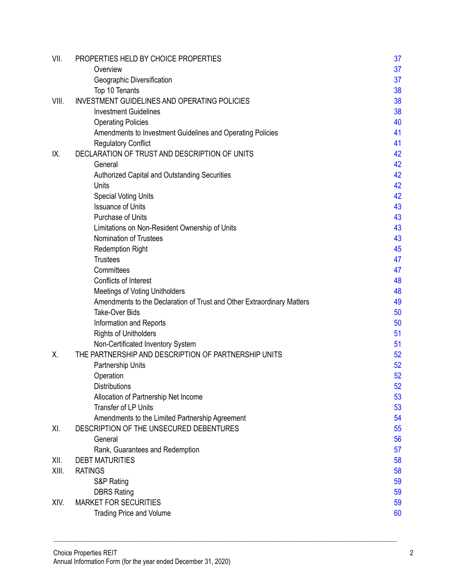| VII.  | PROPERTIES HELD BY CHOICE PROPERTIES                                   | 37         |
|-------|------------------------------------------------------------------------|------------|
|       | Overview                                                               | 37         |
|       | Geographic Diversification                                             | 38         |
|       | Top 10 Tenants                                                         | 38         |
| VIII. | <b>INVESTMENT GUIDELINES AND OPERATING POLICIES</b>                    | 38         |
|       | <b>Investment Guidelines</b>                                           | 38         |
|       | <b>Operating Policies</b>                                              | 40         |
|       | Amendments to Investment Guidelines and Operating Policies             | 41         |
|       | <b>Regulatory Conflict</b>                                             | 41         |
| IX.   | DECLARATION OF TRUST AND DESCRIPTION OF UNITS                          | 42         |
|       | General                                                                | 42         |
|       | Authorized Capital and Outstanding Securities                          | 42         |
|       | Units                                                                  | 42         |
|       | <b>Special Voting Units</b>                                            | 42         |
|       | <b>Issuance of Units</b>                                               | 43         |
|       | Purchase of Units                                                      | 43         |
|       | Limitations on Non-Resident Ownership of Units                         | 43         |
|       | Nomination of Trustees                                                 | 43         |
|       | <b>Redemption Right</b>                                                | 45         |
|       | <b>Trustees</b>                                                        | 47         |
|       | Committees                                                             | 47         |
|       | Conflicts of Interest                                                  | 48         |
|       | <b>Meetings of Voting Unitholders</b>                                  | 48         |
|       | Amendments to the Declaration of Trust and Other Extraordinary Matters | 49         |
|       | <b>Take-Over Bids</b>                                                  | 50         |
|       | Information and Reports                                                | 50         |
|       | <b>Rights of Unitholders</b>                                           | 51         |
|       | Non-Certificated Inventory System                                      | 51         |
| Х.    | THE PARTNERSHIP AND DESCRIPTION OF PARTNERSHIP UNITS                   | 52         |
|       | Partnership Units                                                      | 52         |
|       | Operation                                                              | 52         |
|       | Distributions                                                          | 52         |
|       | Allocation of Partnership Net Income                                   | 53         |
|       | <b>Transfer of LP Units</b>                                            | 53         |
|       | Amendments to the Limited Partnership Agreement                        | 54         |
| XI.   | DESCRIPTION OF THE UNSECURED DEBENTURES                                | 55         |
|       | General                                                                | 56         |
| XII.  | Rank, Guarantees and Redemption<br><b>DEBT MATURITIES</b>              | 57<br>58   |
| XIII. | <b>RATINGS</b>                                                         |            |
|       | S&P Rating                                                             | 58<br>59   |
|       | <b>DBRS Rating</b>                                                     | 59         |
| XIV.  | <b>MARKET FOR SECURITIES</b>                                           | $\epsilon$ |
|       |                                                                        | 60         |
|       | <b>Trading Price and Volume</b>                                        |            |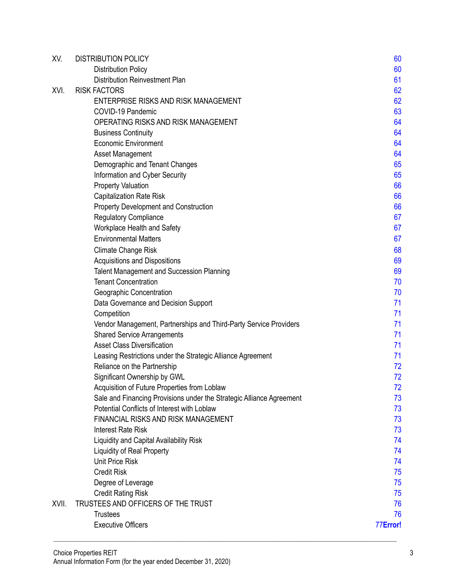| XV.   | <b>DISTRIBUTION POLICY</b>                                           | 60       |
|-------|----------------------------------------------------------------------|----------|
|       | <b>Distribution Policy</b>                                           | 60       |
|       | Distribution Reinvestment Plan                                       | 61       |
| XVI.  | <b>RISK FACTORS</b>                                                  | 62       |
|       | ENTERPRISE RISKS AND RISK MANAGEMENT                                 | 62       |
|       | COVID-19 Pandemic                                                    | 63       |
|       | OPERATING RISKS AND RISK MANAGEMENT                                  | 64       |
|       | <b>Business Continuity</b>                                           | 64       |
|       | <b>Economic Environment</b>                                          | 64       |
|       | Asset Management                                                     | 64       |
|       | Demographic and Tenant Changes                                       | 65       |
|       | Information and Cyber Security                                       | 65       |
|       | <b>Property Valuation</b>                                            | 66       |
|       | <b>Capitalization Rate Risk</b>                                      | 66       |
|       | Property Development and Construction                                | 66       |
|       | <b>Regulatory Compliance</b>                                         | 67       |
|       | Workplace Health and Safety                                          | 67       |
|       | <b>Environmental Matters</b>                                         | 67       |
|       | <b>Climate Change Risk</b>                                           | 68       |
|       | Acquisitions and Dispositions                                        | 69       |
|       | <b>Talent Management and Succession Planning</b>                     | 69       |
|       | <b>Tenant Concentration</b>                                          | 70       |
|       | Geographic Concentration                                             | 70       |
|       | Data Governance and Decision Support                                 | 71       |
|       | Competition                                                          | 71       |
|       | Vendor Management, Partnerships and Third-Party Service Providers    | 71       |
|       | <b>Shared Service Arrangements</b>                                   | 71       |
|       | <b>Asset Class Diversification</b>                                   | 71       |
|       | Leasing Restrictions under the Strategic Alliance Agreement          | 71       |
|       | Reliance on the Partnership                                          | 72       |
|       | Significant Ownership by GWL                                         | 72       |
|       | Acquisition of Future Properties from Loblaw                         | 72       |
|       | Sale and Financing Provisions under the Strategic Alliance Agreement | 73       |
|       | Potential Conflicts of Interest with Loblaw                          | 73       |
|       | FINANCIAL RISKS AND RISK MANAGEMENT<br><b>Interest Rate Risk</b>     | 73       |
|       |                                                                      | 73<br>74 |
|       | Liquidity and Capital Availability Risk                              | 74       |
|       | <b>Liquidity of Real Property</b><br><b>Unit Price Risk</b>          | 74       |
|       | <b>Credit Risk</b>                                                   | 75       |
|       | Degree of Leverage                                                   | 75       |
|       | <b>Credit Rating Risk</b>                                            | 75       |
| XVII. | TRUSTEES AND OFFICERS OF THE TRUST                                   | 76       |
|       | <b>Trustees</b>                                                      | 76       |
|       | <b>Executive Officers</b>                                            |          |
|       |                                                                      | 77       |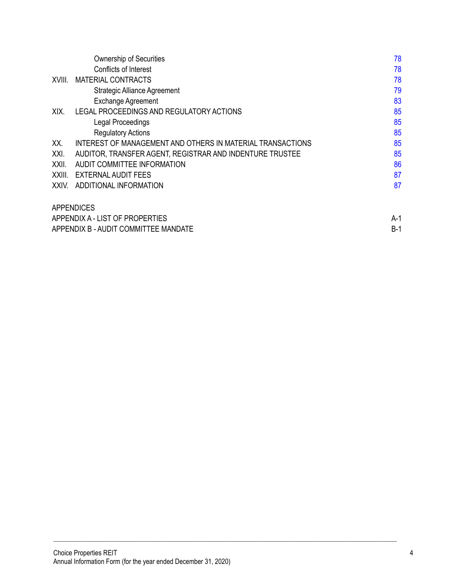|        | <b>Ownership of Securities</b>                             | 78    |
|--------|------------------------------------------------------------|-------|
|        | Conflicts of Interest                                      | 78    |
| XVIII. | <b>MATERIAL CONTRACTS</b>                                  | 78    |
|        | <b>Strategic Alliance Agreement</b>                        | 79    |
|        | <b>Exchange Agreement</b>                                  | 83    |
| XIX.   | LEGAL PROCEEDINGS AND REGULATORY ACTIONS                   | 85    |
|        | Legal Proceedings                                          | 85    |
|        | <b>Regulatory Actions</b>                                  | 85    |
| XX.    | INTEREST OF MANAGEMENT AND OTHERS IN MATERIAL TRANSACTIONS | 85    |
| XXI.   | AUDITOR, TRANSFER AGENT, REGISTRAR AND INDENTURE TRUSTEE   | 85    |
| XXII.  | <b>AUDIT COMMITTEE INFORMATION</b>                         | 86    |
| XXIII. | EXTERNAL AUDIT FEES                                        | 87    |
| XXIV.  | ADDITIONAL INFORMATION                                     | 87    |
|        | <b>APPENDICES</b>                                          |       |
|        | APPENDIX A - LIST OF PROPERTIES                            | A-1   |
|        | APPENDIX B - AUDIT COMMITTEE MANDATE                       | $B-1$ |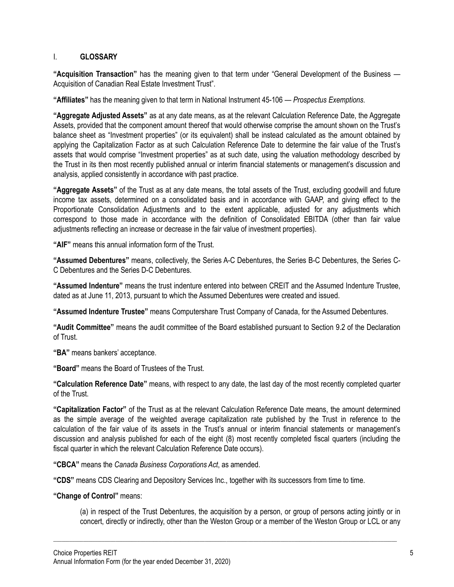# <span id="page-5-0"></span>I. **GLOSSARY**

**"Acquisition Transaction"** has the meaning given to that term under "General Development of the Business — Acquisition of Canadian Real Estate Investment Trust".

**"Affiliates"** has the meaning given to that term in National Instrument 45-106 — *Prospectus Exemptions.* 

**"Aggregate Adjusted Assets"** as at any date means, as at the relevant Calculation Reference Date, the Aggregate Assets, provided that the component amount thereof that would otherwise comprise the amount shown on the Trust's balance sheet as "Investment properties" (or its equivalent) shall be instead calculated as the amount obtained by applying the Capitalization Factor as at such Calculation Reference Date to determine the fair value of the Trust's assets that would comprise "Investment properties" as at such date, using the valuation methodology described by the Trust in its then most recently published annual or interim financial statements or management's discussion and analysis, applied consistently in accordance with past practice.

**"Aggregate Assets"** of the Trust as at any date means, the total assets of the Trust, excluding goodwill and future income tax assets, determined on a consolidated basis and in accordance with GAAP, and giving effect to the Proportionate Consolidation Adjustments and to the extent applicable, adjusted for any adjustments which correspond to those made in accordance with the definition of Consolidated EBITDA (other than fair value adjustments reflecting an increase or decrease in the fair value of investment properties).

**"AIF"** means this annual information form of the Trust.

**"Assumed Debentures"** means, collectively, the Series A-C Debentures, the Series B-C Debentures, the Series C-C Debentures and the Series D-C Debentures.

**"Assumed Indenture"** means the trust indenture entered into between CREIT and the Assumed Indenture Trustee, dated as at June 11, 2013, pursuant to which the Assumed Debentures were created and issued.

**"Assumed Indenture Trustee"** means Computershare Trust Company of Canada, for the Assumed Debentures.

**"Audit Committee"** means the audit committee of the Board established pursuant to Section 9.2 of the Declaration of Trust.

**"BA"** means bankers' acceptance.

**"Board"** means the Board of Trustees of the Trust.

**"Calculation Reference Date"** means, with respect to any date, the last day of the most recently completed quarter of the Trust.

**"Capitalization Factor"** of the Trust as at the relevant Calculation Reference Date means, the amount determined as the simple average of the weighted average capitalization rate published by the Trust in reference to the calculation of the fair value of its assets in the Trust's annual or interim financial statements or management's discussion and analysis published for each of the eight (8) most recently completed fiscal quarters (including the fiscal quarter in which the relevant Calculation Reference Date occurs).

**"CBCA"** means the *Canada Business Corporations Act*, as amended.

**"CDS"** means CDS Clearing and Depository Services Inc., together with its successors from time to time.

# **"Change of Control"** means:

(a) in respect of the Trust Debentures, the acquisition by a person, or group of persons acting jointly or in concert, directly or indirectly, other than the Weston Group or a member of the Weston Group or LCL or any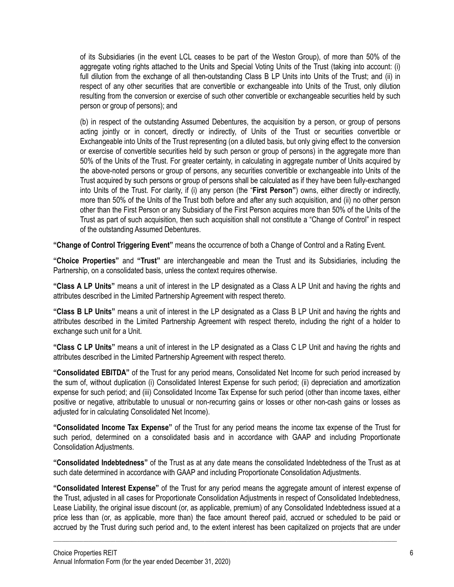of its Subsidiaries (in the event LCL ceases to be part of the Weston Group), of more than 50% of the aggregate voting rights attached to the Units and Special Voting Units of the Trust (taking into account: (i) full dilution from the exchange of all then-outstanding Class B LP Units into Units of the Trust; and (ii) in respect of any other securities that are convertible or exchangeable into Units of the Trust, only dilution resulting from the conversion or exercise of such other convertible or exchangeable securities held by such person or group of persons); and

(b) in respect of the outstanding Assumed Debentures, the acquisition by a person, or group of persons acting jointly or in concert, directly or indirectly, of Units of the Trust or securities convertible or Exchangeable into Units of the Trust representing (on a diluted basis, but only giving effect to the conversion or exercise of convertible securities held by such person or group of persons) in the aggregate more than 50% of the Units of the Trust. For greater certainty, in calculating in aggregate number of Units acquired by the above-noted persons or group of persons, any securities convertible or exchangeable into Units of the Trust acquired by such persons or group of persons shall be calculated as if they have been fully-exchanged into Units of the Trust. For clarity, if (i) any person (the "**First Person"**) owns, either directly or indirectly, more than 50% of the Units of the Trust both before and after any such acquisition, and (ii) no other person other than the First Person or any Subsidiary of the First Person acquires more than 50% of the Units of the Trust as part of such acquisition, then such acquisition shall not constitute a "Change of Control" in respect of the outstanding Assumed Debentures.

**"Change of Control Triggering Event"** means the occurrence of both a Change of Control and a Rating Event.

**"Choice Properties"** and **"Trust"** are interchangeable and mean the Trust and its Subsidiaries, including the Partnership, on a consolidated basis, unless the context requires otherwise.

**"Class A LP Units"** means a unit of interest in the LP designated as a Class A LP Unit and having the rights and attributes described in the Limited Partnership Agreement with respect thereto.

**"Class B LP Units"** means a unit of interest in the LP designated as a Class B LP Unit and having the rights and attributes described in the Limited Partnership Agreement with respect thereto, including the right of a holder to exchange such unit for a Unit.

**"Class C LP Units"** means a unit of interest in the LP designated as a Class C LP Unit and having the rights and attributes described in the Limited Partnership Agreement with respect thereto.

**"Consolidated EBITDA"** of the Trust for any period means, Consolidated Net Income for such period increased by the sum of, without duplication (i) Consolidated Interest Expense for such period; (ii) depreciation and amortization expense for such period; and (iii) Consolidated Income Tax Expense for such period (other than income taxes, either positive or negative, attributable to unusual or non-recurring gains or losses or other non-cash gains or losses as adjusted for in calculating Consolidated Net Income).

**"Consolidated Income Tax Expense"** of the Trust for any period means the income tax expense of the Trust for such period, determined on a consolidated basis and in accordance with GAAP and including Proportionate Consolidation Adjustments.

**"Consolidated Indebtedness"** of the Trust as at any date means the consolidated Indebtedness of the Trust as at such date determined in accordance with GAAP and including Proportionate Consolidation Adjustments.

**"Consolidated Interest Expense"** of the Trust for any period means the aggregate amount of interest expense of the Trust, adjusted in all cases for Proportionate Consolidation Adjustments in respect of Consolidated Indebtedness, Lease Liability, the original issue discount (or, as applicable, premium) of any Consolidated Indebtedness issued at a price less than (or, as applicable, more than) the face amount thereof paid, accrued or scheduled to be paid or accrued by the Trust during such period and, to the extent interest has been capitalized on projects that are under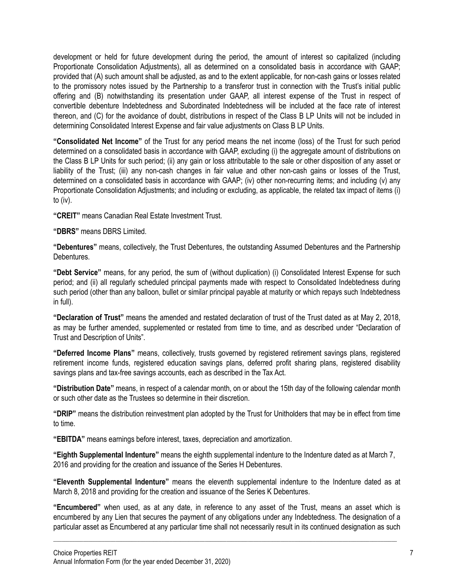development or held for future development during the period, the amount of interest so capitalized (including Proportionate Consolidation Adjustments), all as determined on a consolidated basis in accordance with GAAP; provided that (A) such amount shall be adjusted, as and to the extent applicable, for non-cash gains or losses related to the promissory notes issued by the Partnership to a transferor trust in connection with the Trust's initial public offering and (B) notwithstanding its presentation under GAAP, all interest expense of the Trust in respect of convertible debenture Indebtedness and Subordinated Indebtedness will be included at the face rate of interest thereon, and (C) for the avoidance of doubt, distributions in respect of the Class B LP Units will not be included in determining Consolidated Interest Expense and fair value adjustments on Class B LP Units.

**"Consolidated Net Income"** of the Trust for any period means the net income (loss) of the Trust for such period determined on a consolidated basis in accordance with GAAP, excluding (i) the aggregate amount of distributions on the Class B LP Units for such period; (ii) any gain or loss attributable to the sale or other disposition of any asset or liability of the Trust; (iii) any non-cash changes in fair value and other non-cash gains or losses of the Trust, determined on a consolidated basis in accordance with GAAP; (iv) other non-recurring items; and including (v) any Proportionate Consolidation Adjustments; and including or excluding, as applicable, the related tax impact of items (i) to (iv).

**"CREIT"** means Canadian Real Estate Investment Trust.

**"DBRS"** means DBRS Limited.

**"Debentures"** means, collectively, the Trust Debentures, the outstanding Assumed Debentures and the Partnership Debentures.

**"Debt Service"** means, for any period, the sum of (without duplication) (i) Consolidated Interest Expense for such period; and (ii) all regularly scheduled principal payments made with respect to Consolidated Indebtedness during such period (other than any balloon, bullet or similar principal payable at maturity or which repays such Indebtedness in full).

**"Declaration of Trust"** means the amended and restated declaration of trust of the Trust dated as at May 2, 2018, as may be further amended, supplemented or restated from time to time, and as described under "Declaration of Trust and Description of Units".

**"Deferred Income Plans"** means, collectively, trusts governed by registered retirement savings plans, registered retirement income funds, registered education savings plans, deferred profit sharing plans, registered disability savings plans and tax-free savings accounts, each as described in the Tax Act.

**"Distribution Date"** means, in respect of a calendar month, on or about the 15th day of the following calendar month or such other date as the Trustees so determine in their discretion.

**"DRIP"** means the distribution reinvestment plan adopted by the Trust for Unitholders that may be in effect from time to time.

**"EBITDA"** means earnings before interest, taxes, depreciation and amortization.

**"Eighth Supplemental Indenture"** means the eighth supplemental indenture to the Indenture dated as at March 7, 2016 and providing for the creation and issuance of the Series H Debentures.

**"Eleventh Supplemental Indenture"** means the eleventh supplemental indenture to the Indenture dated as at March 8, 2018 and providing for the creation and issuance of the Series K Debentures.

**"Encumbered"** when used, as at any date, in reference to any asset of the Trust, means an asset which is encumbered by any Lien that secures the payment of any obligations under any Indebtedness. The designation of a particular asset as Encumbered at any particular time shall not necessarily result in its continued designation as such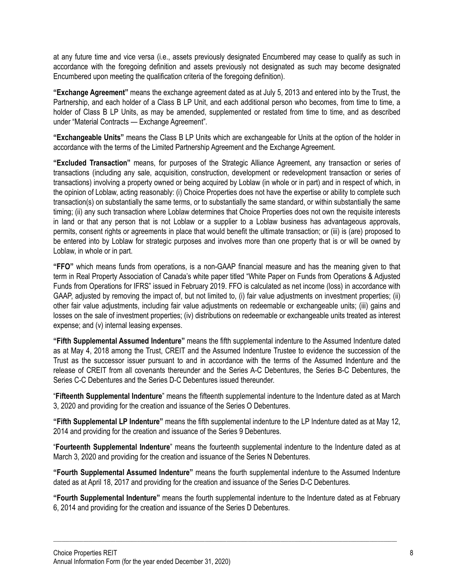at any future time and vice versa (i.e., assets previously designated Encumbered may cease to qualify as such in accordance with the foregoing definition and assets previously not designated as such may become designated Encumbered upon meeting the qualification criteria of the foregoing definition).

**"Exchange Agreement"** means the exchange agreement dated as at July 5, 2013 and entered into by the Trust, the Partnership, and each holder of a Class B LP Unit, and each additional person who becomes, from time to time, a holder of Class B LP Units, as may be amended, supplemented or restated from time to time, and as described under "Material Contracts — Exchange Agreement".

**"Exchangeable Units"** means the Class B LP Units which are exchangeable for Units at the option of the holder in accordance with the terms of the Limited Partnership Agreement and the Exchange Agreement.

**"Excluded Transaction"** means, for purposes of the Strategic Alliance Agreement, any transaction or series of transactions (including any sale, acquisition, construction, development or redevelopment transaction or series of transactions) involving a property owned or being acquired by Loblaw (in whole or in part) and in respect of which, in the opinion of Loblaw, acting reasonably: (i) Choice Properties does not have the expertise or ability to complete such transaction(s) on substantially the same terms, or to substantially the same standard, or within substantially the same timing; (ii) any such transaction where Loblaw determines that Choice Properties does not own the requisite interests in land or that any person that is not Loblaw or a supplier to a Loblaw business has advantageous approvals, permits, consent rights or agreements in place that would benefit the ultimate transaction; or (iii) is (are) proposed to be entered into by Loblaw for strategic purposes and involves more than one property that is or will be owned by Loblaw, in whole or in part.

**"FFO"** which means funds from operations, is a non-GAAP financial measure and has the meaning given to that term in Real Property Association of Canada's white paper titled "White Paper on Funds from Operations & Adjusted Funds from Operations for IFRS" issued in February 2019. FFO is calculated as net income (loss) in accordance with GAAP, adjusted by removing the impact of, but not limited to, (i) fair value adjustments on investment properties; (ii) other fair value adjustments, including fair value adjustments on redeemable or exchangeable units; (iii) gains and losses on the sale of investment properties; (iv) distributions on redeemable or exchangeable units treated as interest expense; and (v) internal leasing expenses.

**"Fifth Supplemental Assumed Indenture"** means the fifth supplemental indenture to the Assumed Indenture dated as at May 4, 2018 among the Trust, CREIT and the Assumed Indenture Trustee to evidence the succession of the Trust as the successor issuer pursuant to and in accordance with the terms of the Assumed Indenture and the release of CREIT from all covenants thereunder and the Series A-C Debentures, the Series B-C Debentures, the Series C-C Debentures and the Series D-C Debentures issued thereunder.

"**Fifteenth Supplemental Indenture**" means the fifteenth supplemental indenture to the Indenture dated as at March 3, 2020 and providing for the creation and issuance of the Series O Debentures.

**"Fifth Supplemental LP Indenture"** means the fifth supplemental indenture to the LP Indenture dated as at May 12, 2014 and providing for the creation and issuance of the Series 9 Debentures.

"**Fourteenth Supplemental Indenture**" means the fourteenth supplemental indenture to the Indenture dated as at March 3, 2020 and providing for the creation and issuance of the Series N Debentures.

**"Fourth Supplemental Assumed Indenture"** means the fourth supplemental indenture to the Assumed Indenture dated as at April 18, 2017 and providing for the creation and issuance of the Series D-C Debentures.

**"Fourth Supplemental Indenture"** means the fourth supplemental indenture to the Indenture dated as at February 6, 2014 and providing for the creation and issuance of the Series D Debentures.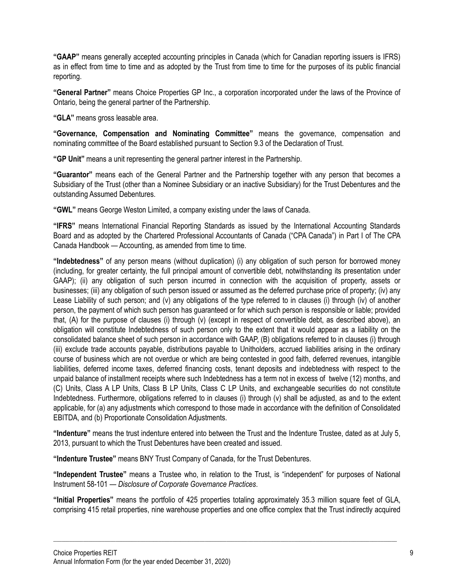**"GAAP"** means generally accepted accounting principles in Canada (which for Canadian reporting issuers is IFRS) as in effect from time to time and as adopted by the Trust from time to time for the purposes of its public financial reporting.

**"General Partner"** means Choice Properties GP Inc., a corporation incorporated under the laws of the Province of Ontario, being the general partner of the Partnership.

**"GLA"** means gross leasable area.

**"Governance, Compensation and Nominating Committee"** means the governance, compensation and nominating committee of the Board established pursuant to Section 9.3 of the Declaration of Trust.

**"GP Unit"** means a unit representing the general partner interest in the Partnership.

**"Guarantor"** means each of the General Partner and the Partnership together with any person that becomes a Subsidiary of the Trust (other than a Nominee Subsidiary or an inactive Subsidiary) for the Trust Debentures and the outstanding Assumed Debentures.

**"GWL"** means George Weston Limited, a company existing under the laws of Canada.

**"IFRS"** means International Financial Reporting Standards as issued by the International Accounting Standards Board and as adopted by the Chartered Professional Accountants of Canada ("CPA Canada") in Part I of The CPA Canada Handbook — Accounting, as amended from time to time.

**"Indebtedness"** of any person means (without duplication) (i) any obligation of such person for borrowed money (including, for greater certainty, the full principal amount of convertible debt, notwithstanding its presentation under GAAP); (ii) any obligation of such person incurred in connection with the acquisition of property, assets or businesses; (iii) any obligation of such person issued or assumed as the deferred purchase price of property; (iv) any Lease Liability of such person; and (v) any obligations of the type referred to in clauses (i) through (iv) of another person, the payment of which such person has guaranteed or for which such person is responsible or liable; provided that, (A) for the purpose of clauses (i) through (v) (except in respect of convertible debt, as described above), an obligation will constitute Indebtedness of such person only to the extent that it would appear as a liability on the consolidated balance sheet of such person in accordance with GAAP, (B) obligations referred to in clauses (i) through (iii) exclude trade accounts payable, distributions payable to Unitholders, accrued liabilities arising in the ordinary course of business which are not overdue or which are being contested in good faith, deferred revenues, intangible liabilities, deferred income taxes, deferred financing costs, tenant deposits and indebtedness with respect to the unpaid balance of installment receipts where such Indebtedness has a term not in excess of twelve (12) months, and (C) Units, Class A LP Units, Class B LP Units, Class C LP Units, and exchangeable securities do not constitute Indebtedness. Furthermore, obligations referred to in clauses (i) through (v) shall be adjusted, as and to the extent applicable, for (a) any adjustments which correspond to those made in accordance with the definition of Consolidated EBITDA, and (b) Proportionate Consolidation Adjustments.

**"Indenture"** means the trust indenture entered into between the Trust and the Indenture Trustee, dated as at July 5, 2013, pursuant to which the Trust Debentures have been created and issued.

**"Indenture Trustee"** means BNY Trust Company of Canada, for the Trust Debentures.

**"Independent Trustee"** means a Trustee who, in relation to the Trust, is "independent" for purposes of National Instrument 58-101 — *Disclosure of Corporate Governance Practices*.

**"Initial Properties"** means the portfolio of 425 properties totaling approximately 35.3 million square feet of GLA, comprising 415 retail properties, nine warehouse properties and one office complex that the Trust indirectly acquired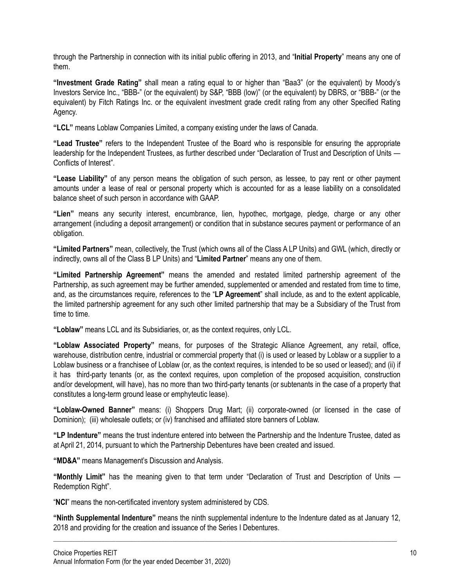through the Partnership in connection with its initial public offering in 2013, and "**Initial Property**" means any one of them.

**"Investment Grade Rating"** shall mean a rating equal to or higher than "Baa3" (or the equivalent) by Moody's Investors Service Inc., "BBB-" (or the equivalent) by S&P, "BBB (low)" (or the equivalent) by DBRS, or "BBB-" (or the equivalent) by Fitch Ratings Inc. or the equivalent investment grade credit rating from any other Specified Rating Agency.

**"LCL"** means Loblaw Companies Limited, a company existing under the laws of Canada.

**"Lead Trustee"** refers to the Independent Trustee of the Board who is responsible for ensuring the appropriate leadership for the Independent Trustees, as further described under "Declaration of Trust and Description of Units — Conflicts of Interest".

**"Lease Liability"** of any person means the obligation of such person, as lessee, to pay rent or other payment amounts under a lease of real or personal property which is accounted for as a lease liability on a consolidated balance sheet of such person in accordance with GAAP.

**"Lien"** means any security interest, encumbrance, lien, hypothec, mortgage, pledge, charge or any other arrangement (including a deposit arrangement) or condition that in substance secures payment or performance of an obligation.

**"Limited Partners"** mean, collectively, the Trust (which owns all of the Class A LP Units) and GWL (which, directly or indirectly, owns all of the Class B LP Units) and "**Limited Partner**" means any one of them.

**"Limited Partnership Agreement"** means the amended and restated limited partnership agreement of the Partnership, as such agreement may be further amended, supplemented or amended and restated from time to time, and, as the circumstances require, references to the "**LP Agreement**" shall include, as and to the extent applicable, the limited partnership agreement for any such other limited partnership that may be a Subsidiary of the Trust from time to time.

**"Loblaw"** means LCL and its Subsidiaries, or, as the context requires, only LCL.

**"Loblaw Associated Property"** means, for purposes of the Strategic Alliance Agreement, any retail, office, warehouse, distribution centre, industrial or commercial property that (i) is used or leased by Loblaw or a supplier to a Loblaw business or a franchisee of Loblaw (or, as the context requires, is intended to be so used or leased); and (ii) if it has third-party tenants (or, as the context requires, upon completion of the proposed acquisition, construction and/or development, will have), has no more than two third-party tenants (or subtenants in the case of a property that constitutes a long-term ground lease or emphyteutic lease).

**"Loblaw-Owned Banner"** means: (i) Shoppers Drug Mart; (ii) corporate-owned (or licensed in the case of Dominion); (iii) wholesale outlets; or (iv) franchised and affiliated store banners of Loblaw.

**"LP Indenture"** means the trust indenture entered into between the Partnership and the Indenture Trustee, dated as at April 21, 2014, pursuant to which the Partnership Debentures have been created and issued.

**"MD&A"** means Management's Discussion and Analysis.

**"Monthly Limit"** has the meaning given to that term under "Declaration of Trust and Description of Units — Redemption Right".

"**NCI**" means the non-certificated inventory system administered by CDS.

**"Ninth Supplemental Indenture"** means the ninth supplemental indenture to the Indenture dated as at January 12, 2018 and providing for the creation and issuance of the Series I Debentures.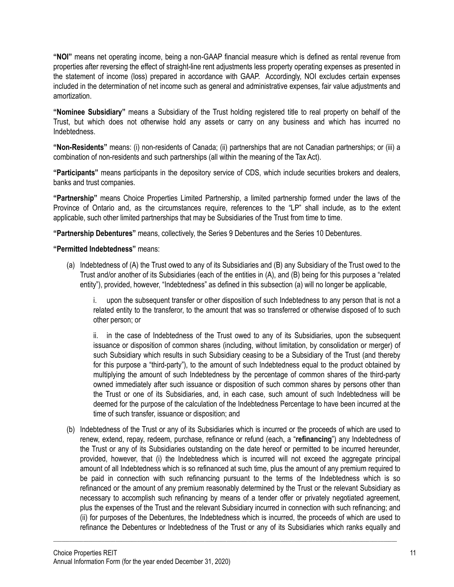**"NOI"** means net operating income, being a non-GAAP financial measure which is defined as rental revenue from properties after reversing the effect of straight-line rent adjustments less property operating expenses as presented in the statement of income (loss) prepared in accordance with GAAP. Accordingly, NOI excludes certain expenses included in the determination of net income such as general and administrative expenses, fair value adjustments and amortization.

**"Nominee Subsidiary"** means a Subsidiary of the Trust holding registered title to real property on behalf of the Trust, but which does not otherwise hold any assets or carry on any business and which has incurred no Indebtedness.

**"Non-Residents"** means: (i) non-residents of Canada; (ii) partnerships that are not Canadian partnerships; or (iii) a combination of non-residents and such partnerships (all within the meaning of the Tax Act).

**"Participants"** means participants in the depository service of CDS, which include securities brokers and dealers, banks and trust companies.

**"Partnership"** means Choice Properties Limited Partnership, a limited partnership formed under the laws of the Province of Ontario and, as the circumstances require, references to the "LP" shall include, as to the extent applicable, such other limited partnerships that may be Subsidiaries of the Trust from time to time.

**"Partnership Debentures"** means, collectively, the Series 9 Debentures and the Series 10 Debentures.

**"Permitted Indebtedness"** means:

(a) Indebtedness of (A) the Trust owed to any of its Subsidiaries and (B) any Subsidiary of the Trust owed to the Trust and/or another of its Subsidiaries (each of the entities in (A), and (B) being for this purposes a "related entity"), provided, however, "Indebtedness" as defined in this subsection (a) will no longer be applicable,

i. upon the subsequent transfer or other disposition of such Indebtedness to any person that is not a related entity to the transferor, to the amount that was so transferred or otherwise disposed of to such other person; or

ii. in the case of Indebtedness of the Trust owed to any of its Subsidiaries, upon the subsequent issuance or disposition of common shares (including, without limitation, by consolidation or merger) of such Subsidiary which results in such Subsidiary ceasing to be a Subsidiary of the Trust (and thereby for this purpose a "third-party"), to the amount of such Indebtedness equal to the product obtained by multiplying the amount of such Indebtedness by the percentage of common shares of the third-party owned immediately after such issuance or disposition of such common shares by persons other than the Trust or one of its Subsidiaries, and, in each case, such amount of such Indebtedness will be deemed for the purpose of the calculation of the Indebtedness Percentage to have been incurred at the time of such transfer, issuance or disposition; and

(b) Indebtedness of the Trust or any of its Subsidiaries which is incurred or the proceeds of which are used to renew, extend, repay, redeem, purchase, refinance or refund (each, a "**refinancing**") any Indebtedness of the Trust or any of its Subsidiaries outstanding on the date hereof or permitted to be incurred hereunder, provided, however, that (i) the Indebtedness which is incurred will not exceed the aggregate principal amount of all Indebtedness which is so refinanced at such time, plus the amount of any premium required to be paid in connection with such refinancing pursuant to the terms of the Indebtedness which is so refinanced or the amount of any premium reasonably determined by the Trust or the relevant Subsidiary as necessary to accomplish such refinancing by means of a tender offer or privately negotiated agreement, plus the expenses of the Trust and the relevant Subsidiary incurred in connection with such refinancing; and (ii) for purposes of the Debentures, the Indebtedness which is incurred, the proceeds of which are used to refinance the Debentures or Indebtedness of the Trust or any of its Subsidiaries which ranks equally and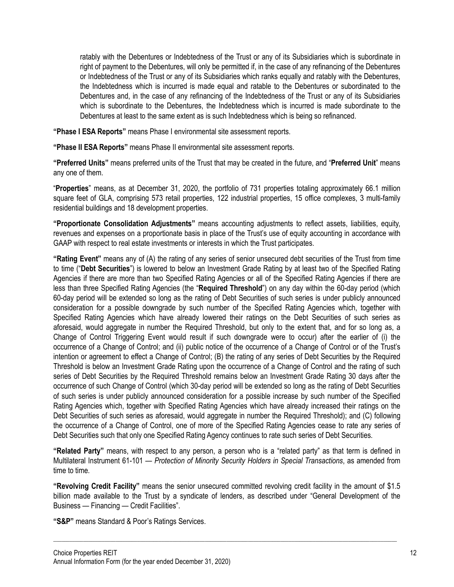ratably with the Debentures or Indebtedness of the Trust or any of its Subsidiaries which is subordinate in right of payment to the Debentures, will only be permitted if, in the case of any refinancing of the Debentures or Indebtedness of the Trust or any of its Subsidiaries which ranks equally and ratably with the Debentures, the Indebtedness which is incurred is made equal and ratable to the Debentures or subordinated to the Debentures and, in the case of any refinancing of the Indebtedness of the Trust or any of its Subsidiaries which is subordinate to the Debentures, the Indebtedness which is incurred is made subordinate to the Debentures at least to the same extent as is such Indebtedness which is being so refinanced.

**"Phase I ESA Reports"** means Phase I environmental site assessment reports.

**"Phase II ESA Reports"** means Phase II environmental site assessment reports.

**"Preferred Units"** means preferred units of the Trust that may be created in the future, and "**Preferred Unit**" means any one of them.

"**Properties**" means, as at December 31, 2020, the portfolio of 731 properties totaling approximately 66.1 million square feet of GLA, comprising 573 retail properties, 122 industrial properties, 15 office complexes, 3 multi-family residential buildings and 18 development properties.

**"Proportionate Consolidation Adjustments"** means accounting adjustments to reflect assets, liabilities, equity, revenues and expenses on a proportionate basis in place of the Trust's use of equity accounting in accordance with GAAP with respect to real estate investments or interests in which the Trust participates.

**"Rating Event"** means any of (A) the rating of any series of senior unsecured debt securities of the Trust from time to time ("**Debt Securities**") is lowered to below an Investment Grade Rating by at least two of the Specified Rating Agencies if there are more than two Specified Rating Agencies or all of the Specified Rating Agencies if there are less than three Specified Rating Agencies (the "**Required Threshold**") on any day within the 60-day period (which 60-day period will be extended so long as the rating of Debt Securities of such series is under publicly announced consideration for a possible downgrade by such number of the Specified Rating Agencies which, together with Specified Rating Agencies which have already lowered their ratings on the Debt Securities of such series as aforesaid, would aggregate in number the Required Threshold, but only to the extent that, and for so long as, a Change of Control Triggering Event would result if such downgrade were to occur) after the earlier of (i) the occurrence of a Change of Control; and (ii) public notice of the occurrence of a Change of Control or of the Trust's intention or agreement to effect a Change of Control; (B) the rating of any series of Debt Securities by the Required Threshold is below an Investment Grade Rating upon the occurrence of a Change of Control and the rating of such series of Debt Securities by the Required Threshold remains below an Investment Grade Rating 30 days after the occurrence of such Change of Control (which 30-day period will be extended so long as the rating of Debt Securities of such series is under publicly announced consideration for a possible increase by such number of the Specified Rating Agencies which, together with Specified Rating Agencies which have already increased their ratings on the Debt Securities of such series as aforesaid, would aggregate in number the Required Threshold); and (C) following the occurrence of a Change of Control, one of more of the Specified Rating Agencies cease to rate any series of Debt Securities such that only one Specified Rating Agency continues to rate such series of Debt Securities.

**"Related Party"** means, with respect to any person, a person who is a "related party" as that term is defined in Multilateral Instrument 61-101 — *Protection of Minority Security Holders in Special Transactions*, as amended from time to time.

**"Revolving Credit Facility"** means the senior unsecured committed revolving credit facility in the amount of \$1.5 billion made available to the Trust by a syndicate of lenders, as described under "General Development of the Business — Financing — Credit Facilities".

\_\_\_\_\_\_\_\_\_\_\_\_\_\_\_\_\_\_\_\_\_\_\_\_\_\_\_\_\_\_\_\_\_\_\_\_\_\_\_\_\_\_\_\_\_\_\_\_\_\_\_\_\_\_\_\_\_\_\_\_\_\_\_\_\_\_\_\_\_\_\_\_\_\_\_\_\_\_\_\_\_\_\_\_\_\_\_\_\_\_\_\_\_\_\_\_\_\_\_\_\_\_\_\_\_\_\_\_\_\_\_\_\_\_\_\_\_\_\_\_\_\_\_\_\_\_\_

**"S&P"** means Standard & Poor's Ratings Services.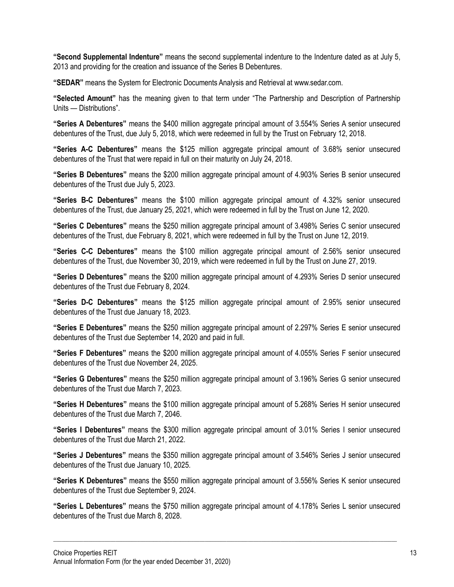**"Second Supplemental Indenture"** means the second supplemental indenture to the Indenture dated as at July 5, 2013 and providing for the creation and issuance of the Series B Debentures.

**"SEDAR"** means the System for Electronic Documents Analysis and Retrieval at www.sedar.com.

**"Selected Amount"** has the meaning given to that term under "The Partnership and Description of Partnership Units — Distributions".

**"Series A Debentures"** means the \$400 million aggregate principal amount of 3.554% Series A senior unsecured debentures of the Trust, due July 5, 2018, which were redeemed in full by the Trust on February 12, 2018.

**"Series A-C Debentures"** means the \$125 million aggregate principal amount of 3.68% senior unsecured debentures of the Trust that were repaid in full on their maturity on July 24, 2018.

**"Series B Debentures"** means the \$200 million aggregate principal amount of 4.903% Series B senior unsecured debentures of the Trust due July 5, 2023.

**"Series B-C Debentures"** means the \$100 million aggregate principal amount of 4.32% senior unsecured debentures of the Trust, due January 25, 2021, which were redeemed in full by the Trust on June 12, 2020.

**"Series C Debentures"** means the \$250 million aggregate principal amount of 3.498% Series C senior unsecured debentures of the Trust, due February 8, 2021, which were redeemed in full by the Trust on June 12, 2019.

**"Series C-C Debentures"** means the \$100 million aggregate principal amount of 2.56% senior unsecured debentures of the Trust, due November 30, 2019, which were redeemed in full by the Trust on June 27, 2019.

**"Series D Debentures"** means the \$200 million aggregate principal amount of 4.293% Series D senior unsecured debentures of the Trust due February 8, 2024.

**"Series D-C Debentures"** means the \$125 million aggregate principal amount of 2.95% senior unsecured debentures of the Trust due January 18, 2023.

**"Series E Debentures"** means the \$250 million aggregate principal amount of 2.297% Series E senior unsecured debentures of the Trust due September 14, 2020 and paid in full.

**"Series F Debentures"** means the \$200 million aggregate principal amount of 4.055% Series F senior unsecured debentures of the Trust due November 24, 2025.

**"Series G Debentures"** means the \$250 million aggregate principal amount of 3.196% Series G senior unsecured debentures of the Trust due March 7, 2023.

**"Series H Debentures"** means the \$100 million aggregate principal amount of 5.268% Series H senior unsecured debentures of the Trust due March 7, 2046.

**"Series I Debentures"** means the \$300 million aggregate principal amount of 3.01% Series I senior unsecured debentures of the Trust due March 21, 2022.

**"Series J Debentures"** means the \$350 million aggregate principal amount of 3.546% Series J senior unsecured debentures of the Trust due January 10, 2025.

**"Series K Debentures"** means the \$550 million aggregate principal amount of 3.556% Series K senior unsecured debentures of the Trust due September 9, 2024.

**"Series L Debentures"** means the \$750 million aggregate principal amount of 4.178% Series L senior unsecured debentures of the Trust due March 8, 2028.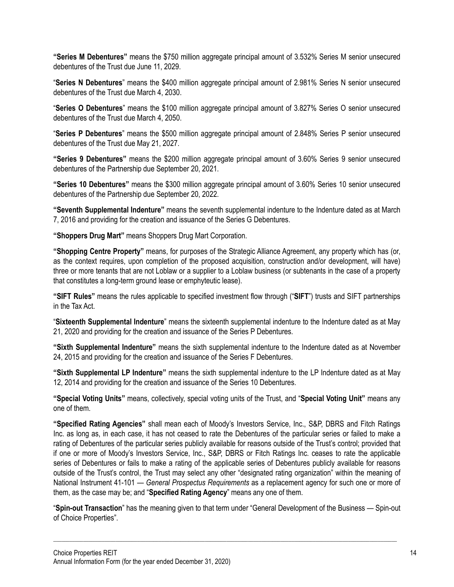**"Series M Debentures"** means the \$750 million aggregate principal amount of 3.532% Series M senior unsecured debentures of the Trust due June 11, 2029.

"**Series N Debentures**" means the \$400 million aggregate principal amount of 2.981% Series N senior unsecured debentures of the Trust due March 4, 2030.

"**Series O Debentures**" means the \$100 million aggregate principal amount of 3.827% Series O senior unsecured debentures of the Trust due March 4, 2050.

"**Series P Debentures**" means the \$500 million aggregate principal amount of 2.848% Series P senior unsecured debentures of the Trust due May 21, 2027.

**"Series 9 Debentures"** means the \$200 million aggregate principal amount of 3.60% Series 9 senior unsecured debentures of the Partnership due September 20, 2021.

**"Series 10 Debentures"** means the \$300 million aggregate principal amount of 3.60% Series 10 senior unsecured debentures of the Partnership due September 20, 2022.

**"Seventh Supplemental Indenture"** means the seventh supplemental indenture to the Indenture dated as at March 7, 2016 and providing for the creation and issuance of the Series G Debentures.

**"Shoppers Drug Mart"** means Shoppers Drug Mart Corporation.

**"Shopping Centre Property"** means, for purposes of the Strategic Alliance Agreement, any property which has (or, as the context requires, upon completion of the proposed acquisition, construction and/or development, will have) three or more tenants that are not Loblaw or a supplier to a Loblaw business (or subtenants in the case of a property that constitutes a long-term ground lease or emphyteutic lease).

**"SIFT Rules"** means the rules applicable to specified investment flow through ("**SIFT**") trusts and SIFT partnerships in the Tax Act.

"**Sixteenth Supplemental Indenture**" means the sixteenth supplemental indenture to the Indenture dated as at May 21, 2020 and providing for the creation and issuance of the Series P Debentures.

**"Sixth Supplemental Indenture"** means the sixth supplemental indenture to the Indenture dated as at November 24, 2015 and providing for the creation and issuance of the Series F Debentures.

**"Sixth Supplemental LP Indenture"** means the sixth supplemental indenture to the LP Indenture dated as at May 12, 2014 and providing for the creation and issuance of the Series 10 Debentures.

**"Special Voting Units"** means, collectively, special voting units of the Trust, and "**Special Voting Unit"** means any one of them.

**"Specified Rating Agencies"** shall mean each of Moody's Investors Service, Inc., S&P, DBRS and Fitch Ratings Inc. as long as, in each case, it has not ceased to rate the Debentures of the particular series or failed to make a rating of Debentures of the particular series publicly available for reasons outside of the Trust's control; provided that if one or more of Moody's Investors Service, Inc., S&P, DBRS or Fitch Ratings Inc. ceases to rate the applicable series of Debentures or fails to make a rating of the applicable series of Debentures publicly available for reasons outside of the Trust's control, the Trust may select any other "designated rating organization" within the meaning of National Instrument 41-101 — *General Prospectus Requirements* as a replacement agency for such one or more of them, as the case may be; and "**Specified Rating Agency**" means any one of them.

"**Spin-out Transaction**" has the meaning given to that term under "General Development of the Business — Spin-out of Choice Properties".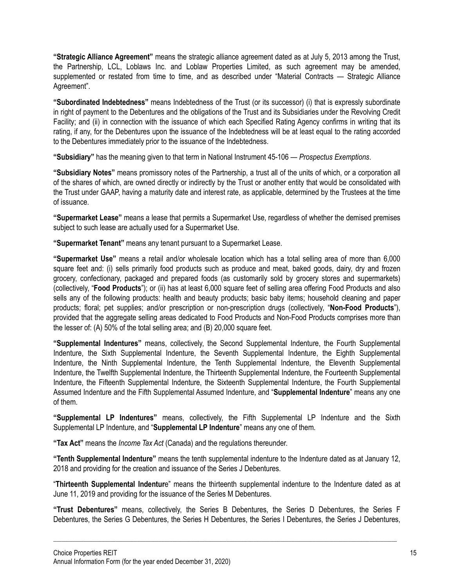**"Strategic Alliance Agreement"** means the strategic alliance agreement dated as at July 5, 2013 among the Trust, the Partnership, LCL, Loblaws Inc. and Loblaw Properties Limited, as such agreement may be amended, supplemented or restated from time to time, and as described under "Material Contracts — Strategic Alliance Agreement".

**"Subordinated Indebtedness"** means Indebtedness of the Trust (or its successor) (i) that is expressly subordinate in right of payment to the Debentures and the obligations of the Trust and its Subsidiaries under the Revolving Credit Facility; and (ii) in connection with the issuance of which each Specified Rating Agency confirms in writing that its rating, if any, for the Debentures upon the issuance of the Indebtedness will be at least equal to the rating accorded to the Debentures immediately prior to the issuance of the Indebtedness.

**"Subsidiary"** has the meaning given to that term in National Instrument 45-106 — *Prospectus Exemptions*.

**"Subsidiary Notes"** means promissory notes of the Partnership, a trust all of the units of which, or a corporation all of the shares of which, are owned directly or indirectly by the Trust or another entity that would be consolidated with the Trust under GAAP, having a maturity date and interest rate, as applicable, determined by the Trustees at the time of issuance.

**"Supermarket Lease"** means a lease that permits a Supermarket Use, regardless of whether the demised premises subject to such lease are actually used for a Supermarket Use.

**"Supermarket Tenant"** means any tenant pursuant to a Supermarket Lease.

**"Supermarket Use"** means a retail and/or wholesale location which has a total selling area of more than 6,000 square feet and: (i) sells primarily food products such as produce and meat, baked goods, dairy, dry and frozen grocery, confectionary, packaged and prepared foods (as customarily sold by grocery stores and supermarkets) (collectively, "**Food Products**"); or (ii) has at least 6,000 square feet of selling area offering Food Products and also sells any of the following products: health and beauty products; basic baby items; household cleaning and paper products; floral; pet supplies; and/or prescription or non-prescription drugs (collectively, "**Non-Food Products**"), provided that the aggregate selling areas dedicated to Food Products and Non-Food Products comprises more than the lesser of: (A) 50% of the total selling area; and (B) 20,000 square feet.

**"Supplemental Indentures"** means, collectively, the Second Supplemental Indenture, the Fourth Supplemental Indenture, the Sixth Supplemental Indenture, the Seventh Supplemental Indenture, the Eighth Supplemental Indenture, the Ninth Supplemental Indenture, the Tenth Supplemental Indenture, the Eleventh Supplemental Indenture, the Twelfth Supplemental Indenture, the Thirteenth Supplemental Indenture, the Fourteenth Supplemental Indenture, the Fifteenth Supplemental Indenture, the Sixteenth Supplemental Indenture, the Fourth Supplemental Assumed Indenture and the Fifth Supplemental Assumed Indenture, and "**Supplemental Indenture**" means any one of them.

**"Supplemental LP Indentures"** means, collectively, the Fifth Supplemental LP Indenture and the Sixth Supplemental LP Indenture, and "**Supplemental LP Indenture**" means any one of them.

**"Tax Act"** means the *Income Tax Act* (Canada) and the regulations thereunder.

**"Tenth Supplemental Indenture"** means the tenth supplemental indenture to the Indenture dated as at January 12, 2018 and providing for the creation and issuance of the Series J Debentures.

"**Thirteenth Supplemental Indentur**e" means the thirteenth supplemental indenture to the Indenture dated as at June 11, 2019 and providing for the issuance of the Series M Debentures.

**"Trust Debentures"** means, collectively, the Series B Debentures, the Series D Debentures, the Series F Debentures, the Series G Debentures, the Series H Debentures, the Series I Debentures, the Series J Debentures,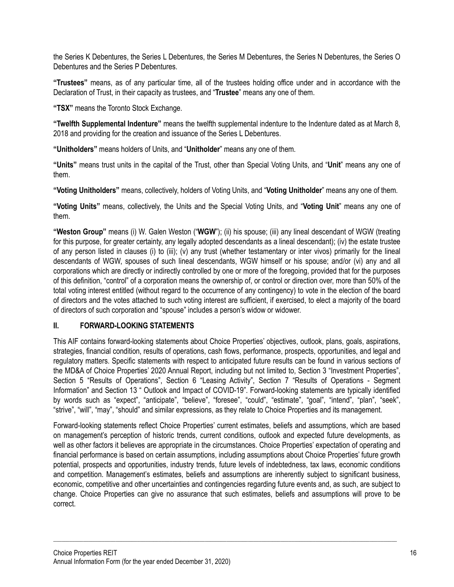the Series K Debentures, the Series L Debentures, the Series M Debentures, the Series N Debentures, the Series O Debentures and the Series P Debentures.

**"Trustees"** means, as of any particular time, all of the trustees holding office under and in accordance with the Declaration of Trust, in their capacity as trustees, and "**Trustee**" means any one of them.

**"TSX"** means the Toronto Stock Exchange.

**"Twelfth Supplemental Indenture"** means the twelfth supplemental indenture to the Indenture dated as at March 8, 2018 and providing for the creation and issuance of the Series L Debentures.

**"Unitholders"** means holders of Units, and "**Unitholder**" means any one of them.

**"Units"** means trust units in the capital of the Trust, other than Special Voting Units, and "**Unit**" means any one of them.

**"Voting Unitholders"** means, collectively, holders of Voting Units, and "**Voting Unitholder**" means any one of them.

**"Voting Units"** means, collectively, the Units and the Special Voting Units, and "**Voting Unit**" means any one of them.

**"Weston Group"** means (i) W. Galen Weston ("**WGW**"); (ii) his spouse; (iii) any lineal descendant of WGW (treating for this purpose, for greater certainty, any legally adopted descendants as a lineal descendant); (iv) the estate trustee of any person listed in clauses (i) to (iii); (v) any trust (whether testamentary or inter vivos) primarily for the lineal descendants of WGW, spouses of such lineal descendants, WGW himself or his spouse; and/or (vi) any and all corporations which are directly or indirectly controlled by one or more of the foregoing, provided that for the purposes of this definition, "control" of a corporation means the ownership of, or control or direction over, more than 50% of the total voting interest entitled (without regard to the occurrence of any contingency) to vote in the election of the board of directors and the votes attached to such voting interest are sufficient, if exercised, to elect a majority of the board of directors of such corporation and "spouse" includes a person's widow or widower.

# <span id="page-16-0"></span>**II. FORWARD-LOOKING STATEMENTS**

This AIF contains forward-looking statements about Choice Properties' objectives, outlook, plans, goals, aspirations, strategies, financial condition, results of operations, cash flows, performance, prospects, opportunities, and legal and regulatory matters. Specific statements with respect to anticipated future results can be found in various sections of the MD&A of Choice Properties' 2020 Annual Report, including but not limited to, Section 3 "Investment Properties", Section 5 "Results of Operations", Section 6 "Leasing Activity", Section 7 "Results of Operations - Segment Information" and Section 13 " Outlook and Impact of COVID-19". Forward-looking statements are typically identified by words such as "expect", "anticipate", "believe", "foresee", "could", "estimate", "goal", "intend", "plan", "seek", "strive", "will", "may", "should" and similar expressions, as they relate to Choice Properties and its management.

Forward-looking statements reflect Choice Properties' current estimates, beliefs and assumptions, which are based on management's perception of historic trends, current conditions, outlook and expected future developments, as well as other factors it believes are appropriate in the circumstances. Choice Properties' expectation of operating and financial performance is based on certain assumptions, including assumptions about Choice Properties' future growth potential, prospects and opportunities, industry trends, future levels of indebtedness, tax laws, economic conditions and competition. Management's estimates, beliefs and assumptions are inherently subject to significant business, economic, competitive and other uncertainties and contingencies regarding future events and, as such, are subject to change. Choice Properties can give no assurance that such estimates, beliefs and assumptions will prove to be correct.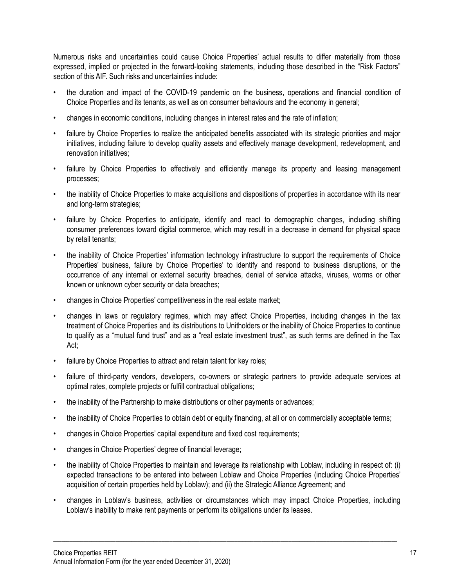Numerous risks and uncertainties could cause Choice Properties' actual results to differ materially from those expressed, implied or projected in the forward-looking statements, including those described in the "Risk Factors" section of this AIF. Such risks and uncertainties include:

- the duration and impact of the COVID-19 pandemic on the business, operations and financial condition of Choice Properties and its tenants, as well as on consumer behaviours and the economy in general;
- changes in economic conditions, including changes in interest rates and the rate of inflation;
- failure by Choice Properties to realize the anticipated benefits associated with its strategic priorities and major initiatives, including failure to develop quality assets and effectively manage development, redevelopment, and renovation initiatives;
- failure by Choice Properties to effectively and efficiently manage its property and leasing management processes;
- the inability of Choice Properties to make acquisitions and dispositions of properties in accordance with its near and long-term strategies;
- failure by Choice Properties to anticipate, identify and react to demographic changes, including shifting consumer preferences toward digital commerce, which may result in a decrease in demand for physical space by retail tenants;
- the inability of Choice Properties' information technology infrastructure to support the requirements of Choice Properties' business, failure by Choice Properties' to identify and respond to business disruptions, or the occurrence of any internal or external security breaches, denial of service attacks, viruses, worms or other known or unknown cyber security or data breaches;
- changes in Choice Properties' competitiveness in the real estate market;
- changes in laws or regulatory regimes, which may affect Choice Properties, including changes in the tax treatment of Choice Properties and its distributions to Unitholders or the inability of Choice Properties to continue to qualify as a "mutual fund trust" and as a "real estate investment trust", as such terms are defined in the Tax Act;
- failure by Choice Properties to attract and retain talent for key roles;
- failure of third-party vendors, developers, co-owners or strategic partners to provide adequate services at optimal rates, complete projects or fulfill contractual obligations;
- the inability of the Partnership to make distributions or other payments or advances;
- the inability of Choice Properties to obtain debt or equity financing, at all or on commercially acceptable terms;
- changes in Choice Properties' capital expenditure and fixed cost requirements;
- changes in Choice Properties' degree of financial leverage;
- the inability of Choice Properties to maintain and leverage its relationship with Loblaw, including in respect of: (i) expected transactions to be entered into between Loblaw and Choice Properties (including Choice Properties' acquisition of certain properties held by Loblaw); and (ii) the Strategic Alliance Agreement; and
- changes in Loblaw's business, activities or circumstances which may impact Choice Properties, including Loblaw's inability to make rent payments or perform its obligations under its leases.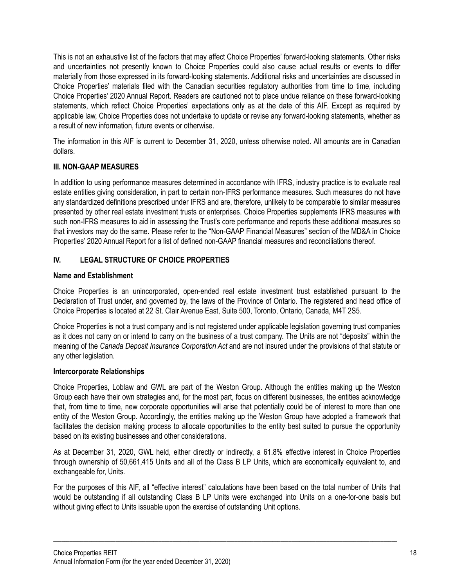This is not an exhaustive list of the factors that may affect Choice Properties' forward-looking statements. Other risks and uncertainties not presently known to Choice Properties could also cause actual results or events to differ materially from those expressed in its forward-looking statements. Additional risks and uncertainties are discussed in Choice Properties' materials filed with the Canadian securities regulatory authorities from time to time, including Choice Properties' 2020 Annual Report. Readers are cautioned not to place undue reliance on these forward-looking statements, which reflect Choice Properties' expectations only as at the date of this AIF. Except as required by applicable law, Choice Properties does not undertake to update or revise any forward-looking statements, whether as a result of new information, future events or otherwise.

The information in this AIF is current to December 31, 2020, unless otherwise noted. All amounts are in Canadian dollars.

# **III. NON-GAAP MEASURES**

In addition to using performance measures determined in accordance with IFRS, industry practice is to evaluate real estate entities giving consideration, in part to certain non-IFRS performance measures. Such measures do not have any standardized definitions prescribed under IFRS and are, therefore, unlikely to be comparable to similar measures presented by other real estate investment trusts or enterprises. Choice Properties supplements IFRS measures with such non-IFRS measures to aid in assessing the Trust's core performance and reports these additional measures so that investors may do the same. Please refer to the "Non-GAAP Financial Measures" section of the MD&A in Choice Properties' 2020 Annual Report for a list of defined non-GAAP financial measures and reconciliations thereof.

# <span id="page-18-0"></span>**IV. LEGAL STRUCTURE OF CHOICE PROPERTIES**

# <span id="page-18-1"></span>**Name and Establishment**

Choice Properties is an unincorporated, open-ended real estate investment trust established pursuant to the Declaration of Trust under, and governed by, the laws of the Province of Ontario. The registered and head office of Choice Properties is located at 22 St. Clair Avenue East, Suite 500, Toronto, Ontario, Canada, M4T 2S5.

Choice Properties is not a trust company and is not registered under applicable legislation governing trust companies as it does not carry on or intend to carry on the business of a trust company. The Units are not "deposits" within the meaning of the *Canada Deposit Insurance Corporation Act* and are not insured under the provisions of that statute or any other legislation.

# **Intercorporate Relationships**

Choice Properties, Loblaw and GWL are part of the Weston Group. Although the entities making up the Weston Group each have their own strategies and, for the most part, focus on different businesses, the entities acknowledge that, from time to time, new corporate opportunities will arise that potentially could be of interest to more than one entity of the Weston Group. Accordingly, the entities making up the Weston Group have adopted a framework that facilitates the decision making process to allocate opportunities to the entity best suited to pursue the opportunity based on its existing businesses and other considerations.

As at December 31, 2020, GWL held, either directly or indirectly, a 61.8% effective interest in Choice Properties through ownership of 50,661,415 Units and all of the Class B LP Units, which are economically equivalent to, and exchangeable for, Units.

For the purposes of this AIF, all "effective interest" calculations have been based on the total number of Units that would be outstanding if all outstanding Class B LP Units were exchanged into Units on a one-for-one basis but without giving effect to Units issuable upon the exercise of outstanding Unit options.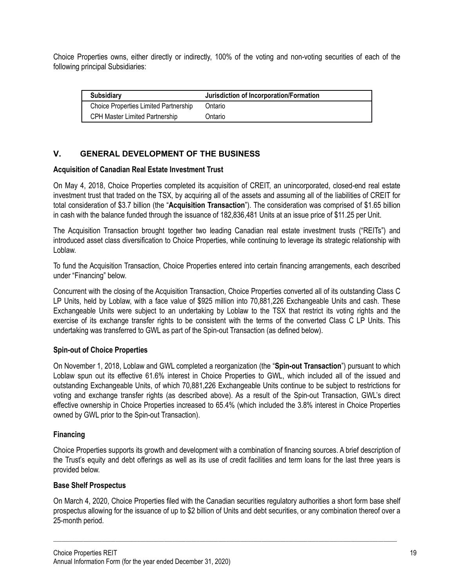Choice Properties owns, either directly or indirectly, 100% of the voting and non-voting securities of each of the following principal Subsidiaries:

| <b>Subsidiary</b>                            | Jurisdiction of Incorporation/Formation |
|----------------------------------------------|-----------------------------------------|
| <b>Choice Properties Limited Partnership</b> | Ontario                                 |
| <b>CPH Master Limited Partnership</b>        | Ontario                                 |

# **V. GENERAL DEVELOPMENT OF THE BUSINESS**

#### **Acquisition of Canadian Real Estate Investment Trust**

On May 4, 2018, Choice Properties completed its acquisition of CREIT, an unincorporated, closed-end real estate investment trust that traded on the TSX, by acquiring all of the assets and assuming all of the liabilities of CREIT for total consideration of \$3.7 billion (the "**Acquisition Transaction**"). The consideration was comprised of \$1.65 billion in cash with the balance funded through the issuance of 182,836,481 Units at an issue price of \$11.25 per Unit.

The Acquisition Transaction brought together two leading Canadian real estate investment trusts ("REITs") and introduced asset class diversification to Choice Properties, while continuing to leverage its strategic relationship with Loblaw.

To fund the Acquisition Transaction, Choice Properties entered into certain financing arrangements, each described under "Financing" below.

Concurrent with the closing of the Acquisition Transaction, Choice Properties converted all of its outstanding Class C LP Units, held by Loblaw, with a face value of \$925 million into 70,881,226 Exchangeable Units and cash. These Exchangeable Units were subject to an undertaking by Loblaw to the TSX that restrict its voting rights and the exercise of its exchange transfer rights to be consistent with the terms of the converted Class C LP Units. This undertaking was transferred to GWL as part of the Spin-out Transaction (as defined below).

#### **Spin-out of Choice Properties**

On November 1, 2018, Loblaw and GWL completed a reorganization (the "**Spin-out Transaction**") pursuant to which Loblaw spun out its effective 61.6% interest in Choice Properties to GWL, which included all of the issued and outstanding Exchangeable Units, of which 70,881,226 Exchangeable Units continue to be subject to restrictions for voting and exchange transfer rights (as described above). As a result of the Spin-out Transaction, GWL's direct effective ownership in Choice Properties increased to 65.4% (which included the 3.8% interest in Choice Properties owned by GWL prior to the Spin-out Transaction).

#### **Financing**

Choice Properties supports its growth and development with a combination of financing sources. A brief description of the Trust's equity and debt offerings as well as its use of credit facilities and term loans for the last three years is provided below.

#### **Base Shelf Prospectus**

On March 4, 2020, Choice Properties filed with the Canadian securities regulatory authorities a short form base shelf prospectus allowing for the issuance of up to \$2 billion of Units and debt securities, or any combination thereof over a 25-month period.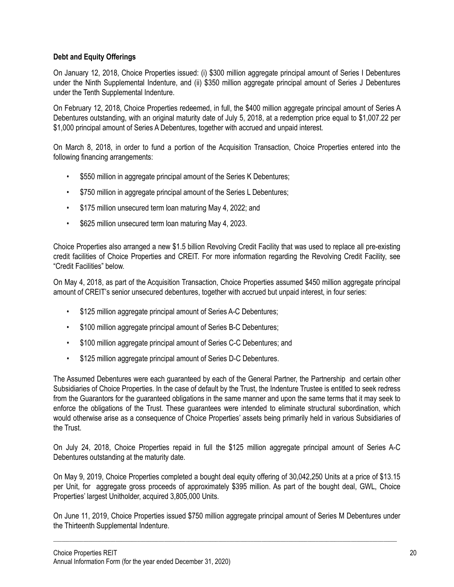# **Debt and Equity Offerings**

On January 12, 2018, Choice Properties issued: (i) \$300 million aggregate principal amount of Series I Debentures under the Ninth Supplemental Indenture, and (ii) \$350 million aggregate principal amount of Series J Debentures under the Tenth Supplemental Indenture.

On February 12, 2018, Choice Properties redeemed, in full, the \$400 million aggregate principal amount of Series A Debentures outstanding, with an original maturity date of July 5, 2018, at a redemption price equal to \$1,007.22 per \$1,000 principal amount of Series A Debentures, together with accrued and unpaid interest.

On March 8, 2018, in order to fund a portion of the Acquisition Transaction, Choice Properties entered into the following financing arrangements:

- \$550 million in aggregate principal amount of the Series K Debentures;
- \$750 million in aggregate principal amount of the Series L Debentures;
- \$175 million unsecured term loan maturing May 4, 2022; and
- \$625 million unsecured term loan maturing May 4, 2023.

Choice Properties also arranged a new \$1.5 billion Revolving Credit Facility that was used to replace all pre-existing credit facilities of Choice Properties and CREIT. For more information regarding the Revolving Credit Facility, see "Credit Facilities" below.

On May 4, 2018, as part of the Acquisition Transaction, Choice Properties assumed \$450 million aggregate principal amount of CREIT's senior unsecured debentures, together with accrued but unpaid interest, in four series:

- \$125 million aggregate principal amount of Series A-C Debentures;
- \$100 million aggregate principal amount of Series B-C Debentures;
- \$100 million aggregate principal amount of Series C-C Debentures; and
- \$125 million aggregate principal amount of Series D-C Debentures.

The Assumed Debentures were each guaranteed by each of the General Partner, the Partnership and certain other Subsidiaries of Choice Properties. In the case of default by the Trust, the Indenture Trustee is entitled to seek redress from the Guarantors for the guaranteed obligations in the same manner and upon the same terms that it may seek to enforce the obligations of the Trust. These guarantees were intended to eliminate structural subordination, which would otherwise arise as a consequence of Choice Properties' assets being primarily held in various Subsidiaries of the Trust.

On July 24, 2018, Choice Properties repaid in full the \$125 million aggregate principal amount of Series A-C Debentures outstanding at the maturity date.

On May 9, 2019, Choice Properties completed a bought deal equity offering of 30,042,250 Units at a price of \$13.15 per Unit, for aggregate gross proceeds of approximately \$395 million. As part of the bought deal, GWL, Choice Properties' largest Unitholder, acquired 3,805,000 Units.

On June 11, 2019, Choice Properties issued \$750 million aggregate principal amount of Series M Debentures under the Thirteenth Supplemental Indenture.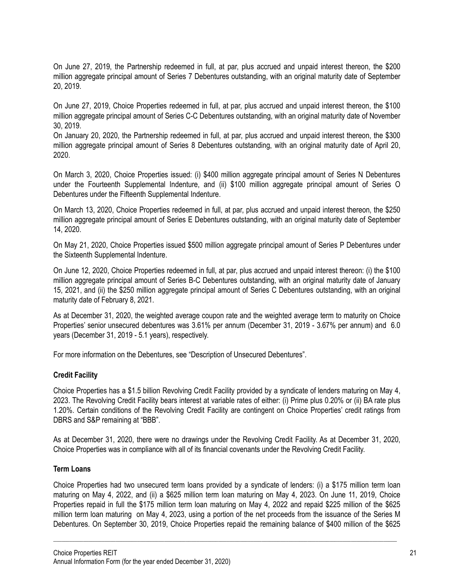On June 27, 2019, the Partnership redeemed in full, at par, plus accrued and unpaid interest thereon, the \$200 million aggregate principal amount of Series 7 Debentures outstanding, with an original maturity date of September 20, 2019.

On June 27, 2019, Choice Properties redeemed in full, at par, plus accrued and unpaid interest thereon, the \$100 million aggregate principal amount of Series C-C Debentures outstanding, with an original maturity date of November 30, 2019.

On January 20, 2020, the Partnership redeemed in full, at par, plus accrued and unpaid interest thereon, the \$300 million aggregate principal amount of Series 8 Debentures outstanding, with an original maturity date of April 20, 2020.

On March 3, 2020, Choice Properties issued: (i) \$400 million aggregate principal amount of Series N Debentures under the Fourteenth Supplemental Indenture, and (ii) \$100 million aggregate principal amount of Series O Debentures under the Fifteenth Supplemental Indenture.

On March 13, 2020, Choice Properties redeemed in full, at par, plus accrued and unpaid interest thereon, the \$250 million aggregate principal amount of Series E Debentures outstanding, with an original maturity date of September 14, 2020.

On May 21, 2020, Choice Properties issued \$500 million aggregate principal amount of Series P Debentures under the Sixteenth Supplemental Indenture.

On June 12, 2020, Choice Properties redeemed in full, at par, plus accrued and unpaid interest thereon: (i) the \$100 million aggregate principal amount of Series B-C Debentures outstanding, with an original maturity date of January 15, 2021, and (ii) the \$250 million aggregate principal amount of Series C Debentures outstanding, with an original maturity date of February 8, 2021.

As at December 31, 2020, the weighted average coupon rate and the weighted average term to maturity on Choice Properties' senior unsecured debentures was 3.61% per annum (December 31, 2019 - 3.67% per annum) and 6.0 years (December 31, 2019 - 5.1 years), respectively.

For more information on the Debentures, see "Description of Unsecured Debentures".

# **Credit Facility**

Choice Properties has a \$1.5 billion Revolving Credit Facility provided by a syndicate of lenders maturing on May 4, 2023. The Revolving Credit Facility bears interest at variable rates of either: (i) Prime plus 0.20% or (ii) BA rate plus 1.20%. Certain conditions of the Revolving Credit Facility are contingent on Choice Properties' credit ratings from DBRS and S&P remaining at "BBB".

As at December 31, 2020, there were no drawings under the Revolving Credit Facility. As at December 31, 2020, Choice Properties was in compliance with all of its financial covenants under the Revolving Credit Facility.

#### **Term Loans**

Choice Properties had two unsecured term loans provided by a syndicate of lenders: (i) a \$175 million term loan maturing on May 4, 2022, and (ii) a \$625 million term loan maturing on May 4, 2023. On June 11, 2019, Choice Properties repaid in full the \$175 million term loan maturing on May 4, 2022 and repaid \$225 million of the \$625 million term loan maturing on May 4, 2023, using a portion of the net proceeds from the issuance of the Series M Debentures. On September 30, 2019, Choice Properties repaid the remaining balance of \$400 million of the \$625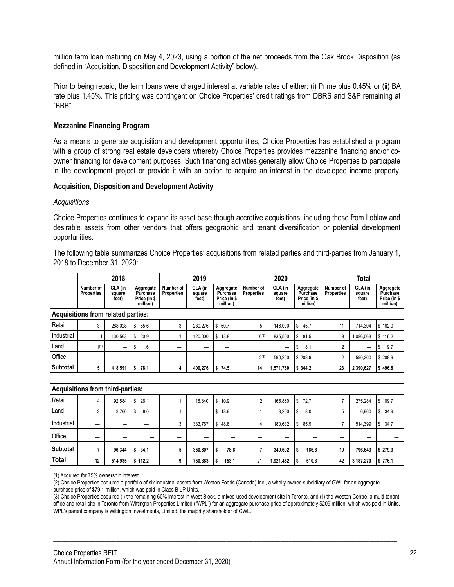million term loan maturing on May 4, 2023, using a portion of the net proceeds from the Oak Brook Disposition (as defined in "Acquisition, Disposition and Development Activity" below).

Prior to being repaid, the term loans were charged interest at variable rates of either: (i) Prime plus 0.45% or (ii) BA rate plus 1.45%. This pricing was contingent on Choice Properties' credit ratings from DBRS and S&P remaining at "BBB".

#### **Mezzanine Financing Program**

As a means to generate acquisition and development opportunities, Choice Properties has established a program with a group of strong real estate developers whereby Choice Properties provides mezzanine financing and/or coowner financing for development purposes. Such financing activities generally allow Choice Properties to participate in the development project or provide it with an option to acquire an interest in the developed income property.

#### **Acquisition, Disposition and Development Activity**

#### *Acquisitions*

Choice Properties continues to expand its asset base though accretive acquisitions, including those from Loblaw and desirable assets from other vendors that offers geographic and tenant diversification or potential development opportunities.

The following table summarizes Choice Properties' acquisitions from related parties and third-parties from January 1, 2018 to December 31, 2020:

| 2018                                    |                                | 2019                       |                                                   | 2020                           |                            |                                                   | <b>Total</b>                   |                            |                                                   |                                |                            |                                                   |
|-----------------------------------------|--------------------------------|----------------------------|---------------------------------------------------|--------------------------------|----------------------------|---------------------------------------------------|--------------------------------|----------------------------|---------------------------------------------------|--------------------------------|----------------------------|---------------------------------------------------|
|                                         | Number of<br><b>Properties</b> | GLA (in<br>square<br>feet) | Aggregate<br>Purchase<br>Price (in \$<br>million) | Number of<br><b>Properties</b> | GLA (in<br>square<br>feet) | Aggregate<br>Purchase<br>Price (in \$<br>million) | Number of<br><b>Properties</b> | GLA (in<br>square<br>feet) | Aggregate<br>Purchase<br>Price (in \$<br>million) | Number of<br><b>Properties</b> | GLA (in<br>square<br>feet) | Aggregate<br>Purchase<br>Price (in \$<br>million) |
| Acquisitions from related parties:      |                                |                            |                                                   |                                |                            |                                                   |                                |                            |                                                   |                                |                            |                                                   |
| Retail                                  | 3                              | 288.028                    | \$<br>55.6                                        | 3                              | 280,276                    | \$60.7                                            | 5                              | 146,000                    | \$<br>45.7                                        | 11                             | 714,304                    | \$162.0                                           |
| Industrial                              |                                | 130.563                    | \$<br>20.9                                        | 1                              | 120.000                    | \$<br>13.8                                        | $6^{(2)}$                      | 835.500                    | \$<br>81.5                                        | 8                              | 1.086.063                  | \$116.2                                           |
| Land                                    | 1(1)                           |                            | 1.6<br>\$                                         | $\overline{\phantom{0}}$       |                            | -                                                 | 1                              | -                          | \$<br>8.1                                         | 2                              | -                          | \$<br>9.7                                         |
| Office                                  | —                              |                            |                                                   |                                | –                          | -                                                 | $2^{(3)}$                      | 590,260                    | \$208.9                                           | 2                              | 590,260                    | \$208.9                                           |
| <b>Subtotal</b>                         | 5                              | 418.591                    | \$<br>78.1                                        | 4                              | 400,276                    | \$<br>74.5                                        | 14                             | 1,571,760                  | \$344.2                                           | 23                             | 2,390,627                  | \$496.8                                           |
|                                         |                                |                            |                                                   |                                |                            |                                                   |                                |                            |                                                   |                                |                            |                                                   |
| <b>Acquisitions from third-parties:</b> |                                |                            |                                                   |                                |                            |                                                   |                                |                            |                                                   |                                |                            |                                                   |
| Retail                                  | 4                              | 92,584                     | \$<br>26.1                                        | 1                              | 16,840                     | \$10.9                                            | $\overline{2}$                 | 165.860                    | \$<br>72.7                                        | $\overline{7}$                 | 275.284                    | \$109.7                                           |
| Land                                    | 3                              | 3.760                      | \$<br>8.0                                         | 1                              | $\overline{\phantom{0}}$   | 18.9<br>\$                                        | $\overline{1}$                 | 3,200                      | \$<br>8.0                                         | 5                              | 6.960                      | 34.9<br>\$                                        |
| Industrial                              | —                              |                            |                                                   | 3                              | 333,767                    | \$48.8                                            | 4                              | 180,632                    | \$<br>85.9                                        | 7                              | 514,399                    | \$134.7                                           |
| Office                                  | —                              |                            |                                                   | —                              | —                          | -                                                 | -                              | -                          | —                                                 | —                              | —                          |                                                   |
| Subtotal                                | $\overline{7}$                 | 96.344                     | \$<br>34.1                                        | 5                              | 350,607                    | \$<br>78.6                                        | $\overline{7}$                 | 349,692                    | 166.6<br>\$                                       | 19                             | 796,643                    | \$279.3                                           |
| <b>Total</b>                            | 12                             | 514.935                    | \$112.2                                           | 9                              | 750,883                    | \$<br>153.1                                       | 21                             | 1,921,452                  | \$<br>510.8                                       | 42                             | 3,187,270                  | \$776.1                                           |

(1) Acquired for 75% ownership interest.

(2) Choice Properties acquired a portfolio of six industrial assets from Weston Foods (Canada) Inc., a wholly-owned subsidiary of GWL for an aggregate

purchase price of \$79.1 million, which was paid in Class B LP Units.

(3) Choice Properties acquired (i) the remaining 60% interest in West Block, a mixed-used development site in Toronto, and (ii) the Weston Centre, a multi-tenant office and retail site in Toronto from Wittington Properties Limited ("WPL") for an aggregate purchase price of approximately \$209 million, which was paid in Units. WPL's parent company is Wittington Investments, Limited, the majority shareholder of GWL.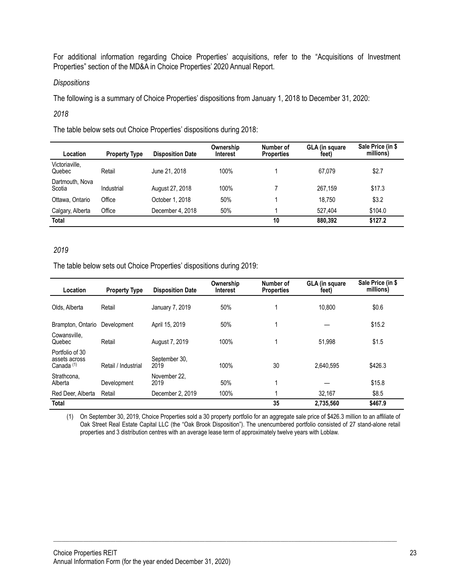For additional information regarding Choice Properties' acquisitions, refer to the "Acquisitions of Investment Properties" section of the MD&A in Choice Properties' 2020 Annual Report.

#### *Dispositions*

The following is a summary of Choice Properties' dispositions from January 1, 2018 to December 31, 2020:

#### *2018*

The table below sets out Choice Properties' dispositions during 2018:

| Location                  | <b>Property Type</b> | <b>Disposition Date</b> | Ownership<br><b>Interest</b> | Number of<br><b>Properties</b> | <b>GLA (in square)</b><br>feet) | Sale Price (in \$<br>millions) |
|---------------------------|----------------------|-------------------------|------------------------------|--------------------------------|---------------------------------|--------------------------------|
| Victoriaville,<br>Quebec  | Retail               | June 21, 2018           | 100%                         |                                | 67.079                          | \$2.7                          |
| Dartmouth, Nova<br>Scotia | Industrial           | August 27, 2018         | 100%                         |                                | 267.159                         | \$17.3                         |
| Ottawa, Ontario           | Office               | October 1, 2018         | 50%                          |                                | 18.750                          | \$3.2                          |
| Calgary, Alberta          | Office               | December 4, 2018        | 50%                          |                                | 527.404                         | \$104.0                        |
| <b>Total</b>              |                      |                         |                              | 10                             | 880.392                         | \$127.2                        |

# *2019*

The table below sets out Choice Properties' dispositions during 2019:

| Location                                                  | <b>Property Type</b> | <b>Disposition Date</b> | Ownership<br><b>Interest</b> | Number of<br><b>Properties</b> | GLA (in square<br>feet) | Sale Price (in \$<br>millions) |
|-----------------------------------------------------------|----------------------|-------------------------|------------------------------|--------------------------------|-------------------------|--------------------------------|
| Olds. Alberta                                             | Retail               | January 7, 2019         | 50%                          |                                | 10.800                  | \$0.6                          |
| Brampton, Ontario                                         | Development          | April 15, 2019          | 50%                          |                                |                         | \$15.2                         |
| Cowansville.<br>Quebec                                    | Retail               | August 7, 2019          | 100%                         |                                | 51.998                  | \$1.5                          |
| Portfolio of 30<br>assets across<br>Canada <sup>(1)</sup> | Retail / Industrial  | September 30.<br>2019   | 100%                         | 30                             | 2.640.595               | \$426.3                        |
| Strathcona,<br>Alberta                                    | Development          | November 22.<br>2019    | 50%                          |                                |                         | \$15.8                         |
| Red Deer, Alberta                                         | Retail               | December 2, 2019        | 100%                         |                                | 32.167                  | \$8.5                          |
| <b>Total</b>                                              |                      |                         |                              | 35                             | 2,735,560               | \$467.9                        |

(1) On September 30, 2019, Choice Properties sold a 30 property portfolio for an aggregate sale price of \$426.3 million to an affiliate of Oak Street Real Estate Capital LLC (the "Oak Brook Disposition"). The unencumbered portfolio consisted of 27 stand-alone retail properties and 3 distribution centres with an average lease term of approximately twelve years with Loblaw.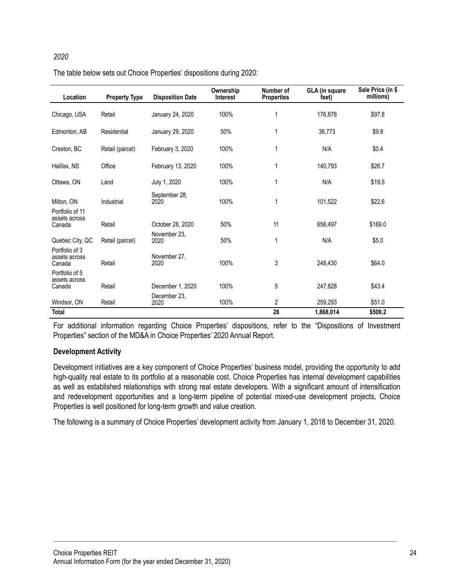# *2020* The table below sets out Choice Properties' dispositions during 2020:

| Location                                   | <b>Property Type</b> | <b>Disposition Date</b> | Ownership<br><b>Interest</b> | Number of<br><b>Properties</b> | <b>GLA (in square</b><br>feet) | Sale Price (in \$<br>millions) |
|--------------------------------------------|----------------------|-------------------------|------------------------------|--------------------------------|--------------------------------|--------------------------------|
| Chicago, USA                               | Retail               | January 24, 2020        | 100%                         | 1                              | 176.878                        | \$97.8                         |
| Edmonton, AB                               | Residential          | January 29, 2020        | 50%                          | 1                              | 36,773                         | \$9.8                          |
| Creston, BC                                | Retail (parcel)      | February 3, 2020        | 100%                         | 1                              | N/A                            | \$0.4                          |
| Halifax, NS                                | Office               | February 13, 2020       | 100%                         | 1                              | 140.793                        | \$26.7                         |
| Ottawa, ON                                 | Land                 | July 1, 2020            | 100%                         | 1                              | N/A                            | \$19.5                         |
| Milton, ON                                 | Industrial           | September 28.<br>2020   | 100%                         | 1                              | 101.522                        | \$22.6                         |
| Portfolio of 11<br>assets across<br>Canada | Retail               | October 28, 2020        | 50%                          | 11                             | 656,497                        | \$169.0                        |
| Quebec City, QC                            | Retail (parcel)      | November 23,<br>2020    | 50%                          | 1                              | N/A                            | \$5.0                          |
| Portfolio of 3<br>assets across<br>Canada  | Retail               | November 27,<br>2020    | 100%                         | 3                              | 248,430                        | \$64.0                         |
| Portfolio of 5<br>assets across<br>Canada  | Retail               | December 1, 2020        | 100%                         | 5                              | 247,828                        | \$43.4                         |
| Windsor, ON                                | Retail               | December 23.<br>2020    | 100%                         | 2                              | 259,293                        | \$51.0                         |
| Total                                      |                      |                         |                              | 28                             | 1,868,014                      | \$509.2                        |

For additional information regarding Choice Properties' dispositions, refer to the "Dispositions of Investment Properties" section of the MD&A in Choice Properties' 2020 Annual Report.

# **Development Activity**

Development initiatives are a key component of Choice Properties' business model, providing the opportunity to add high-quality real estate to its portfolio at a reasonable cost. Choice Properties has internal development capabilities as well as established relationships with strong real estate developers. With a significant amount of intensification and redevelopment opportunities and a long-term pipeline of potential mixed-use development projects, Choice Properties is well positioned for long-term growth and value creation.

The following is a summary of Choice Properties' development activity from January 1, 2018 to December 31, 2020.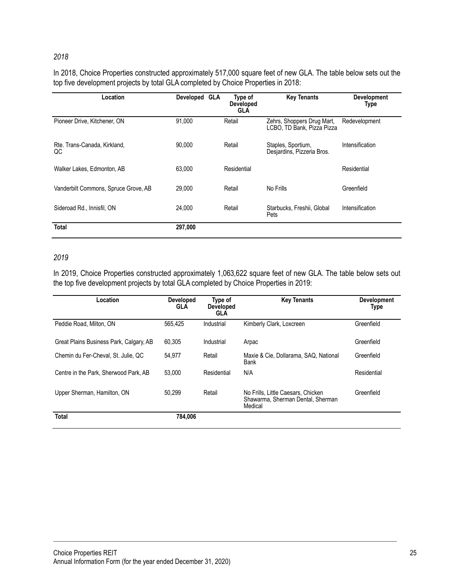#### *2018*

# In 2018, Choice Properties constructed approximately 517,000 square feet of new GLA. The table below sets out the top five development projects by total GLA completed by Choice Properties in 2018:

| Location                             | Developed GLA | Type of<br><b>Developed</b><br><b>GLA</b> | <b>Key Tenants</b>                                       | <b>Development</b><br>Type |
|--------------------------------------|---------------|-------------------------------------------|----------------------------------------------------------|----------------------------|
| Pioneer Drive, Kitchener, ON         | 91.000        | Retail                                    | Zehrs, Shoppers Drug Mart,<br>LCBO, TD Bank, Pizza Pizza | Redevelopment              |
| Rte. Trans-Canada, Kirkland,<br>QC   | 90,000        | Retail                                    | Staples, Sportium,<br>Desjardins, Pizzeria Bros.         | Intensification            |
| Walker Lakes, Edmonton, AB           | 63,000        | Residential                               |                                                          | Residential                |
| Vanderbilt Commons, Spruce Grove, AB | 29,000        | Retail                                    | No Frills                                                | Greenfield                 |
| Sideroad Rd., Innisfil, ON           | 24.000        | Retail                                    | Starbucks, Freshii, Global<br>Pets                       | Intensification            |
| <b>Total</b>                         | 297,000       |                                           |                                                          |                            |

#### *2019*

In 2019, Choice Properties constructed approximately 1,063,622 square feet of new GLA. The table below sets out the top five development projects by total GLA completed by Choice Properties in 2019:

| Location                                | <b>Developed</b><br><b>GLA</b> | Type of<br><b>Developed</b><br><b>GLA</b> | <b>Key Tenants</b>                                                                 | <b>Development</b><br>Type |
|-----------------------------------------|--------------------------------|-------------------------------------------|------------------------------------------------------------------------------------|----------------------------|
| Peddie Road, Milton, ON                 | 565.425                        | Industrial                                | Kimberly Clark, Loxcreen                                                           | Greenfield                 |
| Great Plains Business Park, Calgary, AB | 60.305                         | Industrial                                | Arpac                                                                              | Greenfield                 |
| Chemin du Fer-Cheval, St. Julie, QC     | 54,977                         | Retail                                    | Maxie & Cie, Dollarama, SAQ, National<br>Bank                                      | Greenfield                 |
| Centre in the Park, Sherwood Park, AB   | 53.000                         | Residential                               | N/A                                                                                | Residential                |
| Upper Sherman, Hamilton, ON             | 50.299                         | Retail                                    | No Frills. Little Caesars. Chicken<br>Shawarma, Sherman Dental, Sherman<br>Medical | Greenfield                 |
| <b>Total</b>                            | 784.006                        |                                           |                                                                                    |                            |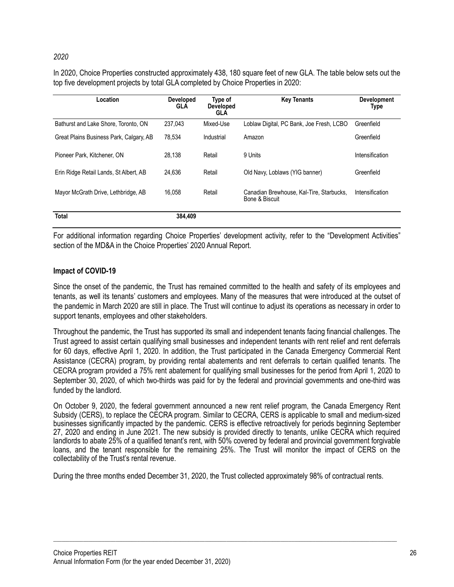# *2020*

In 2020, Choice Properties constructed approximately 438, 180 square feet of new GLA. The table below sets out the top five development projects by total GLA completed by Choice Properties in 2020:

| Location                                | <b>Developed</b><br><b>GLA</b> | Type of<br><b>Developed</b><br><b>GLA</b> | <b>Key Tenants</b>                                         | <b>Development</b><br>Type |
|-----------------------------------------|--------------------------------|-------------------------------------------|------------------------------------------------------------|----------------------------|
| Bathurst and Lake Shore, Toronto, ON    | 237.043                        | Mixed-Use                                 | Loblaw Digital, PC Bank, Joe Fresh, LCBO                   | Greenfield                 |
| Great Plains Business Park, Calgary, AB | 78.534                         | Industrial                                | Amazon                                                     | Greenfield                 |
| Pioneer Park, Kitchener, ON             | 28.138                         | Retail                                    | 9 Units                                                    | Intensification            |
| Erin Ridge Retail Lands, St Albert, AB  | 24.636                         | Retail                                    | Old Navy, Loblaws (YIG banner)                             | Greenfield                 |
| Mayor McGrath Drive, Lethbridge, AB     | 16.058                         | Retail                                    | Canadian Brewhouse, Kal-Tire, Starbucks,<br>Bone & Biscuit | Intensification            |
| <b>Total</b>                            | 384,409                        |                                           |                                                            |                            |

For additional information regarding Choice Properties' development activity, refer to the "Development Activities" section of the MD&A in the Choice Properties' 2020 Annual Report.

# **Impact of COVID-19**

Since the onset of the pandemic, the Trust has remained committed to the health and safety of its employees and tenants, as well its tenants' customers and employees. Many of the measures that were introduced at the outset of the pandemic in March 2020 are still in place. The Trust will continue to adjust its operations as necessary in order to support tenants, employees and other stakeholders.

Throughout the pandemic, the Trust has supported its small and independent tenants facing financial challenges. The Trust agreed to assist certain qualifying small businesses and independent tenants with rent relief and rent deferrals for 60 days, effective April 1, 2020. In addition, the Trust participated in the Canada Emergency Commercial Rent Assistance (CECRA) program, by providing rental abatements and rent deferrals to certain qualified tenants. The CECRA program provided a 75% rent abatement for qualifying small businesses for the period from April 1, 2020 to September 30, 2020, of which two-thirds was paid for by the federal and provincial governments and one-third was funded by the landlord.

On October 9, 2020, the federal government announced a new rent relief program, the Canada Emergency Rent Subsidy (CERS), to replace the CECRA program. Similar to CECRA, CERS is applicable to small and medium-sized businesses significantly impacted by the pandemic. CERS is effective retroactively for periods beginning September 27, 2020 and ending in June 2021. The new subsidy is provided directly to tenants, unlike CECRA which required landlords to abate 25% of a qualified tenant's rent, with 50% covered by federal and provincial government forgivable loans, and the tenant responsible for the remaining 25%. The Trust will monitor the impact of CERS on the collectability of the Trust's rental revenue.

During the three months ended December 31, 2020, the Trust collected approximately 98% of contractual rents.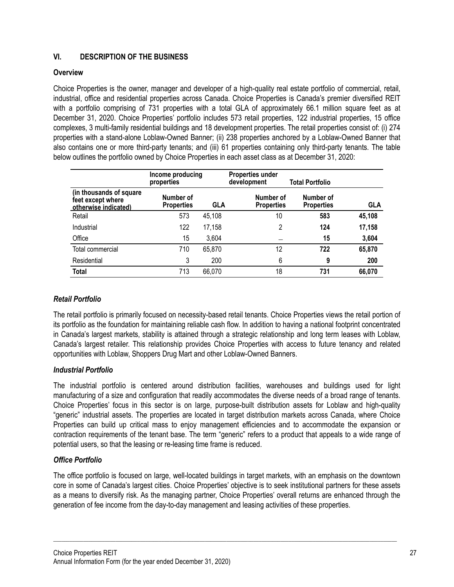# **VI. DESCRIPTION OF THE BUSINESS**

# **Overview**

Choice Properties is the owner, manager and developer of a high-quality real estate portfolio of commercial, retail, industrial, office and residential properties across Canada. Choice Properties is Canada's premier diversified REIT with a portfolio comprising of 731 properties with a total GLA of approximately 66.1 million square feet as at December 31, 2020. Choice Properties' portfolio includes 573 retail properties, 122 industrial properties, 15 office complexes, 3 multi-family residential buildings and 18 development properties. The retail properties consist of: (i) 274 properties with a stand-alone Loblaw-Owned Banner; (ii) 238 properties anchored by a Loblaw-Owned Banner that also contains one or more third-party tenants; and (iii) 61 properties containing only third-party tenants. The table below outlines the portfolio owned by Choice Properties in each asset class as at December 31, 2020:

|                                                                      | Income producing<br>properties |            | <b>Properties under</b><br>development | Total Portfolio                |            |
|----------------------------------------------------------------------|--------------------------------|------------|----------------------------------------|--------------------------------|------------|
| (in thousands of square<br>feet except where<br>otherwise indicated) | Number of<br><b>Properties</b> | <b>GLA</b> | Number of<br><b>Properties</b>         | Number of<br><b>Properties</b> | <b>GLA</b> |
| Retail                                                               | 573                            | 45,108     | 10                                     | 583                            | 45,108     |
| Industrial                                                           | 122                            | 17,158     | 2                                      | 124                            | 17,158     |
| Office                                                               | 15                             | 3,604      |                                        | 15                             | 3,604      |
| Total commercial                                                     | 710                            | 65,870     | 12                                     | 722                            | 65,870     |
| Residential                                                          | 3                              | 200        | 6                                      | 9                              | 200        |
| Total                                                                | 713                            | 66,070     | 18                                     | 731                            | 66,070     |

# *Retail Portfolio*

The retail portfolio is primarily focused on necessity-based retail tenants. Choice Properties views the retail portion of its portfolio as the foundation for maintaining reliable cash flow. In addition to having a national footprint concentrated in Canada's largest markets, stability is attained through a strategic relationship and long term leases with Loblaw, Canada's largest retailer. This relationship provides Choice Properties with access to future tenancy and related opportunities with Loblaw, Shoppers Drug Mart and other Loblaw-Owned Banners.

# *Industrial Portfolio*

The industrial portfolio is centered around distribution facilities, warehouses and buildings used for light manufacturing of a size and configuration that readily accommodates the diverse needs of a broad range of tenants. Choice Properties' focus in this sector is on large, purpose-built distribution assets for Loblaw and high-quality "generic" industrial assets. The properties are located in target distribution markets across Canada, where Choice Properties can build up critical mass to enjoy management efficiencies and to accommodate the expansion or contraction requirements of the tenant base. The term "generic" refers to a product that appeals to a wide range of potential users, so that the leasing or re-leasing time frame is reduced.

# *Office Portfolio*

The office portfolio is focused on large, well-located buildings in target markets, with an emphasis on the downtown core in some of Canada's largest cities. Choice Properties' objective is to seek institutional partners for these assets as a means to diversify risk. As the managing partner, Choice Properties' overall returns are enhanced through the generation of fee income from the day-to-day management and leasing activities of these properties.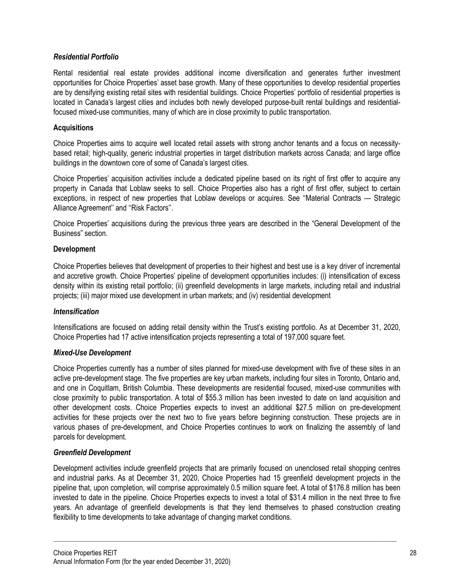# *Residential Portfolio*

Rental residential real estate provides additional income diversification and generates further investment opportunities for Choice Properties' asset base growth. Many of these opportunities to develop residential properties are by densifying existing retail sites with residential buildings. Choice Properties' portfolio of residential properties is located in Canada's largest cities and includes both newly developed purpose-built rental buildings and residentialfocused mixed-use communities, many of which are in close proximity to public transportation.

#### **Acquisitions**

Choice Properties aims to acquire well located retail assets with strong anchor tenants and a focus on necessitybased retail; high-quality, generic industrial properties in target distribution markets across Canada; and large office buildings in the downtown core of some of Canada's largest cities.

Choice Properties' acquisition activities include a dedicated pipeline based on its right of first offer to acquire any property in Canada that Loblaw seeks to sell. Choice Properties also has a right of first offer, subject to certain exceptions, in respect of new properties that Loblaw develops or acquires. See ''Material Contracts — Strategic Alliance Agreement'' and ''Risk Factors''.

Choice Properties' acquisitions during the previous three years are described in the "General Development of the Business" section.

#### **Development**

Choice Properties believes that development of properties to their highest and best use is a key driver of incremental and accretive growth. Choice Properties' pipeline of development opportunities includes: (i) intensification of excess density within its existing retail portfolio; (ii) greenfield developments in large markets, including retail and industrial projects; (iii) major mixed use development in urban markets; and (iv) residential development

#### *Intensification*

Intensifications are focused on adding retail density within the Trust's existing portfolio. As at December 31, 2020, Choice Properties had 17 active intensification projects representing a total of 197,000 square feet.

#### *Mixed-Use Development*

Choice Properties currently has a number of sites planned for mixed-use development with five of these sites in an active pre-development stage. The five properties are key urban markets, including four sites in Toronto, Ontario and, and one in Coquitlam, British Columbia. These developments are residential focused, mixed-use communities with close proximity to public transportation. A total of \$55.3 million has been invested to date on land acquisition and other development costs. Choice Properties expects to invest an additional \$27.5 million on pre-development activities for these projects over the next two to five years before beginning construction. These projects are in various phases of pre-development, and Choice Properties continues to work on finalizing the assembly of land parcels for development.

# *Greenfield Development*

Development activities include greenfield projects that are primarily focused on unenclosed retail shopping centres and industrial parks. As at December 31, 2020, Choice Properties had 15 greenfield development projects in the pipeline that, upon completion, will comprise approximately 0.5 million square feet. A total of \$176.8 million has been invested to date in the pipeline. Choice Properties expects to invest a total of \$31.4 million in the next three to five years. An advantage of greenfield developments is that they lend themselves to phased construction creating flexibility to time developments to take advantage of changing market conditions.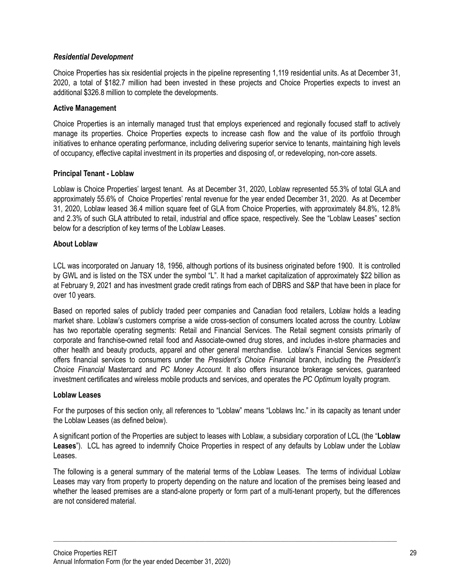# *Residential Development*

Choice Properties has six residential projects in the pipeline representing 1,119 residential units. As at December 31, 2020, a total of \$182.7 million had been invested in these projects and Choice Properties expects to invest an additional \$326.8 million to complete the developments.

# **Active Management**

Choice Properties is an internally managed trust that employs experienced and regionally focused staff to actively manage its properties. Choice Properties expects to increase cash flow and the value of its portfolio through initiatives to enhance operating performance, including delivering superior service to tenants, maintaining high levels of occupancy, effective capital investment in its properties and disposing of, or redeveloping, non-core assets.

# **Principal Tenant - Loblaw**

Loblaw is Choice Properties' largest tenant. As at December 31, 2020, Loblaw represented 55.3% of total GLA and approximately 55.6% of Choice Properties' rental revenue for the year ended December 31, 2020. As at December 31, 2020, Loblaw leased 36.4 million square feet of GLA from Choice Properties, with approximately 84.8%, 12.8% and 2.3% of such GLA attributed to retail, industrial and office space, respectively. See the "Loblaw Leases" section below for a description of key terms of the Loblaw Leases.

# **About Loblaw**

LCL was incorporated on January 18, 1956, although portions of its business originated before 1900. It is controlled by GWL and is listed on the TSX under the symbol "L". It had a market capitalization of approximately \$22 billion as at February 9, 2021 and has investment grade credit ratings from each of DBRS and S&P that have been in place for over 10 years.

Based on reported sales of publicly traded peer companies and Canadian food retailers, Loblaw holds a leading market share. Loblaw's customers comprise a wide cross-section of consumers located across the country. Loblaw has two reportable operating segments: Retail and Financial Services. The Retail segment consists primarily of corporate and franchise-owned retail food and Associate-owned drug stores, and includes in-store pharmacies and other health and beauty products, apparel and other general merchandise. Loblaw's Financial Services segment offers financial services to consumers under the *President's Choice Financia*l branch, including the *President's Choice Financial* Mastercard and *PC Money Account*. It also offers insurance brokerage services, guaranteed investment certificates and wireless mobile products and services, and operates the *PC Optimum* loyalty program.

# **Loblaw Leases**

For the purposes of this section only, all references to "Loblaw" means "Loblaws Inc." in its capacity as tenant under the Loblaw Leases (as defined below).

A significant portion of the Properties are subject to leases with Loblaw, a subsidiary corporation of LCL (the "**Loblaw Leases**"). LCL has agreed to indemnify Choice Properties in respect of any defaults by Loblaw under the Loblaw Leases.

The following is a general summary of the material terms of the Loblaw Leases. The terms of individual Loblaw Leases may vary from property to property depending on the nature and location of the premises being leased and whether the leased premises are a stand-alone property or form part of a multi-tenant property, but the differences are not considered material.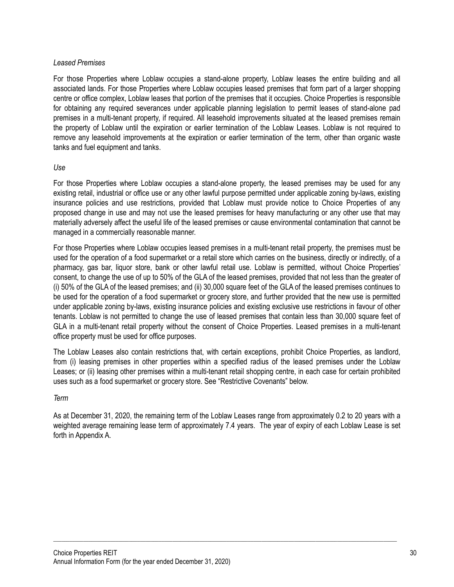# *Leased Premises*

For those Properties where Loblaw occupies a stand-alone property, Loblaw leases the entire building and all associated lands. For those Properties where Loblaw occupies leased premises that form part of a larger shopping centre or office complex, Loblaw leases that portion of the premises that it occupies. Choice Properties is responsible for obtaining any required severances under applicable planning legislation to permit leases of stand-alone pad premises in a multi-tenant property, if required. All leasehold improvements situated at the leased premises remain the property of Loblaw until the expiration or earlier termination of the Loblaw Leases. Loblaw is not required to remove any leasehold improvements at the expiration or earlier termination of the term, other than organic waste tanks and fuel equipment and tanks.

#### *Use*

For those Properties where Loblaw occupies a stand-alone property, the leased premises may be used for any existing retail, industrial or office use or any other lawful purpose permitted under applicable zoning by-laws, existing insurance policies and use restrictions, provided that Loblaw must provide notice to Choice Properties of any proposed change in use and may not use the leased premises for heavy manufacturing or any other use that may materially adversely affect the useful life of the leased premises or cause environmental contamination that cannot be managed in a commercially reasonable manner.

For those Properties where Loblaw occupies leased premises in a multi-tenant retail property, the premises must be used for the operation of a food supermarket or a retail store which carries on the business, directly or indirectly, of a pharmacy, gas bar, liquor store, bank or other lawful retail use. Loblaw is permitted, without Choice Properties' consent, to change the use of up to 50% of the GLA of the leased premises, provided that not less than the greater of (i) 50% of the GLA of the leased premises; and (ii) 30,000 square feet of the GLA of the leased premises continues to be used for the operation of a food supermarket or grocery store, and further provided that the new use is permitted under applicable zoning by-laws, existing insurance policies and existing exclusive use restrictions in favour of other tenants. Loblaw is not permitted to change the use of leased premises that contain less than 30,000 square feet of GLA in a multi-tenant retail property without the consent of Choice Properties. Leased premises in a multi-tenant office property must be used for office purposes.

The Loblaw Leases also contain restrictions that, with certain exceptions, prohibit Choice Properties, as landlord, from (i) leasing premises in other properties within a specified radius of the leased premises under the Loblaw Leases; or (ii) leasing other premises within a multi-tenant retail shopping centre, in each case for certain prohibited uses such as a food supermarket or grocery store. See "Restrictive Covenants" below.

#### *Term*

As at December 31, 2020, the remaining term of the Loblaw Leases range from approximately 0.2 to 20 years with a weighted average remaining lease term of approximately 7.4 years. The year of expiry of each Loblaw Lease is set forth in Appendix A.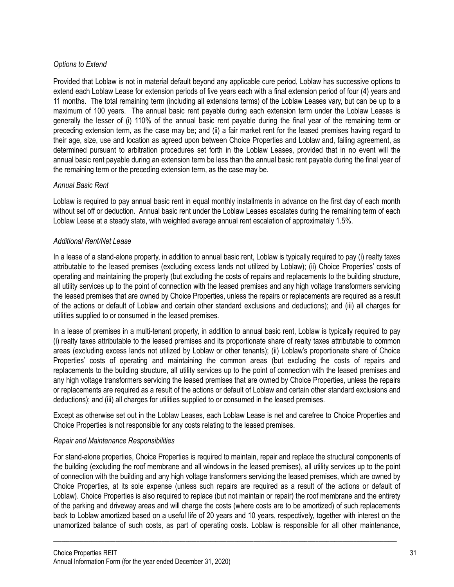# *Options to Extend*

Provided that Loblaw is not in material default beyond any applicable cure period, Loblaw has successive options to extend each Loblaw Lease for extension periods of five years each with a final extension period of four (4) years and 11 months. The total remaining term (including all extensions terms) of the Loblaw Leases vary, but can be up to a maximum of 100 years. The annual basic rent payable during each extension term under the Loblaw Leases is generally the lesser of (i) 110% of the annual basic rent payable during the final year of the remaining term or preceding extension term, as the case may be; and (ii) a fair market rent for the leased premises having regard to their age, size, use and location as agreed upon between Choice Properties and Loblaw and, failing agreement, as determined pursuant to arbitration procedures set forth in the Loblaw Leases, provided that in no event will the annual basic rent payable during an extension term be less than the annual basic rent payable during the final year of the remaining term or the preceding extension term, as the case may be.

# *Annual Basic Rent*

Loblaw is required to pay annual basic rent in equal monthly installments in advance on the first day of each month without set off or deduction. Annual basic rent under the Loblaw Leases escalates during the remaining term of each Loblaw Lease at a steady state, with weighted average annual rent escalation of approximately 1.5%.

# *Additional Rent/Net Lease*

In a lease of a stand-alone property, in addition to annual basic rent, Loblaw is typically required to pay (i) realty taxes attributable to the leased premises (excluding excess lands not utilized by Loblaw); (ii) Choice Properties' costs of operating and maintaining the property (but excluding the costs of repairs and replacements to the building structure, all utility services up to the point of connection with the leased premises and any high voltage transformers servicing the leased premises that are owned by Choice Properties, unless the repairs or replacements are required as a result of the actions or default of Loblaw and certain other standard exclusions and deductions); and (iii) all charges for utilities supplied to or consumed in the leased premises.

In a lease of premises in a multi-tenant property, in addition to annual basic rent, Loblaw is typically required to pay (i) realty taxes attributable to the leased premises and its proportionate share of realty taxes attributable to common areas (excluding excess lands not utilized by Loblaw or other tenants); (ii) Loblaw's proportionate share of Choice Properties' costs of operating and maintaining the common areas (but excluding the costs of repairs and replacements to the building structure, all utility services up to the point of connection with the leased premises and any high voltage transformers servicing the leased premises that are owned by Choice Properties, unless the repairs or replacements are required as a result of the actions or default of Loblaw and certain other standard exclusions and deductions); and (iii) all charges for utilities supplied to or consumed in the leased premises.

Except as otherwise set out in the Loblaw Leases, each Loblaw Lease is net and carefree to Choice Properties and Choice Properties is not responsible for any costs relating to the leased premises.

#### *Repair and Maintenance Responsibilities*

For stand-alone properties, Choice Properties is required to maintain, repair and replace the structural components of the building (excluding the roof membrane and all windows in the leased premises), all utility services up to the point of connection with the building and any high voltage transformers servicing the leased premises, which are owned by Choice Properties, at its sole expense (unless such repairs are required as a result of the actions or default of Loblaw). Choice Properties is also required to replace (but not maintain or repair) the roof membrane and the entirety of the parking and driveway areas and will charge the costs (where costs are to be amortized) of such replacements back to Loblaw amortized based on a useful life of 20 years and 10 years, respectively, together with interest on the unamortized balance of such costs, as part of operating costs. Loblaw is responsible for all other maintenance,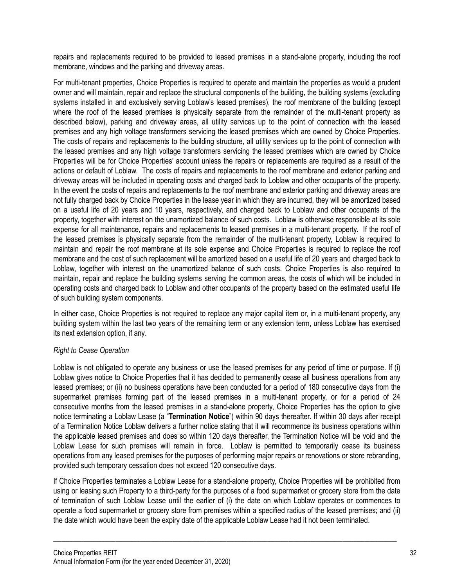repairs and replacements required to be provided to leased premises in a stand-alone property, including the roof membrane, windows and the parking and driveway areas.

For multi-tenant properties, Choice Properties is required to operate and maintain the properties as would a prudent owner and will maintain, repair and replace the structural components of the building, the building systems (excluding systems installed in and exclusively serving Loblaw's leased premises), the roof membrane of the building (except where the roof of the leased premises is physically separate from the remainder of the multi-tenant property as described below), parking and driveway areas, all utility services up to the point of connection with the leased premises and any high voltage transformers servicing the leased premises which are owned by Choice Properties. The costs of repairs and replacements to the building structure, all utility services up to the point of connection with the leased premises and any high voltage transformers servicing the leased premises which are owned by Choice Properties will be for Choice Properties' account unless the repairs or replacements are required as a result of the actions or default of Loblaw. The costs of repairs and replacements to the roof membrane and exterior parking and driveway areas will be included in operating costs and charged back to Loblaw and other occupants of the property. In the event the costs of repairs and replacements to the roof membrane and exterior parking and driveway areas are not fully charged back by Choice Properties in the lease year in which they are incurred, they will be amortized based on a useful life of 20 years and 10 years, respectively, and charged back to Loblaw and other occupants of the property, together with interest on the unamortized balance of such costs. Loblaw is otherwise responsible at its sole expense for all maintenance, repairs and replacements to leased premises in a multi-tenant property. If the roof of the leased premises is physically separate from the remainder of the multi-tenant property, Loblaw is required to maintain and repair the roof membrane at its sole expense and Choice Properties is required to replace the roof membrane and the cost of such replacement will be amortized based on a useful life of 20 years and charged back to Loblaw, together with interest on the unamortized balance of such costs. Choice Properties is also required to maintain, repair and replace the building systems serving the common areas, the costs of which will be included in operating costs and charged back to Loblaw and other occupants of the property based on the estimated useful life of such building system components.

In either case, Choice Properties is not required to replace any major capital item or, in a multi-tenant property, any building system within the last two years of the remaining term or any extension term, unless Loblaw has exercised its next extension option, if any.

# *Right to Cease Operation*

Loblaw is not obligated to operate any business or use the leased premises for any period of time or purpose. If (i) Loblaw gives notice to Choice Properties that it has decided to permanently cease all business operations from any leased premises; or (ii) no business operations have been conducted for a period of 180 consecutive days from the supermarket premises forming part of the leased premises in a multi-tenant property, or for a period of 24 consecutive months from the leased premises in a stand-alone property, Choice Properties has the option to give notice terminating a Loblaw Lease (a "**Termination Notice**") within 90 days thereafter. If within 30 days after receipt of a Termination Notice Loblaw delivers a further notice stating that it will recommence its business operations within the applicable leased premises and does so within 120 days thereafter, the Termination Notice will be void and the Loblaw Lease for such premises will remain in force. Loblaw is permitted to temporarily cease its business operations from any leased premises for the purposes of performing major repairs or renovations or store rebranding, provided such temporary cessation does not exceed 120 consecutive days.

If Choice Properties terminates a Loblaw Lease for a stand-alone property, Choice Properties will be prohibited from using or leasing such Property to a third-party for the purposes of a food supermarket or grocery store from the date of termination of such Loblaw Lease until the earlier of (i) the date on which Loblaw operates or commences to operate a food supermarket or grocery store from premises within a specified radius of the leased premises; and (ii) the date which would have been the expiry date of the applicable Loblaw Lease had it not been terminated.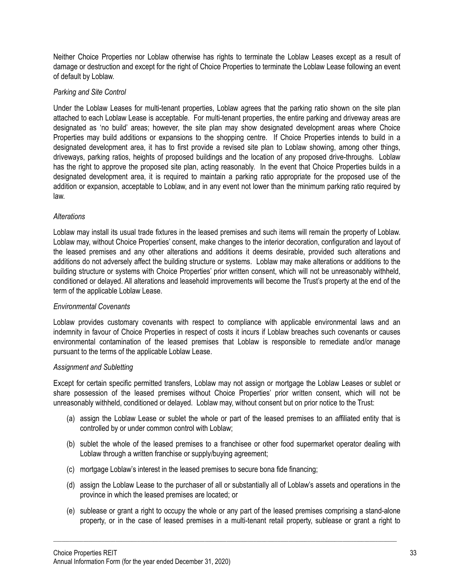Neither Choice Properties nor Loblaw otherwise has rights to terminate the Loblaw Leases except as a result of damage or destruction and except for the right of Choice Properties to terminate the Loblaw Lease following an event of default by Loblaw.

#### *Parking and Site Control*

Under the Loblaw Leases for multi-tenant properties, Loblaw agrees that the parking ratio shown on the site plan attached to each Loblaw Lease is acceptable. For multi-tenant properties, the entire parking and driveway areas are designated as 'no build' areas; however, the site plan may show designated development areas where Choice Properties may build additions or expansions to the shopping centre. If Choice Properties intends to build in a designated development area, it has to first provide a revised site plan to Loblaw showing, among other things, driveways, parking ratios, heights of proposed buildings and the location of any proposed drive-throughs. Loblaw has the right to approve the proposed site plan, acting reasonably. In the event that Choice Properties builds in a designated development area, it is required to maintain a parking ratio appropriate for the proposed use of the addition or expansion, acceptable to Loblaw, and in any event not lower than the minimum parking ratio required by law.

#### *Alterations*

Loblaw may install its usual trade fixtures in the leased premises and such items will remain the property of Loblaw. Loblaw may, without Choice Properties' consent, make changes to the interior decoration, configuration and layout of the leased premises and any other alterations and additions it deems desirable, provided such alterations and additions do not adversely affect the building structure or systems. Loblaw may make alterations or additions to the building structure or systems with Choice Properties' prior written consent, which will not be unreasonably withheld, conditioned or delayed. All alterations and leasehold improvements will become the Trust's property at the end of the term of the applicable Loblaw Lease.

# *Environmental Covenants*

Loblaw provides customary covenants with respect to compliance with applicable environmental laws and an indemnity in favour of Choice Properties in respect of costs it incurs if Loblaw breaches such covenants or causes environmental contamination of the leased premises that Loblaw is responsible to remediate and/or manage pursuant to the terms of the applicable Loblaw Lease.

#### *Assignment and Subletting*

Except for certain specific permitted transfers, Loblaw may not assign or mortgage the Loblaw Leases or sublet or share possession of the leased premises without Choice Properties' prior written consent, which will not be unreasonably withheld, conditioned or delayed. Loblaw may, without consent but on prior notice to the Trust:

- (a) assign the Loblaw Lease or sublet the whole or part of the leased premises to an affiliated entity that is controlled by or under common control with Loblaw;
- (b) sublet the whole of the leased premises to a franchisee or other food supermarket operator dealing with Loblaw through a written franchise or supply/buying agreement:
- (c) mortgage Loblaw's interest in the leased premises to secure bona fide financing;
- (d) assign the Loblaw Lease to the purchaser of all or substantially all of Loblaw's assets and operations in the province in which the leased premises are located; or
- (e) sublease or grant a right to occupy the whole or any part of the leased premises comprising a stand-alone property, or in the case of leased premises in a multi-tenant retail property, sublease or grant a right to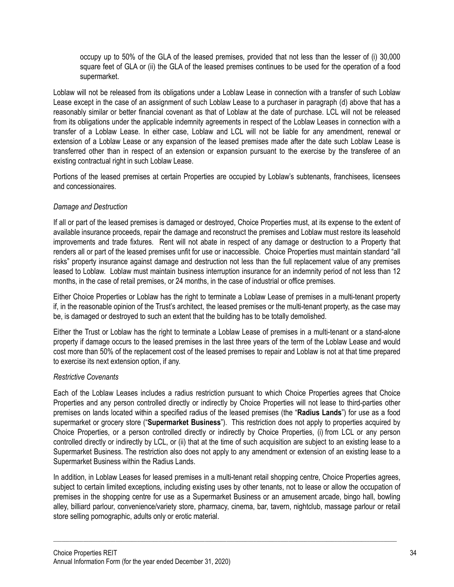occupy up to 50% of the GLA of the leased premises, provided that not less than the lesser of (i) 30,000 square feet of GLA or (ii) the GLA of the leased premises continues to be used for the operation of a food supermarket.

Loblaw will not be released from its obligations under a Loblaw Lease in connection with a transfer of such Loblaw Lease except in the case of an assignment of such Loblaw Lease to a purchaser in paragraph (d) above that has a reasonably similar or better financial covenant as that of Loblaw at the date of purchase. LCL will not be released from its obligations under the applicable indemnity agreements in respect of the Loblaw Leases in connection with a transfer of a Loblaw Lease. In either case, Loblaw and LCL will not be liable for any amendment, renewal or extension of a Loblaw Lease or any expansion of the leased premises made after the date such Loblaw Lease is transferred other than in respect of an extension or expansion pursuant to the exercise by the transferee of an existing contractual right in such Loblaw Lease.

Portions of the leased premises at certain Properties are occupied by Loblaw's subtenants, franchisees, licensees and concessionaires.

# *Damage and Destruction*

If all or part of the leased premises is damaged or destroyed, Choice Properties must, at its expense to the extent of available insurance proceeds, repair the damage and reconstruct the premises and Loblaw must restore its leasehold improvements and trade fixtures. Rent will not abate in respect of any damage or destruction to a Property that renders all or part of the leased premises unfit for use or inaccessible. Choice Properties must maintain standard "all risks" property insurance against damage and destruction not less than the full replacement value of any premises leased to Loblaw. Loblaw must maintain business interruption insurance for an indemnity period of not less than 12 months, in the case of retail premises, or 24 months, in the case of industrial or office premises.

Either Choice Properties or Loblaw has the right to terminate a Loblaw Lease of premises in a multi-tenant property if, in the reasonable opinion of the Trust's architect, the leased premises or the multi-tenant property, as the case may be, is damaged or destroyed to such an extent that the building has to be totally demolished.

Either the Trust or Loblaw has the right to terminate a Loblaw Lease of premises in a multi-tenant or a stand-alone property if damage occurs to the leased premises in the last three years of the term of the Loblaw Lease and would cost more than 50% of the replacement cost of the leased premises to repair and Loblaw is not at that time prepared to exercise its next extension option, if any.

# *Restrictive Covenants*

Each of the Loblaw Leases includes a radius restriction pursuant to which Choice Properties agrees that Choice Properties and any person controlled directly or indirectly by Choice Properties will not lease to third-parties other premises on lands located within a specified radius of the leased premises (the "**Radius Lands**") for use as a food supermarket or grocery store ("**Supermarket Business**"). This restriction does not apply to properties acquired by Choice Properties, or a person controlled directly or indirectly by Choice Properties, (i) from LCL or any person controlled directly or indirectly by LCL, or (ii) that at the time of such acquisition are subject to an existing lease to a Supermarket Business. The restriction also does not apply to any amendment or extension of an existing lease to a Supermarket Business within the Radius Lands.

In addition, in Loblaw Leases for leased premises in a multi-tenant retail shopping centre, Choice Properties agrees, subject to certain limited exceptions, including existing uses by other tenants, not to lease or allow the occupation of premises in the shopping centre for use as a Supermarket Business or an amusement arcade, bingo hall, bowling alley, billiard parlour, convenience/variety store, pharmacy, cinema, bar, tavern, nightclub, massage parlour or retail store selling pornographic, adults only or erotic material.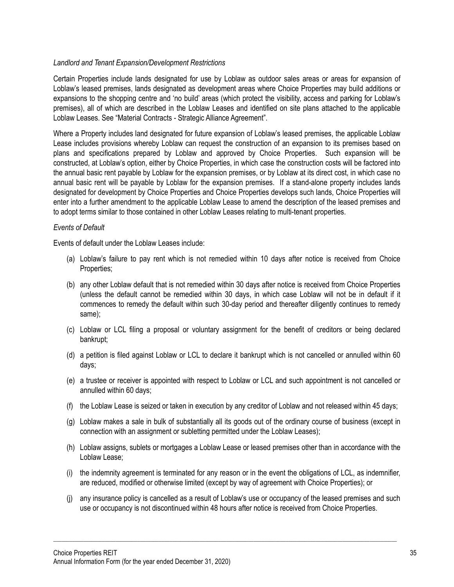#### *Landlord and Tenant Expansion/Development Restrictions*

Certain Properties include lands designated for use by Loblaw as outdoor sales areas or areas for expansion of Loblaw's leased premises, lands designated as development areas where Choice Properties may build additions or expansions to the shopping centre and 'no build' areas (which protect the visibility, access and parking for Loblaw's premises), all of which are described in the Loblaw Leases and identified on site plans attached to the applicable Loblaw Leases. See "Material Contracts - Strategic Alliance Agreement".

Where a Property includes land designated for future expansion of Loblaw's leased premises, the applicable Loblaw Lease includes provisions whereby Loblaw can request the construction of an expansion to its premises based on plans and specifications prepared by Loblaw and approved by Choice Properties. Such expansion will be constructed, at Loblaw's option, either by Choice Properties, in which case the construction costs will be factored into the annual basic rent payable by Loblaw for the expansion premises, or by Loblaw at its direct cost, in which case no annual basic rent will be payable by Loblaw for the expansion premises. If a stand-alone property includes lands designated for development by Choice Properties and Choice Properties develops such lands, Choice Properties will enter into a further amendment to the applicable Loblaw Lease to amend the description of the leased premises and to adopt terms similar to those contained in other Loblaw Leases relating to multi-tenant properties.

#### *Events of Default*

Events of default under the Loblaw Leases include:

- (a) Loblaw's failure to pay rent which is not remedied within 10 days after notice is received from Choice Properties;
- (b) any other Loblaw default that is not remedied within 30 days after notice is received from Choice Properties (unless the default cannot be remedied within 30 days, in which case Loblaw will not be in default if it commences to remedy the default within such 30-day period and thereafter diligently continues to remedy same);
- (c) Loblaw or LCL filing a proposal or voluntary assignment for the benefit of creditors or being declared bankrupt;
- (d) a petition is filed against Loblaw or LCL to declare it bankrupt which is not cancelled or annulled within 60 days;
- (e) a trustee or receiver is appointed with respect to Loblaw or LCL and such appointment is not cancelled or annulled within 60 days;
- (f) the Loblaw Lease is seized or taken in execution by any creditor of Loblaw and not released within 45 days;
- (g) Loblaw makes a sale in bulk of substantially all its goods out of the ordinary course of business (except in connection with an assignment or subletting permitted under the Loblaw Leases);
- (h) Loblaw assigns, sublets or mortgages a Loblaw Lease or leased premises other than in accordance with the Loblaw Lease;
- (i) the indemnity agreement is terminated for any reason or in the event the obligations of LCL, as indemnifier, are reduced, modified or otherwise limited (except by way of agreement with Choice Properties); or
- (j) any insurance policy is cancelled as a result of Loblaw's use or occupancy of the leased premises and such use or occupancy is not discontinued within 48 hours after notice is received from Choice Properties.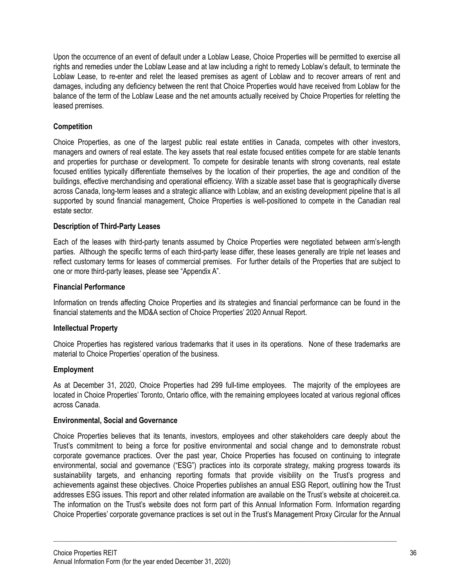Upon the occurrence of an event of default under a Loblaw Lease, Choice Properties will be permitted to exercise all rights and remedies under the Loblaw Lease and at law including a right to remedy Loblaw's default, to terminate the Loblaw Lease, to re-enter and relet the leased premises as agent of Loblaw and to recover arrears of rent and damages, including any deficiency between the rent that Choice Properties would have received from Loblaw for the balance of the term of the Loblaw Lease and the net amounts actually received by Choice Properties for reletting the leased premises.

## **Competition**

Choice Properties, as one of the largest public real estate entities in Canada, competes with other investors, managers and owners of real estate. The key assets that real estate focused entities compete for are stable tenants and properties for purchase or development. To compete for desirable tenants with strong covenants, real estate focused entities typically differentiate themselves by the location of their properties, the age and condition of the buildings, effective merchandising and operational efficiency. With a sizable asset base that is geographically diverse across Canada, long-term leases and a strategic alliance with Loblaw, and an existing development pipeline that is all supported by sound financial management, Choice Properties is well-positioned to compete in the Canadian real estate sector.

## **Description of Third-Party Leases**

Each of the leases with third-party tenants assumed by Choice Properties were negotiated between arm's-length parties. Although the specific terms of each third-party lease differ, these leases generally are triple net leases and reflect customary terms for leases of commercial premises. For further details of the Properties that are subject to one or more third-party leases, please see "Appendix A".

### **Financial Performance**

Information on trends affecting Choice Properties and its strategies and financial performance can be found in the financial statements and the MD&A section of Choice Properties' 2020 Annual Report.

### **Intellectual Property**

Choice Properties has registered various trademarks that it uses in its operations. None of these trademarks are material to Choice Properties' operation of the business.

### **Employment**

As at December 31, 2020, Choice Properties had 299 full-time employees. The majority of the employees are located in Choice Properties' Toronto, Ontario office, with the remaining employees located at various regional offices across Canada.

### **Environmental, Social and Governance**

Choice Properties believes that its tenants, investors, employees and other stakeholders care deeply about the Trust's commitment to being a force for positive environmental and social change and to demonstrate robust corporate governance practices. Over the past year, Choice Properties has focused on continuing to integrate environmental, social and governance ("ESG") practices into its corporate strategy, making progress towards its sustainability targets, and enhancing reporting formats that provide visibility on the Trust's progress and achievements against these objectives. Choice Properties publishes an annual ESG Report, outlining how the Trust addresses ESG issues. This report and other related information are available on the Trust's website at choicereit.ca. The information on the Trust's website does not form part of this Annual Information Form. Information regarding Choice Properties' corporate governance practices is set out in the Trust's Management Proxy Circular for the Annual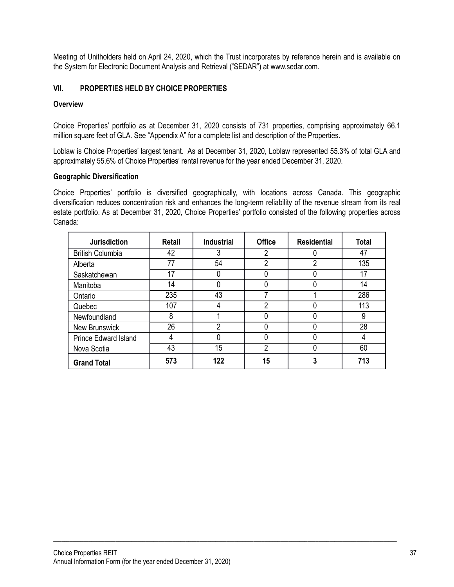Meeting of Unitholders held on April 24, 2020, which the Trust incorporates by reference herein and is available on the System for Electronic Document Analysis and Retrieval ("SEDAR") at www.sedar.com.

## **VII. PROPERTIES HELD BY CHOICE PROPERTIES**

### **Overview**

Choice Properties' portfolio as at December 31, 2020 consists of 731 properties, comprising approximately 66.1 million square feet of GLA. See "Appendix A" for a complete list and description of the Properties.

Loblaw is Choice Properties' largest tenant. As at December 31, 2020, Loblaw represented 55.3% of total GLA and approximately 55.6% of Choice Properties' rental revenue for the year ended December 31, 2020.

#### **Geographic Diversification**

Choice Properties' portfolio is diversified geographically, with locations across Canada. This geographic diversification reduces concentration risk and enhances the long-term reliability of the revenue stream from its real estate portfolio. As at December 31, 2020, Choice Properties' portfolio consisted of the following properties across Canada:

| <b>Jurisdiction</b>         | Retail | <b>Industrial</b> | <b>Office</b> | <b>Residential</b> | <b>Total</b> |
|-----------------------------|--------|-------------------|---------------|--------------------|--------------|
| <b>British Columbia</b>     | 42     | 3                 | າ             | 0                  | 47           |
| Alberta                     | 77     | 54                | 2             | 2                  | 135          |
| Saskatchewan                | 17     |                   |               | 0                  | 17           |
| Manitoba                    | 14     |                   |               | 0                  | 14           |
| Ontario                     | 235    | 43                |               |                    | 286          |
| Quebec                      | 107    | 4                 | 2             | 0                  | 113          |
| Newfoundland                | 8      |                   |               | 0                  | 9            |
| <b>New Brunswick</b>        | 26     | າ                 |               | 0                  | 28           |
| <b>Prince Edward Island</b> | 4      |                   |               | Ω                  |              |
| Nova Scotia                 | 43     | 15                | 2             | 0                  | 60           |
| <b>Grand Total</b>          | 573    | 122               | 15            | 3                  | 713          |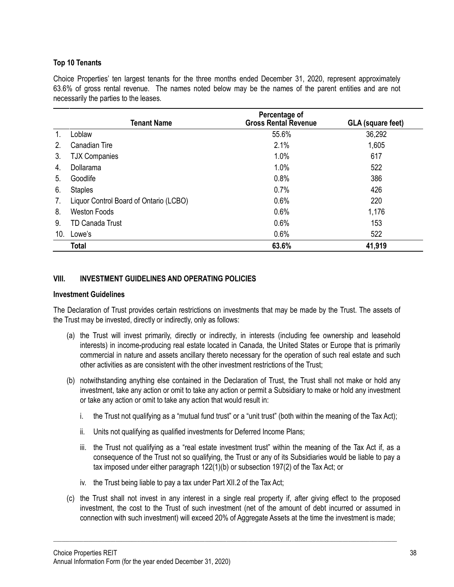## **Top 10 Tenants**

Choice Properties' ten largest tenants for the three months ended December 31, 2020, represent approximately 63.6% of gross rental revenue. The names noted below may be the names of the parent entities and are not necessarily the parties to the leases.

|     | Tenant Name                            | Percentage of<br><b>Gross Rental Revenue</b> | <b>GLA (square feet)</b> |
|-----|----------------------------------------|----------------------------------------------|--------------------------|
|     | Loblaw                                 | 55.6%                                        | 36,292                   |
| 2.  | Canadian Tire                          | 2.1%                                         | 1,605                    |
| 3.  | <b>TJX Companies</b>                   | 1.0%                                         | 617                      |
| 4.  | Dollarama                              | 1.0%                                         | 522                      |
| 5.  | Goodlife                               | 0.8%                                         | 386                      |
| 6.  | <b>Staples</b>                         | 0.7%                                         | 426                      |
| 7.  | Liquor Control Board of Ontario (LCBO) | 0.6%                                         | 220                      |
| 8.  | <b>Weston Foods</b>                    | 0.6%                                         | 1,176                    |
| 9.  | <b>TD Canada Trust</b>                 | 0.6%                                         | 153                      |
| 10. | Lowe's                                 | 0.6%                                         | 522                      |
|     | <b>Total</b>                           | 63.6%                                        | 41,919                   |

### **VIII. INVESTMENT GUIDELINES AND OPERATING POLICIES**

#### **Investment Guidelines**

The Declaration of Trust provides certain restrictions on investments that may be made by the Trust. The assets of the Trust may be invested, directly or indirectly, only as follows:

- (a) the Trust will invest primarily, directly or indirectly, in interests (including fee ownership and leasehold interests) in income-producing real estate located in Canada, the United States or Europe that is primarily commercial in nature and assets ancillary thereto necessary for the operation of such real estate and such other activities as are consistent with the other investment restrictions of the Trust;
- (b) notwithstanding anything else contained in the Declaration of Trust, the Trust shall not make or hold any investment, take any action or omit to take any action or permit a Subsidiary to make or hold any investment or take any action or omit to take any action that would result in:
	- i. the Trust not qualifying as a "mutual fund trust" or a "unit trust" (both within the meaning of the Tax Act);
	- ii. Units not qualifying as qualified investments for Deferred Income Plans;
	- iii. the Trust not qualifying as a "real estate investment trust" within the meaning of the Tax Act if, as a consequence of the Trust not so qualifying, the Trust or any of its Subsidiaries would be liable to pay a tax imposed under either paragraph 122(1)(b) or subsection 197(2) of the Tax Act; or
	- iv. the Trust being liable to pay a tax under Part XII.2 of the Tax Act;
- (c) the Trust shall not invest in any interest in a single real property if, after giving effect to the proposed investment, the cost to the Trust of such investment (net of the amount of debt incurred or assumed in connection with such investment) will exceed 20% of Aggregate Assets at the time the investment is made;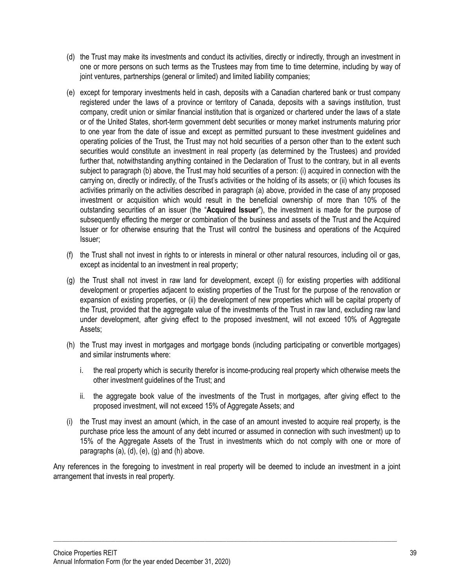- (d) the Trust may make its investments and conduct its activities, directly or indirectly, through an investment in one or more persons on such terms as the Trustees may from time to time determine, including by way of joint ventures, partnerships (general or limited) and limited liability companies;
- (e) except for temporary investments held in cash, deposits with a Canadian chartered bank or trust company registered under the laws of a province or territory of Canada, deposits with a savings institution, trust company, credit union or similar financial institution that is organized or chartered under the laws of a state or of the United States, short-term government debt securities or money market instruments maturing prior to one year from the date of issue and except as permitted pursuant to these investment guidelines and operating policies of the Trust, the Trust may not hold securities of a person other than to the extent such securities would constitute an investment in real property (as determined by the Trustees) and provided further that, notwithstanding anything contained in the Declaration of Trust to the contrary, but in all events subject to paragraph (b) above, the Trust may hold securities of a person: (i) acquired in connection with the carrying on, directly or indirectly, of the Trust's activities or the holding of its assets; or (ii) which focuses its activities primarily on the activities described in paragraph (a) above, provided in the case of any proposed investment or acquisition which would result in the beneficial ownership of more than 10% of the outstanding securities of an issuer (the "**Acquired Issuer**"), the investment is made for the purpose of subsequently effecting the merger or combination of the business and assets of the Trust and the Acquired Issuer or for otherwise ensuring that the Trust will control the business and operations of the Acquired Issuer;
- (f) the Trust shall not invest in rights to or interests in mineral or other natural resources, including oil or gas, except as incidental to an investment in real property;
- (g) the Trust shall not invest in raw land for development, except (i) for existing properties with additional development or properties adjacent to existing properties of the Trust for the purpose of the renovation or expansion of existing properties, or (ii) the development of new properties which will be capital property of the Trust, provided that the aggregate value of the investments of the Trust in raw land, excluding raw land under development, after giving effect to the proposed investment, will not exceed 10% of Aggregate Assets;
- (h) the Trust may invest in mortgages and mortgage bonds (including participating or convertible mortgages) and similar instruments where:
	- i. the real property which is security therefor is income-producing real property which otherwise meets the other investment guidelines of the Trust; and
	- ii. the aggregate book value of the investments of the Trust in mortgages, after giving effect to the proposed investment, will not exceed 15% of Aggregate Assets; and
- (i) the Trust may invest an amount (which, in the case of an amount invested to acquire real property, is the purchase price less the amount of any debt incurred or assumed in connection with such investment) up to 15% of the Aggregate Assets of the Trust in investments which do not comply with one or more of paragraphs (a), (d), (e), (g) and (h) above.

Any references in the foregoing to investment in real property will be deemed to include an investment in a joint arrangement that invests in real property.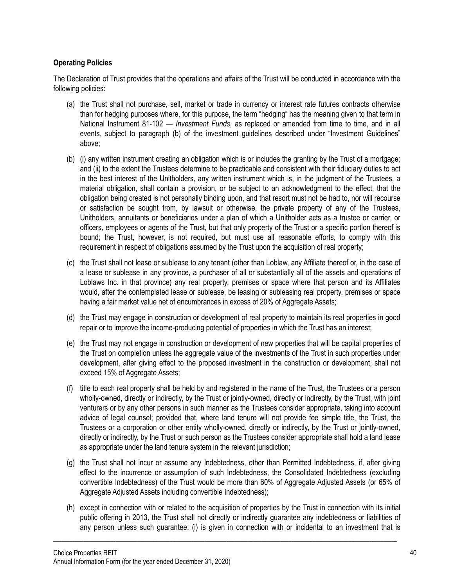## **Operating Policies**

The Declaration of Trust provides that the operations and affairs of the Trust will be conducted in accordance with the following policies:

- (a) the Trust shall not purchase, sell, market or trade in currency or interest rate futures contracts otherwise than for hedging purposes where, for this purpose, the term "hedging" has the meaning given to that term in National Instrument 81-102 — *Investment Funds*, as replaced or amended from time to time, and in all events, subject to paragraph (b) of the investment guidelines described under "Investment Guidelines" above;
- (b) (i) any written instrument creating an obligation which is or includes the granting by the Trust of a mortgage; and (ii) to the extent the Trustees determine to be practicable and consistent with their fiduciary duties to act in the best interest of the Unitholders, any written instrument which is, in the judgment of the Trustees, a material obligation, shall contain a provision, or be subject to an acknowledgment to the effect, that the obligation being created is not personally binding upon, and that resort must not be had to, nor will recourse or satisfaction be sought from, by lawsuit or otherwise, the private property of any of the Trustees, Unitholders, annuitants or beneficiaries under a plan of which a Unitholder acts as a trustee or carrier, or officers, employees or agents of the Trust, but that only property of the Trust or a specific portion thereof is bound; the Trust, however, is not required, but must use all reasonable efforts, to comply with this requirement in respect of obligations assumed by the Trust upon the acquisition of real property;
- (c) the Trust shall not lease or sublease to any tenant (other than Loblaw, any Affiliate thereof or, in the case of a lease or sublease in any province, a purchaser of all or substantially all of the assets and operations of Loblaws Inc. in that province) any real property, premises or space where that person and its Affiliates would, after the contemplated lease or sublease, be leasing or subleasing real property, premises or space having a fair market value net of encumbrances in excess of 20% of Aggregate Assets;
- (d) the Trust may engage in construction or development of real property to maintain its real properties in good repair or to improve the income-producing potential of properties in which the Trust has an interest;
- (e) the Trust may not engage in construction or development of new properties that will be capital properties of the Trust on completion unless the aggregate value of the investments of the Trust in such properties under development, after giving effect to the proposed investment in the construction or development, shall not exceed 15% of Aggregate Assets;
- (f) title to each real property shall be held by and registered in the name of the Trust, the Trustees or a person wholly-owned, directly or indirectly, by the Trust or jointly-owned, directly or indirectly, by the Trust, with joint venturers or by any other persons in such manner as the Trustees consider appropriate, taking into account advice of legal counsel; provided that, where land tenure will not provide fee simple title, the Trust, the Trustees or a corporation or other entity wholly-owned, directly or indirectly, by the Trust or jointly-owned, directly or indirectly, by the Trust or such person as the Trustees consider appropriate shall hold a land lease as appropriate under the land tenure system in the relevant jurisdiction;
- (g) the Trust shall not incur or assume any Indebtedness, other than Permitted Indebtedness, if, after giving effect to the incurrence or assumption of such Indebtedness, the Consolidated Indebtedness (excluding convertible Indebtedness) of the Trust would be more than 60% of Aggregate Adjusted Assets (or 65% of Aggregate Adjusted Assets including convertible Indebtedness);
- (h) except in connection with or related to the acquisition of properties by the Trust in connection with its initial public offering in 2013, the Trust shall not directly or indirectly guarantee any indebtedness or liabilities of any person unless such guarantee: (i) is given in connection with or incidental to an investment that is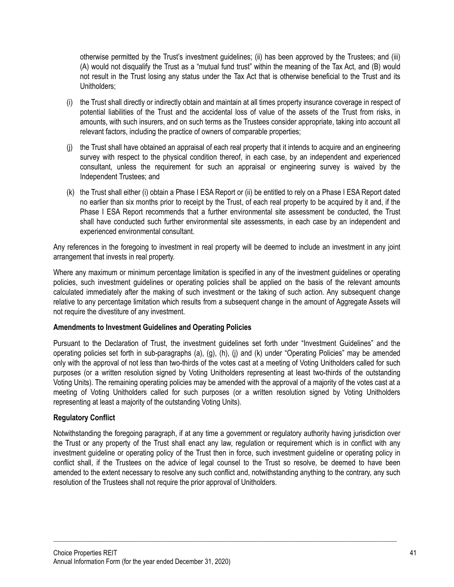otherwise permitted by the Trust's investment guidelines; (ii) has been approved by the Trustees; and (iii) (A) would not disqualify the Trust as a "mutual fund trust" within the meaning of the Tax Act, and (B) would not result in the Trust losing any status under the Tax Act that is otherwise beneficial to the Trust and its Unitholders;

- (i) the Trust shall directly or indirectly obtain and maintain at all times property insurance coverage in respect of potential liabilities of the Trust and the accidental loss of value of the assets of the Trust from risks, in amounts, with such insurers, and on such terms as the Trustees consider appropriate, taking into account all relevant factors, including the practice of owners of comparable properties;
- (j) the Trust shall have obtained an appraisal of each real property that it intends to acquire and an engineering survey with respect to the physical condition thereof, in each case, by an independent and experienced consultant, unless the requirement for such an appraisal or engineering survey is waived by the Independent Trustees; and
- (k) the Trust shall either (i) obtain a Phase I ESA Report or (ii) be entitled to rely on a Phase I ESA Report dated no earlier than six months prior to receipt by the Trust, of each real property to be acquired by it and, if the Phase I ESA Report recommends that a further environmental site assessment be conducted, the Trust shall have conducted such further environmental site assessments, in each case by an independent and experienced environmental consultant.

Any references in the foregoing to investment in real property will be deemed to include an investment in any joint arrangement that invests in real property.

Where any maximum or minimum percentage limitation is specified in any of the investment guidelines or operating policies, such investment guidelines or operating policies shall be applied on the basis of the relevant amounts calculated immediately after the making of such investment or the taking of such action. Any subsequent change relative to any percentage limitation which results from a subsequent change in the amount of Aggregate Assets will not require the divestiture of any investment.

### **Amendments to Investment Guidelines and Operating Policies**

Pursuant to the Declaration of Trust, the investment guidelines set forth under "Investment Guidelines" and the operating policies set forth in sub-paragraphs (a), (g), (h), (j) and (k) under "Operating Policies" may be amended only with the approval of not less than two-thirds of the votes cast at a meeting of Voting Unitholders called for such purposes (or a written resolution signed by Voting Unitholders representing at least two-thirds of the outstanding Voting Units). The remaining operating policies may be amended with the approval of a majority of the votes cast at a meeting of Voting Unitholders called for such purposes (or a written resolution signed by Voting Unitholders representing at least a majority of the outstanding Voting Units).

### **Regulatory Conflict**

Notwithstanding the foregoing paragraph, if at any time a government or regulatory authority having jurisdiction over the Trust or any property of the Trust shall enact any law, regulation or requirement which is in conflict with any investment guideline or operating policy of the Trust then in force, such investment guideline or operating policy in conflict shall, if the Trustees on the advice of legal counsel to the Trust so resolve, be deemed to have been amended to the extent necessary to resolve any such conflict and, notwithstanding anything to the contrary, any such resolution of the Trustees shall not require the prior approval of Unitholders.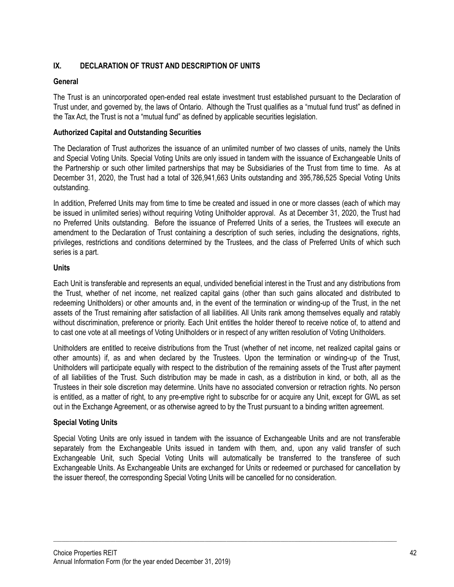## **IX. DECLARATION OF TRUST AND DESCRIPTION OF UNITS**

### **General**

The Trust is an unincorporated open-ended real estate investment trust established pursuant to the Declaration of Trust under, and governed by, the laws of Ontario. Although the Trust qualifies as a "mutual fund trust" as defined in the Tax Act, the Trust is not a "mutual fund" as defined by applicable securities legislation.

### **Authorized Capital and Outstanding Securities**

The Declaration of Trust authorizes the issuance of an unlimited number of two classes of units, namely the Units and Special Voting Units. Special Voting Units are only issued in tandem with the issuance of Exchangeable Units of the Partnership or such other limited partnerships that may be Subsidiaries of the Trust from time to time. As at December 31, 2020, the Trust had a total of 326,941,663 Units outstanding and 395,786,525 Special Voting Units outstanding.

In addition, Preferred Units may from time to time be created and issued in one or more classes (each of which may be issued in unlimited series) without requiring Voting Unitholder approval. As at December 31, 2020, the Trust had no Preferred Units outstanding. Before the issuance of Preferred Units of a series, the Trustees will execute an amendment to the Declaration of Trust containing a description of such series, including the designations, rights, privileges, restrictions and conditions determined by the Trustees, and the class of Preferred Units of which such series is a part.

#### **Units**

Each Unit is transferable and represents an equal, undivided beneficial interest in the Trust and any distributions from the Trust, whether of net income, net realized capital gains (other than such gains allocated and distributed to redeeming Unitholders) or other amounts and, in the event of the termination or winding-up of the Trust, in the net assets of the Trust remaining after satisfaction of all liabilities. All Units rank among themselves equally and ratably without discrimination, preference or priority. Each Unit entitles the holder thereof to receive notice of, to attend and to cast one vote at all meetings of Voting Unitholders or in respect of any written resolution of Voting Unitholders.

Unitholders are entitled to receive distributions from the Trust (whether of net income, net realized capital gains or other amounts) if, as and when declared by the Trustees. Upon the termination or winding-up of the Trust, Unitholders will participate equally with respect to the distribution of the remaining assets of the Trust after payment of all liabilities of the Trust. Such distribution may be made in cash, as a distribution in kind, or both, all as the Trustees in their sole discretion may determine. Units have no associated conversion or retraction rights. No person is entitled, as a matter of right, to any pre-emptive right to subscribe for or acquire any Unit, except for GWL as set out in the Exchange Agreement, or as otherwise agreed to by the Trust pursuant to a binding written agreement.

#### **Special Voting Units**

Special Voting Units are only issued in tandem with the issuance of Exchangeable Units and are not transferable separately from the Exchangeable Units issued in tandem with them, and, upon any valid transfer of such Exchangeable Unit, such Special Voting Units will automatically be transferred to the transferee of such Exchangeable Units. As Exchangeable Units are exchanged for Units or redeemed or purchased for cancellation by the issuer thereof, the corresponding Special Voting Units will be cancelled for no consideration.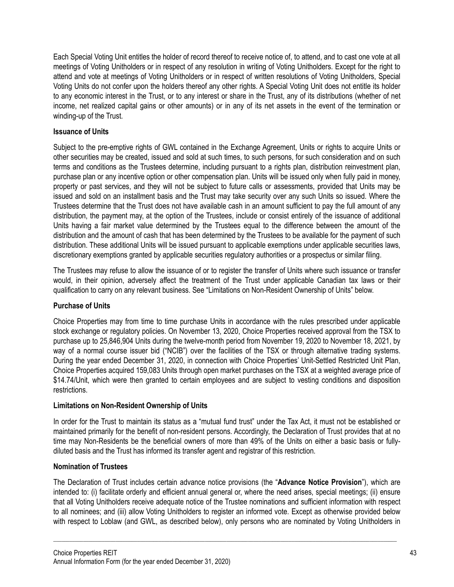Each Special Voting Unit entitles the holder of record thereof to receive notice of, to attend, and to cast one vote at all meetings of Voting Unitholders or in respect of any resolution in writing of Voting Unitholders. Except for the right to attend and vote at meetings of Voting Unitholders or in respect of written resolutions of Voting Unitholders, Special Voting Units do not confer upon the holders thereof any other rights. A Special Voting Unit does not entitle its holder to any economic interest in the Trust, or to any interest or share in the Trust, any of its distributions (whether of net income, net realized capital gains or other amounts) or in any of its net assets in the event of the termination or winding-up of the Trust.

## **Issuance of Units**

Subject to the pre-emptive rights of GWL contained in the Exchange Agreement, Units or rights to acquire Units or other securities may be created, issued and sold at such times, to such persons, for such consideration and on such terms and conditions as the Trustees determine, including pursuant to a rights plan, distribution reinvestment plan, purchase plan or any incentive option or other compensation plan. Units will be issued only when fully paid in money, property or past services, and they will not be subject to future calls or assessments, provided that Units may be issued and sold on an installment basis and the Trust may take security over any such Units so issued. Where the Trustees determine that the Trust does not have available cash in an amount sufficient to pay the full amount of any distribution, the payment may, at the option of the Trustees, include or consist entirely of the issuance of additional Units having a fair market value determined by the Trustees equal to the difference between the amount of the distribution and the amount of cash that has been determined by the Trustees to be available for the payment of such distribution. These additional Units will be issued pursuant to applicable exemptions under applicable securities laws, discretionary exemptions granted by applicable securities regulatory authorities or a prospectus or similar filing.

The Trustees may refuse to allow the issuance of or to register the transfer of Units where such issuance or transfer would, in their opinion, adversely affect the treatment of the Trust under applicable Canadian tax laws or their qualification to carry on any relevant business. See "Limitations on Non-Resident Ownership of Units" below.

### **Purchase of Units**

Choice Properties may from time to time purchase Units in accordance with the rules prescribed under applicable stock exchange or regulatory policies. On November 13, 2020, Choice Properties received approval from the TSX to purchase up to 25,846,904 Units during the twelve-month period from November 19, 2020 to November 18, 2021, by way of a normal course issuer bid ("NCIB") over the facilities of the TSX or through alternative trading systems. During the year ended December 31, 2020, in connection with Choice Properties' Unit-Settled Restricted Unit Plan, Choice Properties acquired 159,083 Units through open market purchases on the TSX at a weighted average price of \$14.74/Unit, which were then granted to certain employees and are subject to vesting conditions and disposition restrictions.

# **Limitations on Non-Resident Ownership of Units**

In order for the Trust to maintain its status as a "mutual fund trust" under the Tax Act, it must not be established or maintained primarily for the benefit of non-resident persons. Accordingly, the Declaration of Trust provides that at no time may Non-Residents be the beneficial owners of more than 49% of the Units on either a basic basis or fullydiluted basis and the Trust has informed its transfer agent and registrar of this restriction.

# **Nomination of Trustees**

The Declaration of Trust includes certain advance notice provisions (the "**Advance Notice Provision**"), which are intended to: (i) facilitate orderly and efficient annual general or, where the need arises, special meetings; (ii) ensure that all Voting Unitholders receive adequate notice of the Trustee nominations and sufficient information with respect to all nominees; and (iii) allow Voting Unitholders to register an informed vote. Except as otherwise provided below with respect to Loblaw (and GWL, as described below), only persons who are nominated by Voting Unitholders in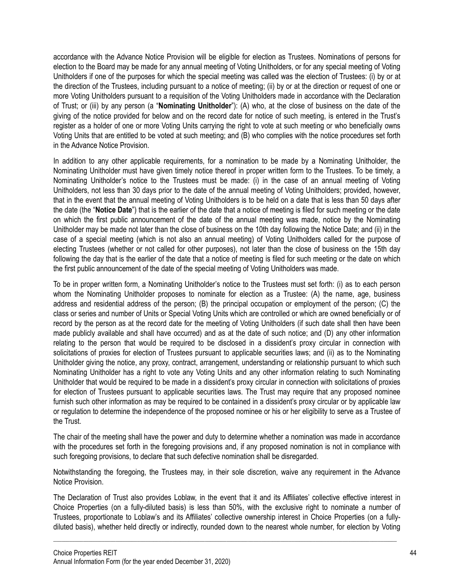accordance with the Advance Notice Provision will be eligible for election as Trustees. Nominations of persons for election to the Board may be made for any annual meeting of Voting Unitholders, or for any special meeting of Voting Unitholders if one of the purposes for which the special meeting was called was the election of Trustees: (i) by or at the direction of the Trustees, including pursuant to a notice of meeting; (ii) by or at the direction or request of one or more Voting Unitholders pursuant to a requisition of the Voting Unitholders made in accordance with the Declaration of Trust; or (iii) by any person (a "**Nominating Unitholder**"): (A) who, at the close of business on the date of the giving of the notice provided for below and on the record date for notice of such meeting, is entered in the Trust's register as a holder of one or more Voting Units carrying the right to vote at such meeting or who beneficially owns Voting Units that are entitled to be voted at such meeting; and (B) who complies with the notice procedures set forth in the Advance Notice Provision.

In addition to any other applicable requirements, for a nomination to be made by a Nominating Unitholder, the Nominating Unitholder must have given timely notice thereof in proper written form to the Trustees. To be timely, a Nominating Unitholder's notice to the Trustees must be made: (i) in the case of an annual meeting of Voting Unitholders, not less than 30 days prior to the date of the annual meeting of Voting Unitholders; provided, however, that in the event that the annual meeting of Voting Unitholders is to be held on a date that is less than 50 days after the date (the "**Notice Date**") that is the earlier of the date that a notice of meeting is filed for such meeting or the date on which the first public announcement of the date of the annual meeting was made, notice by the Nominating Unitholder may be made not later than the close of business on the 10th day following the Notice Date; and (ii) in the case of a special meeting (which is not also an annual meeting) of Voting Unitholders called for the purpose of electing Trustees (whether or not called for other purposes), not later than the close of business on the 15th day following the day that is the earlier of the date that a notice of meeting is filed for such meeting or the date on which the first public announcement of the date of the special meeting of Voting Unitholders was made.

To be in proper written form, a Nominating Unitholder's notice to the Trustees must set forth: (i) as to each person whom the Nominating Unitholder proposes to nominate for election as a Trustee: (A) the name, age, business address and residential address of the person; (B) the principal occupation or employment of the person; (C) the class or series and number of Units or Special Voting Units which are controlled or which are owned beneficially or of record by the person as at the record date for the meeting of Voting Unitholders (if such date shall then have been made publicly available and shall have occurred) and as at the date of such notice; and (D) any other information relating to the person that would be required to be disclosed in a dissident's proxy circular in connection with solicitations of proxies for election of Trustees pursuant to applicable securities laws; and (ii) as to the Nominating Unitholder giving the notice, any proxy, contract, arrangement, understanding or relationship pursuant to which such Nominating Unitholder has a right to vote any Voting Units and any other information relating to such Nominating Unitholder that would be required to be made in a dissident's proxy circular in connection with solicitations of proxies for election of Trustees pursuant to applicable securities laws. The Trust may require that any proposed nominee furnish such other information as may be required to be contained in a dissident's proxy circular or by applicable law or regulation to determine the independence of the proposed nominee or his or her eligibility to serve as a Trustee of the Trust.

The chair of the meeting shall have the power and duty to determine whether a nomination was made in accordance with the procedures set forth in the foregoing provisions and, if any proposed nomination is not in compliance with such foregoing provisions, to declare that such defective nomination shall be disregarded.

Notwithstanding the foregoing, the Trustees may, in their sole discretion, waive any requirement in the Advance Notice Provision.

The Declaration of Trust also provides Loblaw, in the event that it and its Affiliates' collective effective interest in Choice Properties (on a fully-diluted basis) is less than 50%, with the exclusive right to nominate a number of Trustees, proportionate to Loblaw's and its Affiliates' collective ownership interest in Choice Properties (on a fullydiluted basis), whether held directly or indirectly, rounded down to the nearest whole number, for election by Voting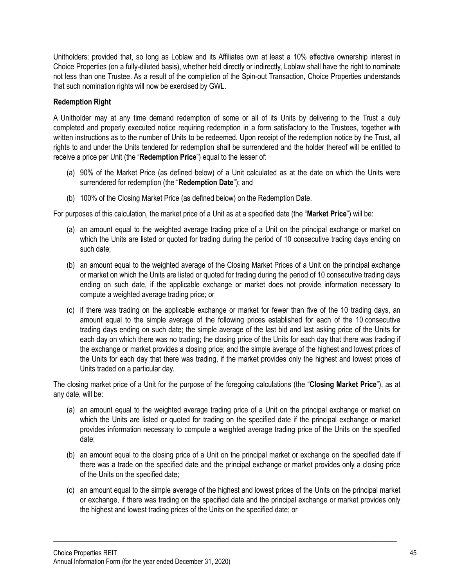Unitholders; provided that, so long as Loblaw and its Affiliates own at least a 10% effective ownership interest in Choice Properties (on a fully-diluted basis), whether held directly or indirectly, Loblaw shall have the right to nominate not less than one Trustee. As a result of the completion of the Spin-out Transaction, Choice Properties understands that such nomination rights will now be exercised by GWL.

## **Redemption Right**

A Unitholder may at any time demand redemption of some or all of its Units by delivering to the Trust a duly completed and properly executed notice requiring redemption in a form satisfactory to the Trustees, together with written instructions as to the number of Units to be redeemed. Upon receipt of the redemption notice by the Trust, all rights to and under the Units tendered for redemption shall be surrendered and the holder thereof will be entitled to receive a price per Unit (the "**Redemption Price**") equal to the lesser of:

- (a) 90% of the Market Price (as defined below) of a Unit calculated as at the date on which the Units were surrendered for redemption (the "**Redemption Date**"); and
- (b) 100% of the Closing Market Price (as defined below) on the Redemption Date.

For purposes of this calculation, the market price of a Unit as at a specified date (the "**Market Price**") will be:

- (a) an amount equal to the weighted average trading price of a Unit on the principal exchange or market on which the Units are listed or quoted for trading during the period of 10 consecutive trading days ending on such date;
- (b) an amount equal to the weighted average of the Closing Market Prices of a Unit on the principal exchange or market on which the Units are listed or quoted for trading during the period of 10 consecutive trading days ending on such date, if the applicable exchange or market does not provide information necessary to compute a weighted average trading price; or
- (c) if there was trading on the applicable exchange or market for fewer than five of the 10 trading days, an amount equal to the simple average of the following prices established for each of the 10 consecutive trading days ending on such date; the simple average of the last bid and last asking price of the Units for each day on which there was no trading; the closing price of the Units for each day that there was trading if the exchange or market provides a closing price; and the simple average of the highest and lowest prices of the Units for each day that there was trading, if the market provides only the highest and lowest prices of Units traded on a particular day.

The closing market price of a Unit for the purpose of the foregoing calculations (the "**Closing Market Price**"), as at any date, will be:

- (a) an amount equal to the weighted average trading price of a Unit on the principal exchange or market on which the Units are listed or quoted for trading on the specified date if the principal exchange or market provides information necessary to compute a weighted average trading price of the Units on the specified date;
- (b) an amount equal to the closing price of a Unit on the principal market or exchange on the specified date if there was a trade on the specified date and the principal exchange or market provides only a closing price of the Units on the specified date;
- (c) an amount equal to the simple average of the highest and lowest prices of the Units on the principal market or exchange, if there was trading on the specified date and the principal exchange or market provides only the highest and lowest trading prices of the Units on the specified date; or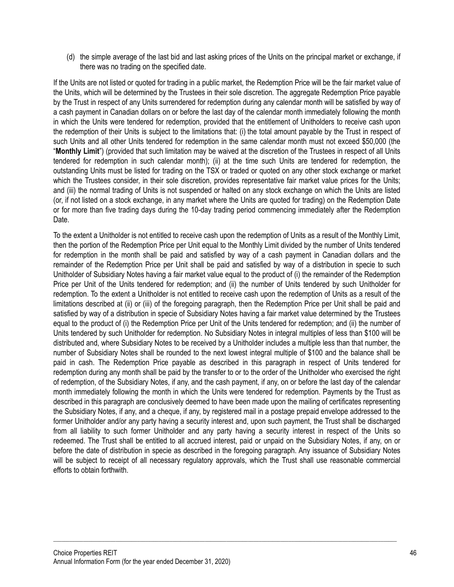(d) the simple average of the last bid and last asking prices of the Units on the principal market or exchange, if there was no trading on the specified date.

If the Units are not listed or quoted for trading in a public market, the Redemption Price will be the fair market value of the Units, which will be determined by the Trustees in their sole discretion. The aggregate Redemption Price payable by the Trust in respect of any Units surrendered for redemption during any calendar month will be satisfied by way of a cash payment in Canadian dollars on or before the last day of the calendar month immediately following the month in which the Units were tendered for redemption, provided that the entitlement of Unitholders to receive cash upon the redemption of their Units is subject to the limitations that: (i) the total amount payable by the Trust in respect of such Units and all other Units tendered for redemption in the same calendar month must not exceed \$50,000 (the "**Monthly Limit**") (provided that such limitation may be waived at the discretion of the Trustees in respect of all Units tendered for redemption in such calendar month); (ii) at the time such Units are tendered for redemption, the outstanding Units must be listed for trading on the TSX or traded or quoted on any other stock exchange or market which the Trustees consider, in their sole discretion, provides representative fair market value prices for the Units; and (iii) the normal trading of Units is not suspended or halted on any stock exchange on which the Units are listed (or, if not listed on a stock exchange, in any market where the Units are quoted for trading) on the Redemption Date or for more than five trading days during the 10-day trading period commencing immediately after the Redemption Date.

To the extent a Unitholder is not entitled to receive cash upon the redemption of Units as a result of the Monthly Limit, then the portion of the Redemption Price per Unit equal to the Monthly Limit divided by the number of Units tendered for redemption in the month shall be paid and satisfied by way of a cash payment in Canadian dollars and the remainder of the Redemption Price per Unit shall be paid and satisfied by way of a distribution in specie to such Unitholder of Subsidiary Notes having a fair market value equal to the product of (i) the remainder of the Redemption Price per Unit of the Units tendered for redemption; and (ii) the number of Units tendered by such Unitholder for redemption. To the extent a Unitholder is not entitled to receive cash upon the redemption of Units as a result of the limitations described at (ii) or (iii) of the foregoing paragraph, then the Redemption Price per Unit shall be paid and satisfied by way of a distribution in specie of Subsidiary Notes having a fair market value determined by the Trustees equal to the product of (i) the Redemption Price per Unit of the Units tendered for redemption; and (ii) the number of Units tendered by such Unitholder for redemption. No Subsidiary Notes in integral multiples of less than \$100 will be distributed and, where Subsidiary Notes to be received by a Unitholder includes a multiple less than that number, the number of Subsidiary Notes shall be rounded to the next lowest integral multiple of \$100 and the balance shall be paid in cash. The Redemption Price payable as described in this paragraph in respect of Units tendered for redemption during any month shall be paid by the transfer to or to the order of the Unitholder who exercised the right of redemption, of the Subsidiary Notes, if any, and the cash payment, if any, on or before the last day of the calendar month immediately following the month in which the Units were tendered for redemption. Payments by the Trust as described in this paragraph are conclusively deemed to have been made upon the mailing of certificates representing the Subsidiary Notes, if any, and a cheque, if any, by registered mail in a postage prepaid envelope addressed to the former Unitholder and/or any party having a security interest and, upon such payment, the Trust shall be discharged from all liability to such former Unitholder and any party having a security interest in respect of the Units so redeemed. The Trust shall be entitled to all accrued interest, paid or unpaid on the Subsidiary Notes, if any, on or before the date of distribution in specie as described in the foregoing paragraph. Any issuance of Subsidiary Notes will be subject to receipt of all necessary regulatory approvals, which the Trust shall use reasonable commercial efforts to obtain forthwith.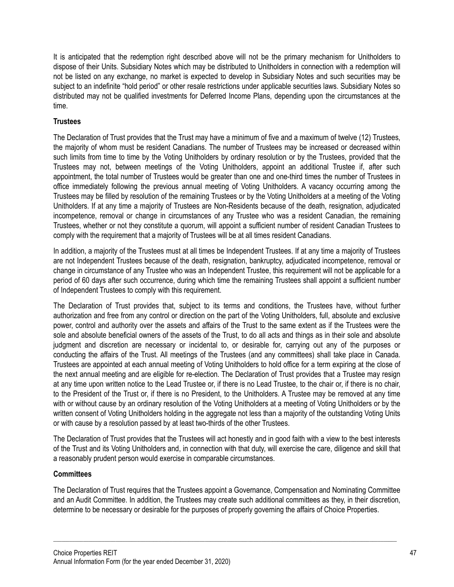It is anticipated that the redemption right described above will not be the primary mechanism for Unitholders to dispose of their Units. Subsidiary Notes which may be distributed to Unitholders in connection with a redemption will not be listed on any exchange, no market is expected to develop in Subsidiary Notes and such securities may be subject to an indefinite "hold period" or other resale restrictions under applicable securities laws. Subsidiary Notes so distributed may not be qualified investments for Deferred Income Plans, depending upon the circumstances at the time.

## **Trustees**

The Declaration of Trust provides that the Trust may have a minimum of five and a maximum of twelve (12) Trustees, the majority of whom must be resident Canadians. The number of Trustees may be increased or decreased within such limits from time to time by the Voting Unitholders by ordinary resolution or by the Trustees, provided that the Trustees may not, between meetings of the Voting Unitholders, appoint an additional Trustee if, after such appointment, the total number of Trustees would be greater than one and one-third times the number of Trustees in office immediately following the previous annual meeting of Voting Unitholders. A vacancy occurring among the Trustees may be filled by resolution of the remaining Trustees or by the Voting Unitholders at a meeting of the Voting Unitholders. If at any time a majority of Trustees are Non-Residents because of the death, resignation, adjudicated incompetence, removal or change in circumstances of any Trustee who was a resident Canadian, the remaining Trustees, whether or not they constitute a quorum, will appoint a sufficient number of resident Canadian Trustees to comply with the requirement that a majority of Trustees will be at all times resident Canadians.

In addition, a majority of the Trustees must at all times be Independent Trustees. If at any time a majority of Trustees are not Independent Trustees because of the death, resignation, bankruptcy, adjudicated incompetence, removal or change in circumstance of any Trustee who was an Independent Trustee, this requirement will not be applicable for a period of 60 days after such occurrence, during which time the remaining Trustees shall appoint a sufficient number of Independent Trustees to comply with this requirement.

The Declaration of Trust provides that, subject to its terms and conditions, the Trustees have, without further authorization and free from any control or direction on the part of the Voting Unitholders, full, absolute and exclusive power, control and authority over the assets and affairs of the Trust to the same extent as if the Trustees were the sole and absolute beneficial owners of the assets of the Trust, to do all acts and things as in their sole and absolute judgment and discretion are necessary or incidental to, or desirable for, carrying out any of the purposes or conducting the affairs of the Trust. All meetings of the Trustees (and any committees) shall take place in Canada. Trustees are appointed at each annual meeting of Voting Unitholders to hold office for a term expiring at the close of the next annual meeting and are eligible for re-election. The Declaration of Trust provides that a Trustee may resign at any time upon written notice to the Lead Trustee or, if there is no Lead Trustee, to the chair or, if there is no chair, to the President of the Trust or, if there is no President, to the Unitholders. A Trustee may be removed at any time with or without cause by an ordinary resolution of the Voting Unitholders at a meeting of Voting Unitholders or by the written consent of Voting Unitholders holding in the aggregate not less than a majority of the outstanding Voting Units or with cause by a resolution passed by at least two-thirds of the other Trustees.

The Declaration of Trust provides that the Trustees will act honestly and in good faith with a view to the best interests of the Trust and its Voting Unitholders and, in connection with that duty, will exercise the care, diligence and skill that a reasonably prudent person would exercise in comparable circumstances.

### **Committees**

The Declaration of Trust requires that the Trustees appoint a Governance, Compensation and Nominating Committee and an Audit Committee. In addition, the Trustees may create such additional committees as they, in their discretion, determine to be necessary or desirable for the purposes of properly governing the affairs of Choice Properties.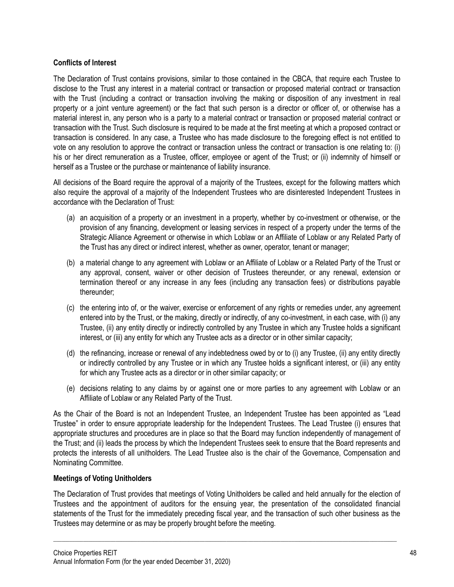## **Conflicts of Interest**

The Declaration of Trust contains provisions, similar to those contained in the CBCA, that require each Trustee to disclose to the Trust any interest in a material contract or transaction or proposed material contract or transaction with the Trust (including a contract or transaction involving the making or disposition of any investment in real property or a joint venture agreement) or the fact that such person is a director or officer of, or otherwise has a material interest in, any person who is a party to a material contract or transaction or proposed material contract or transaction with the Trust. Such disclosure is required to be made at the first meeting at which a proposed contract or transaction is considered. In any case, a Trustee who has made disclosure to the foregoing effect is not entitled to vote on any resolution to approve the contract or transaction unless the contract or transaction is one relating to: (i) his or her direct remuneration as a Trustee, officer, employee or agent of the Trust; or (ii) indemnity of himself or herself as a Trustee or the purchase or maintenance of liability insurance.

All decisions of the Board require the approval of a majority of the Trustees, except for the following matters which also require the approval of a majority of the Independent Trustees who are disinterested Independent Trustees in accordance with the Declaration of Trust:

- (a) an acquisition of a property or an investment in a property, whether by co-investment or otherwise, or the provision of any financing, development or leasing services in respect of a property under the terms of the Strategic Alliance Agreement or otherwise in which Loblaw or an Affiliate of Loblaw or any Related Party of the Trust has any direct or indirect interest, whether as owner, operator, tenant or manager;
- (b) a material change to any agreement with Loblaw or an Affiliate of Loblaw or a Related Party of the Trust or any approval, consent, waiver or other decision of Trustees thereunder, or any renewal, extension or termination thereof or any increase in any fees (including any transaction fees) or distributions payable thereunder;
- (c) the entering into of, or the waiver, exercise or enforcement of any rights or remedies under, any agreement entered into by the Trust, or the making, directly or indirectly, of any co-investment, in each case, with (i) any Trustee, (ii) any entity directly or indirectly controlled by any Trustee in which any Trustee holds a significant interest, or (iii) any entity for which any Trustee acts as a director or in other similar capacity;
- (d) the refinancing, increase or renewal of any indebtedness owed by or to (i) any Trustee, (ii) any entity directly or indirectly controlled by any Trustee or in which any Trustee holds a significant interest, or (iii) any entity for which any Trustee acts as a director or in other similar capacity; or
- (e) decisions relating to any claims by or against one or more parties to any agreement with Loblaw or an Affiliate of Loblaw or any Related Party of the Trust.

As the Chair of the Board is not an Independent Trustee, an Independent Trustee has been appointed as "Lead Trustee" in order to ensure appropriate leadership for the Independent Trustees. The Lead Trustee (i) ensures that appropriate structures and procedures are in place so that the Board may function independently of management of the Trust; and (ii) leads the process by which the Independent Trustees seek to ensure that the Board represents and protects the interests of all unitholders. The Lead Trustee also is the chair of the Governance, Compensation and Nominating Committee.

### **Meetings of Voting Unitholders**

The Declaration of Trust provides that meetings of Voting Unitholders be called and held annually for the election of Trustees and the appointment of auditors for the ensuing year, the presentation of the consolidated financial statements of the Trust for the immediately preceding fiscal year, and the transaction of such other business as the Trustees may determine or as may be properly brought before the meeting.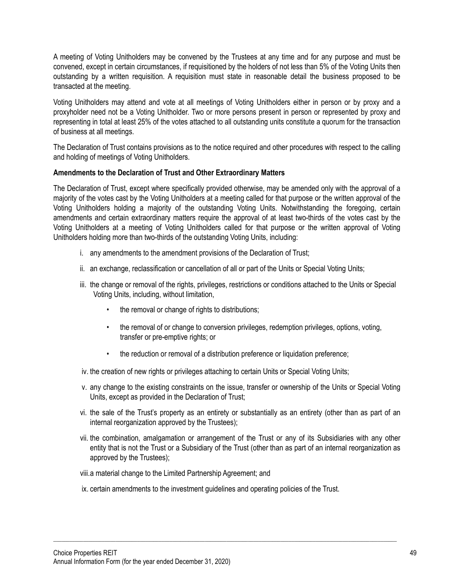A meeting of Voting Unitholders may be convened by the Trustees at any time and for any purpose and must be convened, except in certain circumstances, if requisitioned by the holders of not less than 5% of the Voting Units then outstanding by a written requisition. A requisition must state in reasonable detail the business proposed to be transacted at the meeting.

Voting Unitholders may attend and vote at all meetings of Voting Unitholders either in person or by proxy and a proxyholder need not be a Voting Unitholder. Two or more persons present in person or represented by proxy and representing in total at least 25% of the votes attached to all outstanding units constitute a quorum for the transaction of business at all meetings.

The Declaration of Trust contains provisions as to the notice required and other procedures with respect to the calling and holding of meetings of Voting Unitholders.

### **Amendments to the Declaration of Trust and Other Extraordinary Matters**

The Declaration of Trust, except where specifically provided otherwise, may be amended only with the approval of a majority of the votes cast by the Voting Unitholders at a meeting called for that purpose or the written approval of the Voting Unitholders holding a majority of the outstanding Voting Units. Notwithstanding the foregoing, certain amendments and certain extraordinary matters require the approval of at least two-thirds of the votes cast by the Voting Unitholders at a meeting of Voting Unitholders called for that purpose or the written approval of Voting Unitholders holding more than two-thirds of the outstanding Voting Units, including:

- i. any amendments to the amendment provisions of the Declaration of Trust;
- ii. an exchange, reclassification or cancellation of all or part of the Units or Special Voting Units;
- iii. the change or removal of the rights, privileges, restrictions or conditions attached to the Units or Special Voting Units, including, without limitation,
	- the removal or change of rights to distributions;
	- the removal of or change to conversion privileges, redemption privileges, options, voting, transfer or pre-emptive rights; or
	- the reduction or removal of a distribution preference or liquidation preference;
- iv. the creation of new rights or privileges attaching to certain Units or Special Voting Units;
- v. any change to the existing constraints on the issue, transfer or ownership of the Units or Special Voting Units, except as provided in the Declaration of Trust;
- vi. the sale of the Trust's property as an entirety or substantially as an entirety (other than as part of an internal reorganization approved by the Trustees);
- vii. the combination, amalgamation or arrangement of the Trust or any of its Subsidiaries with any other entity that is not the Trust or a Subsidiary of the Trust (other than as part of an internal reorganization as approved by the Trustees);
- viii.a material change to the Limited Partnership Agreement; and
- ix. certain amendments to the investment guidelines and operating policies of the Trust.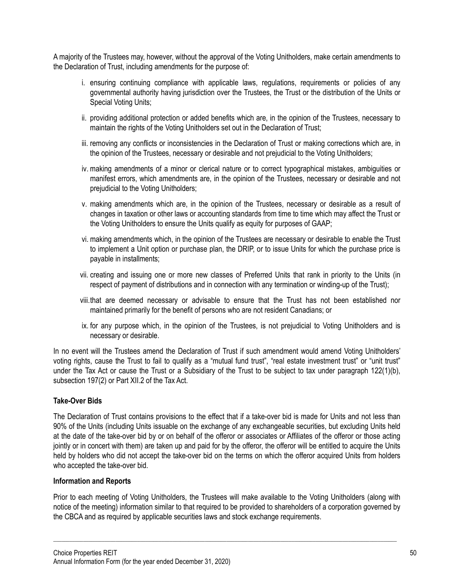A majority of the Trustees may, however, without the approval of the Voting Unitholders, make certain amendments to the Declaration of Trust, including amendments for the purpose of:

- i. ensuring continuing compliance with applicable laws, regulations, requirements or policies of any governmental authority having jurisdiction over the Trustees, the Trust or the distribution of the Units or Special Voting Units;
- ii. providing additional protection or added benefits which are, in the opinion of the Trustees, necessary to maintain the rights of the Voting Unitholders set out in the Declaration of Trust;
- iii. removing any conflicts or inconsistencies in the Declaration of Trust or making corrections which are, in the opinion of the Trustees, necessary or desirable and not prejudicial to the Voting Unitholders;
- iv. making amendments of a minor or clerical nature or to correct typographical mistakes, ambiguities or manifest errors, which amendments are, in the opinion of the Trustees, necessary or desirable and not prejudicial to the Voting Unitholders;
- v. making amendments which are, in the opinion of the Trustees, necessary or desirable as a result of changes in taxation or other laws or accounting standards from time to time which may affect the Trust or the Voting Unitholders to ensure the Units qualify as equity for purposes of GAAP;
- vi. making amendments which, in the opinion of the Trustees are necessary or desirable to enable the Trust to implement a Unit option or purchase plan, the DRIP, or to issue Units for which the purchase price is payable in installments;
- vii. creating and issuing one or more new classes of Preferred Units that rank in priority to the Units (in respect of payment of distributions and in connection with any termination or winding-up of the Trust);
- viii.that are deemed necessary or advisable to ensure that the Trust has not been established nor maintained primarily for the benefit of persons who are not resident Canadians; or
- ix. for any purpose which, in the opinion of the Trustees, is not prejudicial to Voting Unitholders and is necessary or desirable.

In no event will the Trustees amend the Declaration of Trust if such amendment would amend Voting Unitholders' voting rights, cause the Trust to fail to qualify as a "mutual fund trust", "real estate investment trust" or "unit trust" under the Tax Act or cause the Trust or a Subsidiary of the Trust to be subject to tax under paragraph 122(1)(b), subsection 197(2) or Part XII.2 of the Tax Act.

### **Take-Over Bids**

The Declaration of Trust contains provisions to the effect that if a take-over bid is made for Units and not less than 90% of the Units (including Units issuable on the exchange of any exchangeable securities, but excluding Units held at the date of the take-over bid by or on behalf of the offeror or associates or Affiliates of the offeror or those acting jointly or in concert with them) are taken up and paid for by the offeror, the offeror will be entitled to acquire the Units held by holders who did not accept the take-over bid on the terms on which the offeror acquired Units from holders who accepted the take-over bid.

### **Information and Reports**

Prior to each meeting of Voting Unitholders, the Trustees will make available to the Voting Unitholders (along with notice of the meeting) information similar to that required to be provided to shareholders of a corporation governed by the CBCA and as required by applicable securities laws and stock exchange requirements.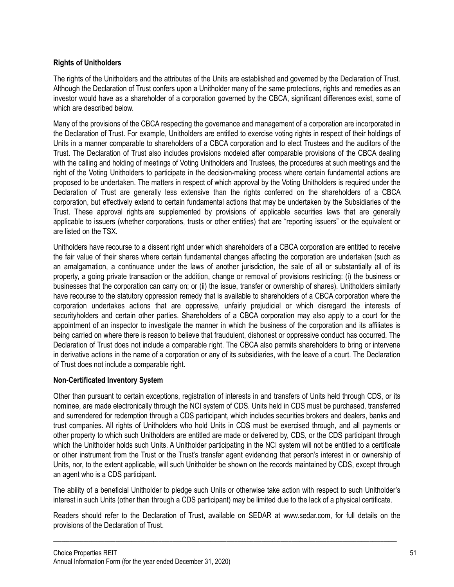## **Rights of Unitholders**

The rights of the Unitholders and the attributes of the Units are established and governed by the Declaration of Trust. Although the Declaration of Trust confers upon a Unitholder many of the same protections, rights and remedies as an investor would have as a shareholder of a corporation governed by the CBCA, significant differences exist, some of which are described below

Many of the provisions of the CBCA respecting the governance and management of a corporation are incorporated in the Declaration of Trust. For example, Unitholders are entitled to exercise voting rights in respect of their holdings of Units in a manner comparable to shareholders of a CBCA corporation and to elect Trustees and the auditors of the Trust. The Declaration of Trust also includes provisions modeled after comparable provisions of the CBCA dealing with the calling and holding of meetings of Voting Unitholders and Trustees, the procedures at such meetings and the right of the Voting Unitholders to participate in the decision-making process where certain fundamental actions are proposed to be undertaken. The matters in respect of which approval by the Voting Unitholders is required under the Declaration of Trust are generally less extensive than the rights conferred on the shareholders of a CBCA corporation, but effectively extend to certain fundamental actions that may be undertaken by the Subsidiaries of the Trust. These approval rights are supplemented by provisions of applicable securities laws that are generally applicable to issuers (whether corporations, trusts or other entities) that are "reporting issuers" or the equivalent or are listed on the TSX.

Unitholders have recourse to a dissent right under which shareholders of a CBCA corporation are entitled to receive the fair value of their shares where certain fundamental changes affecting the corporation are undertaken (such as an amalgamation, a continuance under the laws of another jurisdiction, the sale of all or substantially all of its property, a going private transaction or the addition, change or removal of provisions restricting: (i) the business or businesses that the corporation can carry on; or (ii) the issue, transfer or ownership of shares). Unitholders similarly have recourse to the statutory oppression remedy that is available to shareholders of a CBCA corporation where the corporation undertakes actions that are oppressive, unfairly prejudicial or which disregard the interests of securityholders and certain other parties. Shareholders of a CBCA corporation may also apply to a court for the appointment of an inspector to investigate the manner in which the business of the corporation and its affiliates is being carried on where there is reason to believe that fraudulent, dishonest or oppressive conduct has occurred. The Declaration of Trust does not include a comparable right. The CBCA also permits shareholders to bring or intervene in derivative actions in the name of a corporation or any of its subsidiaries, with the leave of a court. The Declaration of Trust does not include a comparable right.

### **Non-Certificated Inventory System**

Other than pursuant to certain exceptions, registration of interests in and transfers of Units held through CDS, or its nominee, are made electronically through the NCI system of CDS. Units held in CDS must be purchased, transferred and surrendered for redemption through a CDS participant, which includes securities brokers and dealers, banks and trust companies. All rights of Unitholders who hold Units in CDS must be exercised through, and all payments or other property to which such Unitholders are entitled are made or delivered by, CDS, or the CDS participant through which the Unitholder holds such Units. A Unitholder participating in the NCI system will not be entitled to a certificate or other instrument from the Trust or the Trust's transfer agent evidencing that person's interest in or ownership of Units, nor, to the extent applicable, will such Unitholder be shown on the records maintained by CDS, except through an agent who is a CDS participant.

The ability of a beneficial Unitholder to pledge such Units or otherwise take action with respect to such Unitholder's interest in such Units (other than through a CDS participant) may be limited due to the lack of a physical certificate.

Readers should refer to the Declaration of Trust, available on SEDAR at www.sedar.com, for full details on the provisions of the Declaration of Trust.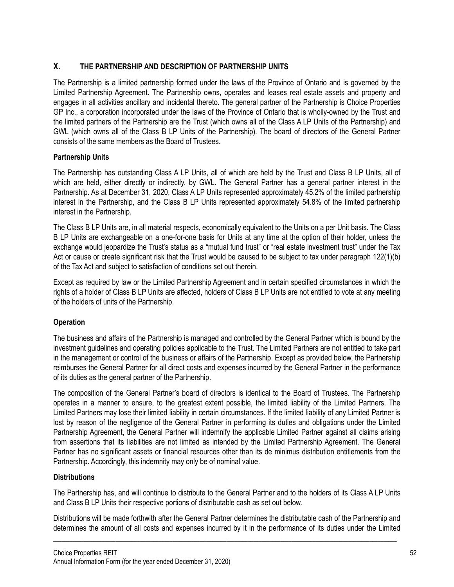# **X. THE PARTNERSHIP AND DESCRIPTION OF PARTNERSHIP UNITS**

The Partnership is a limited partnership formed under the laws of the Province of Ontario and is governed by the Limited Partnership Agreement. The Partnership owns, operates and leases real estate assets and property and engages in all activities ancillary and incidental thereto. The general partner of the Partnership is Choice Properties GP Inc., a corporation incorporated under the laws of the Province of Ontario that is wholly-owned by the Trust and the limited partners of the Partnership are the Trust (which owns all of the Class A LP Units of the Partnership) and GWL (which owns all of the Class B LP Units of the Partnership). The board of directors of the General Partner consists of the same members as the Board of Trustees.

## **Partnership Units**

The Partnership has outstanding Class A LP Units, all of which are held by the Trust and Class B LP Units, all of which are held, either directly or indirectly, by GWL. The General Partner has a general partner interest in the Partnership. As at December 31, 2020, Class A LP Units represented approximately 45.2% of the limited partnership interest in the Partnership, and the Class B LP Units represented approximately 54.8% of the limited partnership interest in the Partnership.

The Class B LP Units are, in all material respects, economically equivalent to the Units on a per Unit basis. The Class B LP Units are exchangeable on a one-for-one basis for Units at any time at the option of their holder, unless the exchange would jeopardize the Trust's status as a "mutual fund trust" or "real estate investment trust" under the Tax Act or cause or create significant risk that the Trust would be caused to be subject to tax under paragraph 122(1)(b) of the Tax Act and subject to satisfaction of conditions set out therein.

Except as required by law or the Limited Partnership Agreement and in certain specified circumstances in which the rights of a holder of Class B LP Units are affected, holders of Class B LP Units are not entitled to vote at any meeting of the holders of units of the Partnership.

# **Operation**

The business and affairs of the Partnership is managed and controlled by the General Partner which is bound by the investment guidelines and operating policies applicable to the Trust. The Limited Partners are not entitled to take part in the management or control of the business or affairs of the Partnership. Except as provided below, the Partnership reimburses the General Partner for all direct costs and expenses incurred by the General Partner in the performance of its duties as the general partner of the Partnership.

The composition of the General Partner's board of directors is identical to the Board of Trustees. The Partnership operates in a manner to ensure, to the greatest extent possible, the limited liability of the Limited Partners. The Limited Partners may lose their limited liability in certain circumstances. If the limited liability of any Limited Partner is lost by reason of the negligence of the General Partner in performing its duties and obligations under the Limited Partnership Agreement, the General Partner will indemnify the applicable Limited Partner against all claims arising from assertions that its liabilities are not limited as intended by the Limited Partnership Agreement. The General Partner has no significant assets or financial resources other than its de minimus distribution entitlements from the Partnership. Accordingly, this indemnity may only be of nominal value.

### **Distributions**

The Partnership has, and will continue to distribute to the General Partner and to the holders of its Class A LP Units and Class B LP Units their respective portions of distributable cash as set out below.

Distributions will be made forthwith after the General Partner determines the distributable cash of the Partnership and determines the amount of all costs and expenses incurred by it in the performance of its duties under the Limited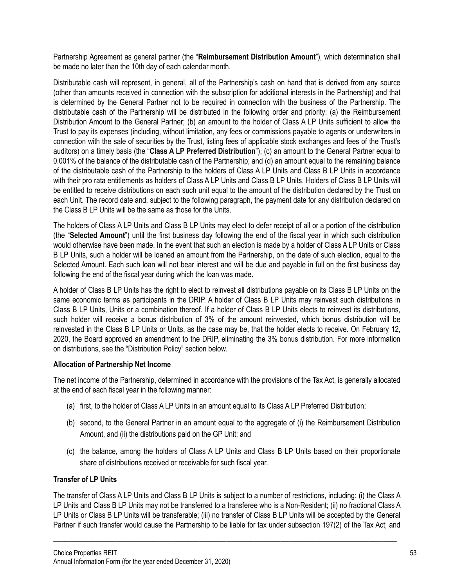Partnership Agreement as general partner (the "**Reimbursement Distribution Amount**"), which determination shall be made no later than the 10th day of each calendar month.

Distributable cash will represent, in general, all of the Partnership's cash on hand that is derived from any source (other than amounts received in connection with the subscription for additional interests in the Partnership) and that is determined by the General Partner not to be required in connection with the business of the Partnership. The distributable cash of the Partnership will be distributed in the following order and priority: (a) the Reimbursement Distribution Amount to the General Partner; (b) an amount to the holder of Class A LP Units sufficient to allow the Trust to pay its expenses (including, without limitation, any fees or commissions payable to agents or underwriters in connection with the sale of securities by the Trust, listing fees of applicable stock exchanges and fees of the Trust's auditors) on a timely basis (the "**Class A LP Preferred Distribution**"); (c) an amount to the General Partner equal to 0.001% of the balance of the distributable cash of the Partnership; and (d) an amount equal to the remaining balance of the distributable cash of the Partnership to the holders of Class A LP Units and Class B LP Units in accordance with their pro rata entitlements as holders of Class A LP Units and Class B LP Units. Holders of Class B LP Units will be entitled to receive distributions on each such unit equal to the amount of the distribution declared by the Trust on each Unit. The record date and, subject to the following paragraph, the payment date for any distribution declared on the Class B LP Units will be the same as those for the Units.

The holders of Class A LP Units and Class B LP Units may elect to defer receipt of all or a portion of the distribution (the "**Selected Amount**") until the first business day following the end of the fiscal year in which such distribution would otherwise have been made. In the event that such an election is made by a holder of Class A LP Units or Class B LP Units, such a holder will be loaned an amount from the Partnership, on the date of such election, equal to the Selected Amount. Each such loan will not bear interest and will be due and payable in full on the first business day following the end of the fiscal year during which the loan was made.

A holder of Class B LP Units has the right to elect to reinvest all distributions payable on its Class B LP Units on the same economic terms as participants in the DRIP. A holder of Class B LP Units may reinvest such distributions in Class B LP Units, Units or a combination thereof. If a holder of Class B LP Units elects to reinvest its distributions, such holder will receive a bonus distribution of 3% of the amount reinvested, which bonus distribution will be reinvested in the Class B LP Units or Units, as the case may be, that the holder elects to receive. On February 12, 2020, the Board approved an amendment to the DRIP, eliminating the 3% bonus distribution. For more information on distributions, see the "Distribution Policy" section below.

### **Allocation of Partnership Net Income**

The net income of the Partnership, determined in accordance with the provisions of the Tax Act, is generally allocated at the end of each fiscal year in the following manner:

- (a) first, to the holder of Class A LP Units in an amount equal to its Class A LP Preferred Distribution;
- (b) second, to the General Partner in an amount equal to the aggregate of (i) the Reimbursement Distribution Amount, and (ii) the distributions paid on the GP Unit; and
- (c) the balance, among the holders of Class A LP Units and Class B LP Units based on their proportionate share of distributions received or receivable for such fiscal year.

# **Transfer of LP Units**

The transfer of Class A LP Units and Class B LP Units is subject to a number of restrictions, including: (i) the Class A LP Units and Class B LP Units may not be transferred to a transferee who is a Non-Resident; (ii) no fractional Class A LP Units or Class B LP Units will be transferable; (iii) no transfer of Class B LP Units will be accepted by the General Partner if such transfer would cause the Partnership to be liable for tax under subsection 197(2) of the Tax Act; and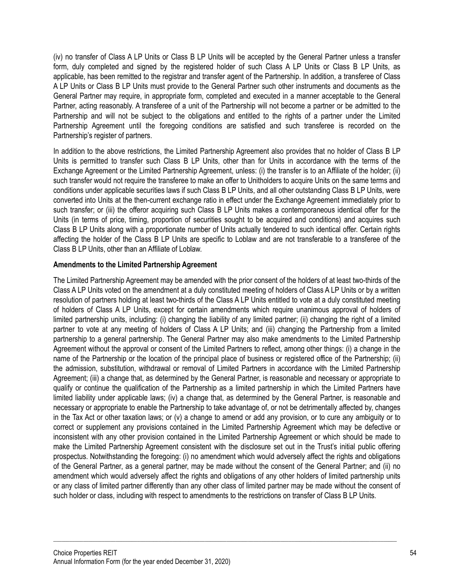(iv) no transfer of Class A LP Units or Class B LP Units will be accepted by the General Partner unless a transfer form, duly completed and signed by the registered holder of such Class A LP Units or Class B LP Units, as applicable, has been remitted to the registrar and transfer agent of the Partnership. In addition, a transferee of Class A LP Units or Class B LP Units must provide to the General Partner such other instruments and documents as the General Partner may require, in appropriate form, completed and executed in a manner acceptable to the General Partner, acting reasonably. A transferee of a unit of the Partnership will not become a partner or be admitted to the Partnership and will not be subject to the obligations and entitled to the rights of a partner under the Limited Partnership Agreement until the foregoing conditions are satisfied and such transferee is recorded on the Partnership's register of partners.

In addition to the above restrictions, the Limited Partnership Agreement also provides that no holder of Class B LP Units is permitted to transfer such Class B LP Units, other than for Units in accordance with the terms of the Exchange Agreement or the Limited Partnership Agreement, unless: (i) the transfer is to an Affiliate of the holder; (ii) such transfer would not require the transferee to make an offer to Unitholders to acquire Units on the same terms and conditions under applicable securities laws if such Class B LP Units, and all other outstanding Class B LP Units, were converted into Units at the then-current exchange ratio in effect under the Exchange Agreement immediately prior to such transfer; or (iii) the offeror acquiring such Class B LP Units makes a contemporaneous identical offer for the Units (in terms of price, timing, proportion of securities sought to be acquired and conditions) and acquires such Class B LP Units along with a proportionate number of Units actually tendered to such identical offer. Certain rights affecting the holder of the Class B LP Units are specific to Loblaw and are not transferable to a transferee of the Class B LP Units, other than an Affiliate of Loblaw.

## **Amendments to the Limited Partnership Agreement**

The Limited Partnership Agreement may be amended with the prior consent of the holders of at least two-thirds of the Class A LP Units voted on the amendment at a duly constituted meeting of holders of Class A LP Units or by a written resolution of partners holding at least two-thirds of the Class A LP Units entitled to vote at a duly constituted meeting of holders of Class A LP Units, except for certain amendments which require unanimous approval of holders of limited partnership units, including: (i) changing the liability of any limited partner; (ii) changing the right of a limited partner to vote at any meeting of holders of Class A LP Units; and (iii) changing the Partnership from a limited partnership to a general partnership. The General Partner may also make amendments to the Limited Partnership Agreement without the approval or consent of the Limited Partners to reflect, among other things: (i) a change in the name of the Partnership or the location of the principal place of business or registered office of the Partnership; (ii) the admission, substitution, withdrawal or removal of Limited Partners in accordance with the Limited Partnership Agreement; (iii) a change that, as determined by the General Partner, is reasonable and necessary or appropriate to qualify or continue the qualification of the Partnership as a limited partnership in which the Limited Partners have limited liability under applicable laws; (iv) a change that, as determined by the General Partner, is reasonable and necessary or appropriate to enable the Partnership to take advantage of, or not be detrimentally affected by, changes in the Tax Act or other taxation laws; or (v) a change to amend or add any provision, or to cure any ambiguity or to correct or supplement any provisions contained in the Limited Partnership Agreement which may be defective or inconsistent with any other provision contained in the Limited Partnership Agreement or which should be made to make the Limited Partnership Agreement consistent with the disclosure set out in the Trust's initial public offering prospectus. Notwithstanding the foregoing: (i) no amendment which would adversely affect the rights and obligations of the General Partner, as a general partner, may be made without the consent of the General Partner; and (ii) no amendment which would adversely affect the rights and obligations of any other holders of limited partnership units or any class of limited partner differently than any other class of limited partner may be made without the consent of such holder or class, including with respect to amendments to the restrictions on transfer of Class B LP Units.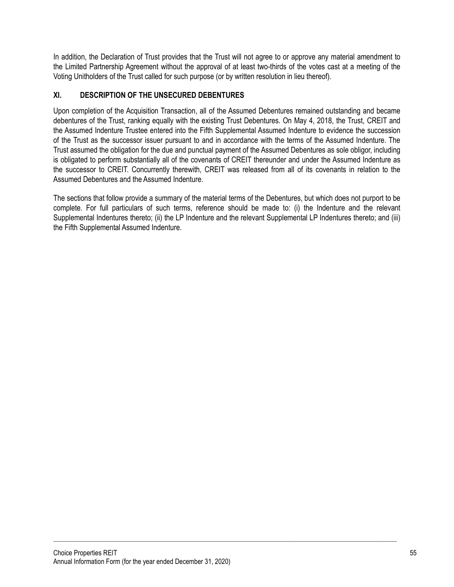In addition, the Declaration of Trust provides that the Trust will not agree to or approve any material amendment to the Limited Partnership Agreement without the approval of at least two-thirds of the votes cast at a meeting of the Voting Unitholders of the Trust called for such purpose (or by written resolution in lieu thereof).

# **XI. DESCRIPTION OF THE UNSECURED DEBENTURES**

Upon completion of the Acquisition Transaction, all of the Assumed Debentures remained outstanding and became debentures of the Trust, ranking equally with the existing Trust Debentures. On May 4, 2018, the Trust, CREIT and the Assumed Indenture Trustee entered into the Fifth Supplemental Assumed Indenture to evidence the succession of the Trust as the successor issuer pursuant to and in accordance with the terms of the Assumed Indenture. The Trust assumed the obligation for the due and punctual payment of the Assumed Debentures as sole obligor, including is obligated to perform substantially all of the covenants of CREIT thereunder and under the Assumed Indenture as the successor to CREIT. Concurrently therewith, CREIT was released from all of its covenants in relation to the Assumed Debentures and the Assumed Indenture.

The sections that follow provide a summary of the material terms of the Debentures, but which does not purport to be complete. For full particulars of such terms, reference should be made to: (i) the Indenture and the relevant Supplemental Indentures thereto; (ii) the LP Indenture and the relevant Supplemental LP Indentures thereto; and (iii) the Fifth Supplemental Assumed Indenture.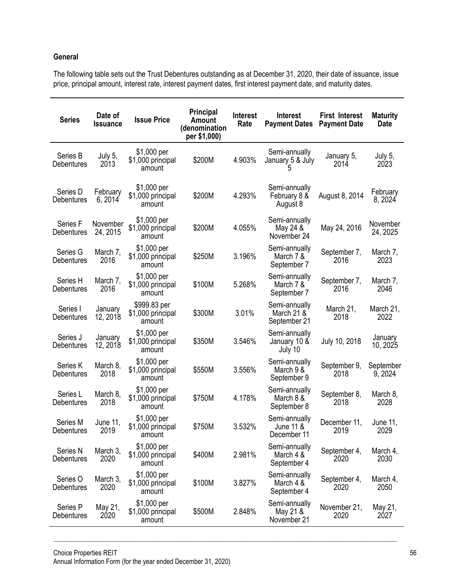## **General**

The following table sets out the Trust Debentures outstanding as at December 31, 2020, their date of issuance, issue price, principal amount, interest rate, interest payment dates, first interest payment date, and maturity dates.

| <b>Series</b>                     | Date of<br><b>Issuance</b> | <b>Issue Price</b>                          | <b>Principal</b><br><b>Amount</b><br>(denomination<br>per \$1,000) | <b>Interest</b><br>Rate | <b>Interest</b><br><b>Payment Dates</b>     | <b>First Interest</b><br><b>Payment Date</b> | <b>Maturity</b><br>Date |
|-----------------------------------|----------------------------|---------------------------------------------|--------------------------------------------------------------------|-------------------------|---------------------------------------------|----------------------------------------------|-------------------------|
| Series B<br>Debentures            | July 5,<br>2013            | \$1,000 per<br>\$1,000 principal<br>amount  | \$200M                                                             | 4.903%                  | Semi-annually<br>January 5 & July           | January 5,<br>2014                           | July 5,<br>2023         |
| Series D<br>Debentures            | February<br>6, 2014        | \$1,000 per<br>\$1,000 principal<br>amount  | \$200M                                                             | 4.293%                  | Semi-annually<br>February 8 &<br>August 8   | August 8, 2014                               | February<br>8, 2024     |
| Series F<br>Debentures            | November<br>24, 2015       | \$1,000 per<br>\$1,000 principal<br>amount  | \$200M                                                             | 4.055%                  | Semi-annually<br>May 24 &<br>November 24    | May 24, 2016                                 | November<br>24, 2025    |
| Series G<br>Debentures            | March 7,<br>2016           | \$1,000 per<br>\$1,000 principal<br>amount  | \$250M                                                             | 3.196%                  | Semi-annually<br>March 7 &<br>September 7   | September 7,<br>2016                         | March 7,<br>2023        |
| Series H<br>Debentures            | March 7,<br>2016           | \$1,000 per<br>\$1,000 principal<br>amount  | \$100M                                                             | 5.268%                  | Semi-annually<br>March 7 &<br>September 7   | September 7,<br>2016                         | March 7,<br>2046        |
| Series I<br>Debentures            | January<br>12, 2018        | \$999.83 per<br>\$1,000 principal<br>amount | \$300M                                                             | 3.01%                   | Semi-annually<br>March 21 &<br>September 21 | March 21,<br>2018                            | March 21,<br>2022       |
| Series J<br>Debentures            | January<br>12, 2018        | \$1,000 per<br>\$1,000 principal<br>amount  | \$350M                                                             | 3.546%                  | Semi-annually<br>January 10 &<br>July 10    | July 10, 2018                                | January<br>10, 2025     |
| Series K<br>Debentures            | March 8,<br>2018           | \$1,000 per<br>\$1,000 principal<br>amount  | \$550M                                                             | 3.556%                  | Semi-annually<br>March 9 &<br>September 9   | September 9,<br>2018                         | September<br>9, 2024    |
| Series L<br>Debentures            | March 8,<br>2018           | \$1,000 per<br>\$1,000 principal<br>amount  | \$750M                                                             | 4.178%                  | Semi-annually<br>March 8 &<br>September 8   | September 8,<br>2018                         | March 8,<br>2028        |
| Series M<br>Debentures            | June 11,<br>2019           | \$1,000 per<br>\$1,000 principal<br>amount  | \$750M                                                             | 3.532%                  | Semi-annually<br>June 11 &<br>December 11   | December 11,<br>2019                         | June 11,<br>2029        |
| Series <sub>N</sub><br>Debentures | March 3,<br>2020           | \$1,000 per<br>\$1,000 principal<br>amount  | \$400M                                                             | 2.981%                  | Semi-annually<br>March 4 &<br>September 4   | September 4,<br>2020                         | March 4,<br>2030        |
| Series O<br>Debentures            | March 3,<br>2020           | \$1,000 per<br>\$1,000 principal<br>amount  | \$100M                                                             | 3.827%                  | Semi-annually<br>March 4 &<br>September 4   | September 4,<br>2020                         | March 4,<br>2050        |
| Series P<br>Debentures            | May 21,<br>2020            | \$1,000 per<br>\$1,000 principal<br>amount  | \$500M                                                             | 2.848%                  | Semi-annually<br>May 21 &<br>November 21    | November 21,<br>2020                         | May 21,<br>2027         |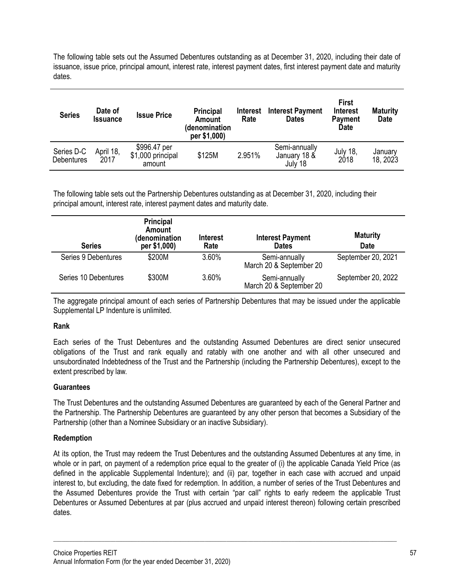The following table sets out the Assumed Debentures outstanding as at December 31, 2020, including their date of issuance, issue price, principal amount, interest rate, interest payment dates, first interest payment date and maturity dates.

| <b>Series</b>                   | Date of<br><b>Issuance</b> | <b>Issue Price</b>                          | <b>Principal</b><br>Amount<br>(denomination<br>per \$1,000) | <b>Interest</b><br>Rate | <b>Interest Payment</b><br><b>Dates</b>  | First<br><b>Interest</b><br><b>Payment</b><br><b>Date</b> | <b>Maturity</b><br>Date |
|---------------------------------|----------------------------|---------------------------------------------|-------------------------------------------------------------|-------------------------|------------------------------------------|-----------------------------------------------------------|-------------------------|
| Series D-C<br><b>Debentures</b> | April 18,<br>2017          | \$996.47 per<br>\$1,000 principal<br>amount | \$125M                                                      | 2.951%                  | Semi-annually<br>January 18 &<br>July 18 | July 18,<br>2018                                          | January<br>18, 2023     |

The following table sets out the Partnership Debentures outstanding as at December 31, 2020, including their principal amount, interest rate, interest payment dates and maturity date.

| <b>Series</b>        | <b>Principal</b><br>Amount<br>(denomination<br>per \$1,000) | <b>Interest</b><br>Rate | <b>Interest Payment</b><br><b>Dates</b>  | <b>Maturity</b><br>Date |
|----------------------|-------------------------------------------------------------|-------------------------|------------------------------------------|-------------------------|
| Series 9 Debentures  | \$200M                                                      | 3.60%                   | Semi-annually<br>March 20 & September 20 | September 20, 2021      |
| Series 10 Debentures | \$300M                                                      | 3.60%                   | Semi-annually<br>March 20 & September 20 | September 20, 2022      |

The aggregate principal amount of each series of Partnership Debentures that may be issued under the applicable Supplemental LP Indenture is unlimited.

### **Rank**

Each series of the Trust Debentures and the outstanding Assumed Debentures are direct senior unsecured obligations of the Trust and rank equally and ratably with one another and with all other unsecured and unsubordinated Indebtedness of the Trust and the Partnership (including the Partnership Debentures), except to the extent prescribed by law.

#### **Guarantees**

The Trust Debentures and the outstanding Assumed Debentures are guaranteed by each of the General Partner and the Partnership. The Partnership Debentures are guaranteed by any other person that becomes a Subsidiary of the Partnership (other than a Nominee Subsidiary or an inactive Subsidiary).

#### **Redemption**

At its option, the Trust may redeem the Trust Debentures and the outstanding Assumed Debentures at any time, in whole or in part, on payment of a redemption price equal to the greater of (i) the applicable Canada Yield Price (as defined in the applicable Supplemental Indenture); and (ii) par, together in each case with accrued and unpaid interest to, but excluding, the date fixed for redemption. In addition, a number of series of the Trust Debentures and the Assumed Debentures provide the Trust with certain "par call" rights to early redeem the applicable Trust Debentures or Assumed Debentures at par (plus accrued and unpaid interest thereon) following certain prescribed dates.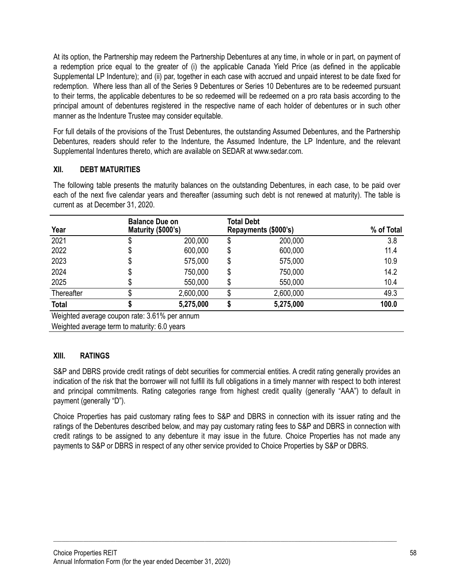At its option, the Partnership may redeem the Partnership Debentures at any time, in whole or in part, on payment of a redemption price equal to the greater of (i) the applicable Canada Yield Price (as defined in the applicable Supplemental LP Indenture); and (ii) par, together in each case with accrued and unpaid interest to be date fixed for redemption. Where less than all of the Series 9 Debentures or Series 10 Debentures are to be redeemed pursuant to their terms, the applicable debentures to be so redeemed will be redeemed on a pro rata basis according to the principal amount of debentures registered in the respective name of each holder of debentures or in such other manner as the Indenture Trustee may consider equitable.

For full details of the provisions of the Trust Debentures, the outstanding Assumed Debentures, and the Partnership Debentures, readers should refer to the Indenture, the Assumed Indenture, the LP Indenture, and the relevant Supplemental Indentures thereto, which are available on SEDAR at www.sedar.com.

# **XII. DEBT MATURITIES**

The following table presents the maturity balances on the outstanding Debentures, in each case, to be paid over each of the next five calendar years and thereafter (assuming such debt is not renewed at maturity). The table is current as at December 31, 2020.

| Year                                          | <b>Balance Due on</b><br>Maturity (\$000's) |    | Total Debt<br>Repayments (\$000's) | % of Total |
|-----------------------------------------------|---------------------------------------------|----|------------------------------------|------------|
| 2021                                          | 200,000                                     | \$ | 200,000                            | 3.8        |
| 2022                                          | 600,000                                     | \$ | 600,000                            | 11.4       |
| 2023                                          | \$<br>575,000                               | \$ | 575,000                            | 10.9       |
| 2024                                          | 750,000                                     | \$ | 750,000                            | 14.2       |
| 2025                                          | \$<br>550,000                               | \$ | 550,000                            | 10.4       |
| Thereafter                                    | 2,600,000                                   |    | 2,600,000                          | 49.3       |
| <b>Total</b>                                  | 5,275,000                                   |    | 5,275,000                          | 100.0      |
| Weighted average coupon rate: 3.61% per annum |                                             |    |                                    |            |

Weighted average term to maturity: 6.0 years

### **XIII. RATINGS**

S&P and DBRS provide credit ratings of debt securities for commercial entities. A credit rating generally provides an indication of the risk that the borrower will not fulfill its full obligations in a timely manner with respect to both interest and principal commitments. Rating categories range from highest credit quality (generally "AAA") to default in payment (generally "D").

Choice Properties has paid customary rating fees to S&P and DBRS in connection with its issuer rating and the ratings of the Debentures described below, and may pay customary rating fees to S&P and DBRS in connection with credit ratings to be assigned to any debenture it may issue in the future. Choice Properties has not made any payments to S&P or DBRS in respect of any other service provided to Choice Properties by S&P or DBRS.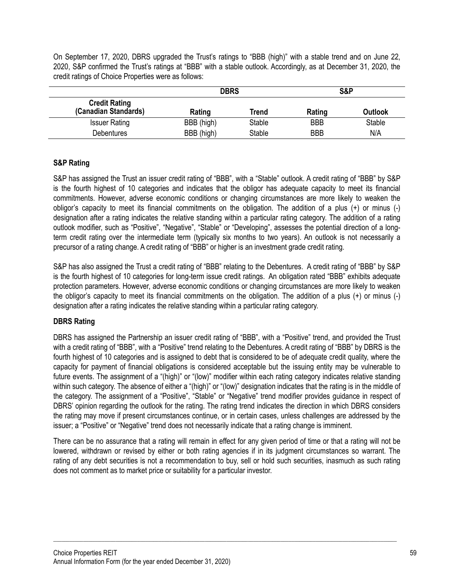On September 17, 2020, DBRS upgraded the Trust's ratings to "BBB (high)" with a stable trend and on June 22, 2020, S&P confirmed the Trust's ratings at "BBB" with a stable outlook. Accordingly, as at December 31, 2020, the credit ratings of Choice Properties were as follows:

|                                              | <b>DBRS</b> |               | S&P        |               |
|----------------------------------------------|-------------|---------------|------------|---------------|
| <b>Credit Rating</b><br>(Canadian Standards) | Rating      | <b>Trend</b>  | Rating     | Outlook       |
| <b>Issuer Rating</b>                         | BBB (high)  | <b>Stable</b> | <b>BBB</b> | <b>Stable</b> |
| <b>Debentures</b>                            | BBB (high)  | Stable        | <b>BBB</b> | N/A           |

### **S&P Rating**

S&P has assigned the Trust an issuer credit rating of "BBB", with a "Stable" outlook. A credit rating of "BBB" by S&P is the fourth highest of 10 categories and indicates that the obligor has adequate capacity to meet its financial commitments. However, adverse economic conditions or changing circumstances are more likely to weaken the obligor's capacity to meet its financial commitments on the obligation. The addition of a plus (+) or minus (-) designation after a rating indicates the relative standing within a particular rating category. The addition of a rating outlook modifier, such as "Positive", "Negative", "Stable" or "Developing", assesses the potential direction of a longterm credit rating over the intermediate term (typically six months to two years). An outlook is not necessarily a precursor of a rating change. A credit rating of "BBB" or higher is an investment grade credit rating.

S&P has also assigned the Trust a credit rating of "BBB" relating to the Debentures. A credit rating of "BBB" by S&P is the fourth highest of 10 categories for long-term issue credit ratings. An obligation rated "BBB" exhibits adequate protection parameters. However, adverse economic conditions or changing circumstances are more likely to weaken the obligor's capacity to meet its financial commitments on the obligation. The addition of a plus (+) or minus (-) designation after a rating indicates the relative standing within a particular rating category.

# **DBRS Rating**

DBRS has assigned the Partnership an issuer credit rating of "BBB", with a "Positive" trend, and provided the Trust with a credit rating of "BBB", with a "Positive" trend relating to the Debentures. A credit rating of "BBB" by DBRS is the fourth highest of 10 categories and is assigned to debt that is considered to be of adequate credit quality, where the capacity for payment of financial obligations is considered acceptable but the issuing entity may be vulnerable to future events. The assignment of a "(high)" or "(low)" modifier within each rating category indicates relative standing within such category. The absence of either a "(high)" or "(low)" designation indicates that the rating is in the middle of the category. The assignment of a "Positive", "Stable" or "Negative" trend modifier provides guidance in respect of DBRS' opinion regarding the outlook for the rating. The rating trend indicates the direction in which DBRS considers the rating may move if present circumstances continue, or in certain cases, unless challenges are addressed by the issuer; a "Positive" or "Negative" trend does not necessarily indicate that a rating change is imminent.

There can be no assurance that a rating will remain in effect for any given period of time or that a rating will not be lowered, withdrawn or revised by either or both rating agencies if in its judgment circumstances so warrant. The rating of any debt securities is not a recommendation to buy, sell or hold such securities, inasmuch as such rating does not comment as to market price or suitability for a particular investor.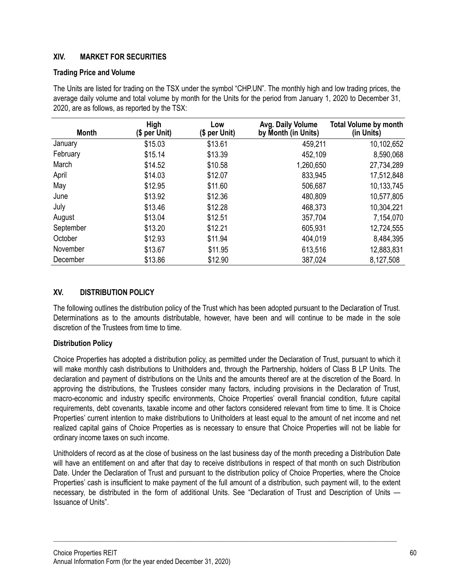## **XIV. MARKET FOR SECURITIES**

#### **Trading Price and Volume**

The Units are listed for trading on the TSX under the symbol "CHP.UN". The monthly high and low trading prices, the average daily volume and total volume by month for the Units for the period from January 1, 2020 to December 31, 2020, are as follows, as reported by the TSX:

| <b>Month</b> | <b>High</b><br>(\$ per Unit) | Low<br>$$$ per Unit) | Avg. Daily Volume<br>by Month (in Units) | <b>Total Volume by month</b><br>(in Units) |
|--------------|------------------------------|----------------------|------------------------------------------|--------------------------------------------|
| January      | \$15.03                      | \$13.61              | 459,211                                  | 10,102,652                                 |
| February     | \$15.14                      | \$13.39              | 452,109                                  | 8,590,068                                  |
| March        | \$14.52                      | \$10.58              | 1,260,650                                | 27,734,289                                 |
| April        | \$14.03                      | \$12.07              | 833,945                                  | 17,512,848                                 |
| May          | \$12.95                      | \$11.60              | 506,687                                  | 10,133,745                                 |
| June         | \$13.92                      | \$12.36              | 480,809                                  | 10,577,805                                 |
| July         | \$13.46                      | \$12.28              | 468,373                                  | 10,304,221                                 |
| August       | \$13.04                      | \$12.51              | 357,704                                  | 7,154,070                                  |
| September    | \$13.20                      | \$12.21              | 605,931                                  | 12,724,555                                 |
| October      | \$12.93                      | \$11.94              | 404,019                                  | 8,484,395                                  |
| November     | \$13.67                      | \$11.95              | 613,516                                  | 12,883,831                                 |
| December     | \$13.86                      | \$12.90              | 387,024                                  | 8,127,508                                  |

### **XV. DISTRIBUTION POLICY**

The following outlines the distribution policy of the Trust which has been adopted pursuant to the Declaration of Trust. Determinations as to the amounts distributable, however, have been and will continue to be made in the sole discretion of the Trustees from time to time.

### **Distribution Policy**

Choice Properties has adopted a distribution policy, as permitted under the Declaration of Trust, pursuant to which it will make monthly cash distributions to Unitholders and, through the Partnership, holders of Class B LP Units. The declaration and payment of distributions on the Units and the amounts thereof are at the discretion of the Board. In approving the distributions, the Trustees consider many factors, including provisions in the Declaration of Trust, macro-economic and industry specific environments, Choice Properties' overall financial condition, future capital requirements, debt covenants, taxable income and other factors considered relevant from time to time. It is Choice Properties' current intention to make distributions to Unitholders at least equal to the amount of net income and net realized capital gains of Choice Properties as is necessary to ensure that Choice Properties will not be liable for ordinary income taxes on such income.

Unitholders of record as at the close of business on the last business day of the month preceding a Distribution Date will have an entitlement on and after that day to receive distributions in respect of that month on such Distribution Date. Under the Declaration of Trust and pursuant to the distribution policy of Choice Properties, where the Choice Properties' cash is insufficient to make payment of the full amount of a distribution, such payment will, to the extent necessary, be distributed in the form of additional Units. See "Declaration of Trust and Description of Units — Issuance of Units".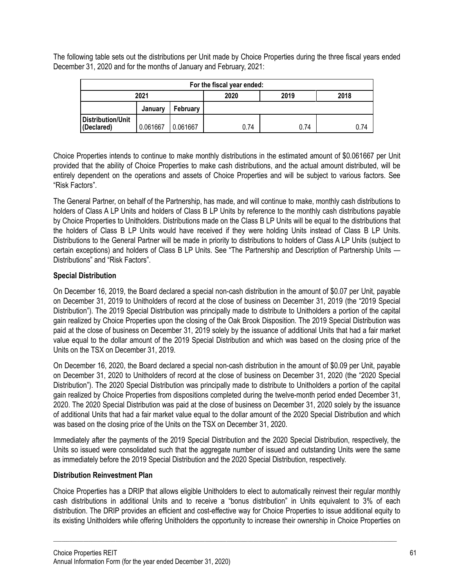The following table sets out the distributions per Unit made by Choice Properties during the three fiscal years ended December 31, 2020 and for the months of January and February, 2021:

| For the fiscal year ended:      |          |          |      |      |      |  |  |
|---------------------------------|----------|----------|------|------|------|--|--|
|                                 | 2021     |          | 2020 | 2018 |      |  |  |
|                                 | January  | February |      |      |      |  |  |
| Distribution/Unit<br>(Declared) | 0.061667 | 0.061667 | 0.74 | 0.74 | 0.74 |  |  |

Choice Properties intends to continue to make monthly distributions in the estimated amount of \$0.061667 per Unit provided that the ability of Choice Properties to make cash distributions, and the actual amount distributed, will be entirely dependent on the operations and assets of Choice Properties and will be subject to various factors. See "Risk Factors".

The General Partner, on behalf of the Partnership, has made, and will continue to make, monthly cash distributions to holders of Class A LP Units and holders of Class B LP Units by reference to the monthly cash distributions payable by Choice Properties to Unitholders. Distributions made on the Class B LP Units will be equal to the distributions that the holders of Class B LP Units would have received if they were holding Units instead of Class B LP Units. Distributions to the General Partner will be made in priority to distributions to holders of Class A LP Units (subject to certain exceptions) and holders of Class B LP Units. See "The Partnership and Description of Partnership Units — Distributions" and "Risk Factors".

## **Special Distribution**

On December 16, 2019, the Board declared a special non-cash distribution in the amount of \$0.07 per Unit, payable on December 31, 2019 to Unitholders of record at the close of business on December 31, 2019 (the "2019 Special Distribution"). The 2019 Special Distribution was principally made to distribute to Unitholders a portion of the capital gain realized by Choice Properties upon the closing of the Oak Brook Disposition. The 2019 Special Distribution was paid at the close of business on December 31, 2019 solely by the issuance of additional Units that had a fair market value equal to the dollar amount of the 2019 Special Distribution and which was based on the closing price of the Units on the TSX on December 31, 2019.

On December 16, 2020, the Board declared a special non-cash distribution in the amount of \$0.09 per Unit, payable on December 31, 2020 to Unitholders of record at the close of business on December 31, 2020 (the "2020 Special Distribution"). The 2020 Special Distribution was principally made to distribute to Unitholders a portion of the capital gain realized by Choice Properties from dispositions completed during the twelve-month period ended December 31, 2020. The 2020 Special Distribution was paid at the close of business on December 31, 2020 solely by the issuance of additional Units that had a fair market value equal to the dollar amount of the 2020 Special Distribution and which was based on the closing price of the Units on the TSX on December 31, 2020.

Immediately after the payments of the 2019 Special Distribution and the 2020 Special Distribution, respectively, the Units so issued were consolidated such that the aggregate number of issued and outstanding Units were the same as immediately before the 2019 Special Distribution and the 2020 Special Distribution, respectively.

### **Distribution Reinvestment Plan**

Choice Properties has a DRIP that allows eligible Unitholders to elect to automatically reinvest their regular monthly cash distributions in additional Units and to receive a "bonus distribution" in Units equivalent to 3% of each distribution. The DRIP provides an efficient and cost-effective way for Choice Properties to issue additional equity to its existing Unitholders while offering Unitholders the opportunity to increase their ownership in Choice Properties on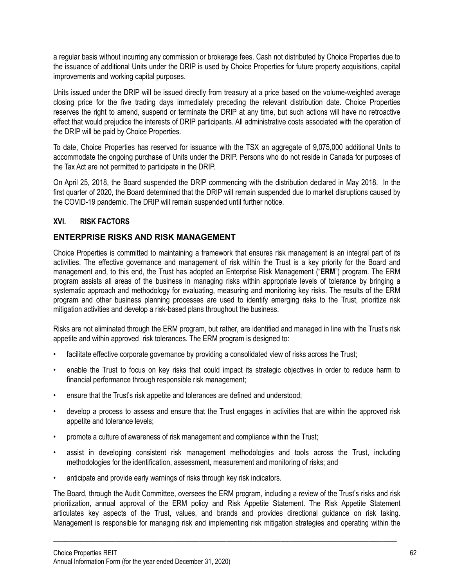a regular basis without incurring any commission or brokerage fees. Cash not distributed by Choice Properties due to the issuance of additional Units under the DRIP is used by Choice Properties for future property acquisitions, capital improvements and working capital purposes.

Units issued under the DRIP will be issued directly from treasury at a price based on the volume-weighted average closing price for the five trading days immediately preceding the relevant distribution date. Choice Properties reserves the right to amend, suspend or terminate the DRIP at any time, but such actions will have no retroactive effect that would prejudice the interests of DRIP participants. All administrative costs associated with the operation of the DRIP will be paid by Choice Properties.

To date, Choice Properties has reserved for issuance with the TSX an aggregate of 9,075,000 additional Units to accommodate the ongoing purchase of Units under the DRIP. Persons who do not reside in Canada for purposes of the Tax Act are not permitted to participate in the DRIP.

On April 25, 2018, the Board suspended the DRIP commencing with the distribution declared in May 2018. In the first quarter of 2020, the Board determined that the DRIP will remain suspended due to market disruptions caused by the COVID-19 pandemic. The DRIP will remain suspended until further notice.

## **XVI. RISK FACTORS**

### **ENTERPRISE RISKS AND RISK MANAGEMENT**

Choice Properties is committed to maintaining a framework that ensures risk management is an integral part of its activities. The effective governance and management of risk within the Trust is a key priority for the Board and management and, to this end, the Trust has adopted an Enterprise Risk Management ("**ERM**") program. The ERM program assists all areas of the business in managing risks within appropriate levels of tolerance by bringing a systematic approach and methodology for evaluating, measuring and monitoring key risks. The results of the ERM program and other business planning processes are used to identify emerging risks to the Trust, prioritize risk mitigation activities and develop a risk-based plans throughout the business.

Risks are not eliminated through the ERM program, but rather, are identified and managed in line with the Trust's risk appetite and within approved risk tolerances. The ERM program is designed to:

- facilitate effective corporate governance by providing a consolidated view of risks across the Trust;
- enable the Trust to focus on key risks that could impact its strategic objectives in order to reduce harm to financial performance through responsible risk management;
- ensure that the Trust's risk appetite and tolerances are defined and understood;
- develop a process to assess and ensure that the Trust engages in activities that are within the approved risk appetite and tolerance levels;
- promote a culture of awareness of risk management and compliance within the Trust;
- assist in developing consistent risk management methodologies and tools across the Trust, including methodologies for the identification, assessment, measurement and monitoring of risks; and
- anticipate and provide early warnings of risks through key risk indicators.

The Board, through the Audit Committee, oversees the ERM program, including a review of the Trust's risks and risk prioritization, annual approval of the ERM policy and Risk Appetite Statement. The Risk Appetite Statement articulates key aspects of the Trust, values, and brands and provides directional guidance on risk taking. Management is responsible for managing risk and implementing risk mitigation strategies and operating within the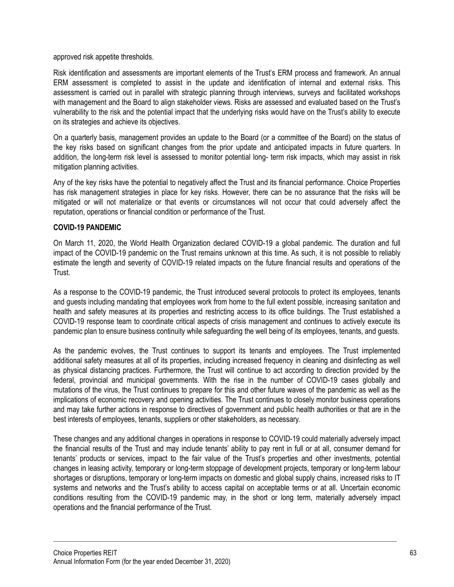approved risk appetite thresholds.

Risk identification and assessments are important elements of the Trust's ERM process and framework. An annual ERM assessment is completed to assist in the update and identification of internal and external risks. This assessment is carried out in parallel with strategic planning through interviews, surveys and facilitated workshops with management and the Board to align stakeholder views. Risks are assessed and evaluated based on the Trust's vulnerability to the risk and the potential impact that the underlying risks would have on the Trust's ability to execute on its strategies and achieve its objectives.

On a quarterly basis, management provides an update to the Board (or a committee of the Board) on the status of the key risks based on significant changes from the prior update and anticipated impacts in future quarters. In addition, the long-term risk level is assessed to monitor potential long- term risk impacts, which may assist in risk mitigation planning activities.

Any of the key risks have the potential to negatively affect the Trust and its financial performance. Choice Properties has risk management strategies in place for key risks. However, there can be no assurance that the risks will be mitigated or will not materialize or that events or circumstances will not occur that could adversely affect the reputation, operations or financial condition or performance of the Trust.

### **COVID-19 PANDEMIC**

On March 11, 2020, the World Health Organization declared COVID-19 a global pandemic. The duration and full impact of the COVID-19 pandemic on the Trust remains unknown at this time. As such, it is not possible to reliably estimate the length and severity of COVID-19 related impacts on the future financial results and operations of the **Trust** 

As a response to the COVID-19 pandemic, the Trust introduced several protocols to protect its employees, tenants and guests including mandating that employees work from home to the full extent possible, increasing sanitation and health and safety measures at its properties and restricting access to its office buildings. The Trust established a COVID-19 response team to coordinate critical aspects of crisis management and continues to actively execute its pandemic plan to ensure business continuity while safeguarding the well being of its employees, tenants, and guests.

As the pandemic evolves, the Trust continues to support its tenants and employees. The Trust implemented additional safety measures at all of its properties, including increased frequency in cleaning and disinfecting as well as physical distancing practices. Furthermore, the Trust will continue to act according to direction provided by the federal, provincial and municipal governments. With the rise in the number of COVID-19 cases globally and mutations of the virus, the Trust continues to prepare for this and other future waves of the pandemic as well as the implications of economic recovery and opening activities. The Trust continues to closely monitor business operations and may take further actions in response to directives of government and public health authorities or that are in the best interests of employees, tenants, suppliers or other stakeholders, as necessary.

These changes and any additional changes in operations in response to COVID-19 could materially adversely impact the financial results of the Trust and may include tenants' ability to pay rent in full or at all, consumer demand for tenants' products or services, impact to the fair value of the Trust's properties and other investments, potential changes in leasing activity, temporary or long-term stoppage of development projects, temporary or long-term labour shortages or disruptions, temporary or long-term impacts on domestic and global supply chains, increased risks to IT systems and networks and the Trust's ability to access capital on acceptable terms or at all. Uncertain economic conditions resulting from the COVID-19 pandemic may, in the short or long term, materially adversely impact operations and the financial performance of the Trust.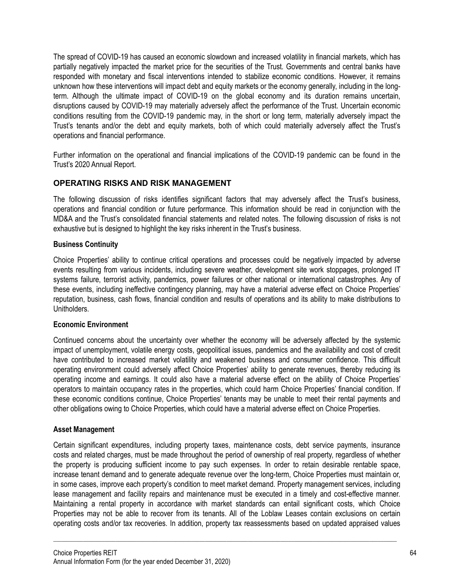The spread of COVID-19 has caused an economic slowdown and increased volatility in financial markets, which has partially negatively impacted the market price for the securities of the Trust. Governments and central banks have responded with monetary and fiscal interventions intended to stabilize economic conditions. However, it remains unknown how these interventions will impact debt and equity markets or the economy generally, including in the longterm. Although the ultimate impact of COVID-19 on the global economy and its duration remains uncertain, disruptions caused by COVID-19 may materially adversely affect the performance of the Trust. Uncertain economic conditions resulting from the COVID-19 pandemic may, in the short or long term, materially adversely impact the Trust's tenants and/or the debt and equity markets, both of which could materially adversely affect the Trust's operations and financial performance.

Further information on the operational and financial implications of the COVID-19 pandemic can be found in the Trust's 2020 Annual Report.

## **OPERATING RISKS AND RISK MANAGEMENT**

The following discussion of risks identifies significant factors that may adversely affect the Trust's business, operations and financial condition or future performance. This information should be read in conjunction with the MD&A and the Trust's consolidated financial statements and related notes. The following discussion of risks is not exhaustive but is designed to highlight the key risks inherent in the Trust's business.

#### **Business Continuity**

Choice Properties' ability to continue critical operations and processes could be negatively impacted by adverse events resulting from various incidents, including severe weather, development site work stoppages, prolonged IT systems failure, terrorist activity, pandemics, power failures or other national or international catastrophes. Any of these events, including ineffective contingency planning, may have a material adverse effect on Choice Properties' reputation, business, cash flows, financial condition and results of operations and its ability to make distributions to Unitholders.

#### **Economic Environment**

Continued concerns about the uncertainty over whether the economy will be adversely affected by the systemic impact of unemployment, volatile energy costs, geopolitical issues, pandemics and the availability and cost of credit have contributed to increased market volatility and weakened business and consumer confidence. This difficult operating environment could adversely affect Choice Properties' ability to generate revenues, thereby reducing its operating income and earnings. It could also have a material adverse effect on the ability of Choice Properties' operators to maintain occupancy rates in the properties, which could harm Choice Properties' financial condition. If these economic conditions continue, Choice Properties' tenants may be unable to meet their rental payments and other obligations owing to Choice Properties, which could have a material adverse effect on Choice Properties.

#### **Asset Management**

Certain significant expenditures, including property taxes, maintenance costs, debt service payments, insurance costs and related charges, must be made throughout the period of ownership of real property, regardless of whether the property is producing sufficient income to pay such expenses. In order to retain desirable rentable space, increase tenant demand and to generate adequate revenue over the long-term, Choice Properties must maintain or, in some cases, improve each property's condition to meet market demand. Property management services, including lease management and facility repairs and maintenance must be executed in a timely and cost-effective manner. Maintaining a rental property in accordance with market standards can entail significant costs, which Choice Properties may not be able to recover from its tenants. All of the Loblaw Leases contain exclusions on certain operating costs and/or tax recoveries. In addition, property tax reassessments based on updated appraised values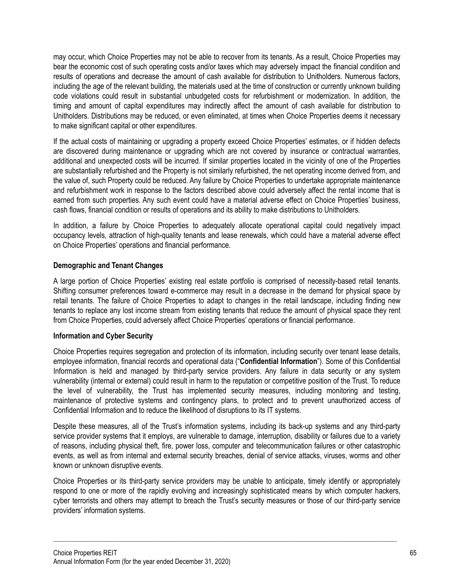may occur, which Choice Properties may not be able to recover from its tenants. As a result, Choice Properties may bear the economic cost of such operating costs and/or taxes which may adversely impact the financial condition and results of operations and decrease the amount of cash available for distribution to Unitholders. Numerous factors, including the age of the relevant building, the materials used at the time of construction or currently unknown building code violations could result in substantial unbudgeted costs for refurbishment or modernization. In addition, the timing and amount of capital expenditures may indirectly affect the amount of cash available for distribution to Unitholders. Distributions may be reduced, or even eliminated, at times when Choice Properties deems it necessary to make significant capital or other expenditures.

If the actual costs of maintaining or upgrading a property exceed Choice Properties' estimates, or if hidden defects are discovered during maintenance or upgrading which are not covered by insurance or contractual warranties, additional and unexpected costs will be incurred. If similar properties located in the vicinity of one of the Properties are substantially refurbished and the Property is not similarly refurbished, the net operating income derived from, and the value of, such Property could be reduced. Any failure by Choice Properties to undertake appropriate maintenance and refurbishment work in response to the factors described above could adversely affect the rental income that is earned from such properties. Any such event could have a material adverse effect on Choice Properties' business, cash flows, financial condition or results of operations and its ability to make distributions to Unitholders.

In addition, a failure by Choice Properties to adequately allocate operational capital could negatively impact occupancy levels, attraction of high-quality tenants and lease renewals, which could have a material adverse effect on Choice Properties' operations and financial performance.

## **Demographic and Tenant Changes**

A large portion of Choice Properties' existing real estate portfolio is comprised of necessity-based retail tenants. Shifting consumer preferences toward e-commerce may result in a decrease in the demand for physical space by retail tenants. The failure of Choice Properties to adapt to changes in the retail landscape, including finding new tenants to replace any lost income stream from existing tenants that reduce the amount of physical space they rent from Choice Properties, could adversely affect Choice Properties' operations or financial performance.

### **Information and Cyber Security**

Choice Properties requires segregation and protection of its information, including security over tenant lease details, employee information, financial records and operational data ("**Confidential Information**"). Some of this Confidential Information is held and managed by third-party service providers. Any failure in data security or any system vulnerability (internal or external) could result in harm to the reputation or competitive position of the Trust. To reduce the level of vulnerability, the Trust has implemented security measures, including monitoring and testing, maintenance of protective systems and contingency plans, to protect and to prevent unauthorized access of Confidential Information and to reduce the likelihood of disruptions to its IT systems.

Despite these measures, all of the Trust's information systems, including its back-up systems and any third-party service provider systems that it employs, are vulnerable to damage, interruption, disability or failures due to a variety of reasons, including physical theft, fire, power loss, computer and telecommunication failures or other catastrophic events, as well as from internal and external security breaches, denial of service attacks, viruses, worms and other known or unknown disruptive events.

Choice Properties or its third-party service providers may be unable to anticipate, timely identify or appropriately respond to one or more of the rapidly evolving and increasingly sophisticated means by which computer hackers, cyber terrorists and others may attempt to breach the Trust's security measures or those of our third-party service providers' information systems.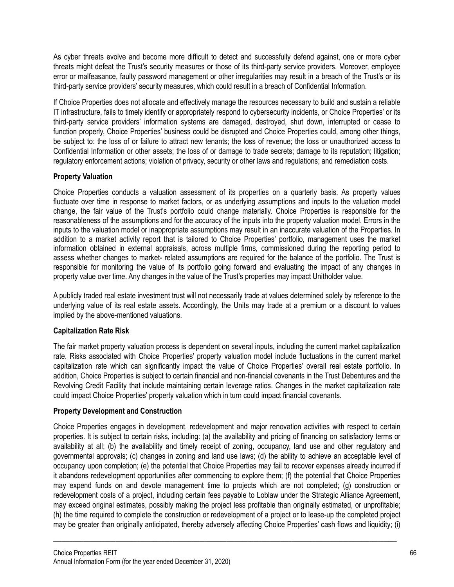As cyber threats evolve and become more difficult to detect and successfully defend against, one or more cyber threats might defeat the Trust's security measures or those of its third-party service providers. Moreover, employee error or malfeasance, faulty password management or other irregularities may result in a breach of the Trust's or its third-party service providers' security measures, which could result in a breach of Confidential Information.

If Choice Properties does not allocate and effectively manage the resources necessary to build and sustain a reliable IT infrastructure, fails to timely identify or appropriately respond to cybersecurity incidents, or Choice Properties' or its third-party service providers' information systems are damaged, destroyed, shut down, interrupted or cease to function properly, Choice Properties' business could be disrupted and Choice Properties could, among other things, be subject to: the loss of or failure to attract new tenants; the loss of revenue; the loss or unauthorized access to Confidential Information or other assets; the loss of or damage to trade secrets; damage to its reputation; litigation; regulatory enforcement actions; violation of privacy, security or other laws and regulations; and remediation costs.

## **Property Valuation**

Choice Properties conducts a valuation assessment of its properties on a quarterly basis. As property values fluctuate over time in response to market factors, or as underlying assumptions and inputs to the valuation model change, the fair value of the Trust's portfolio could change materially. Choice Properties is responsible for the reasonableness of the assumptions and for the accuracy of the inputs into the property valuation model. Errors in the inputs to the valuation model or inappropriate assumptions may result in an inaccurate valuation of the Properties. In addition to a market activity report that is tailored to Choice Properties' portfolio, management uses the market information obtained in external appraisals, across multiple firms, commissioned during the reporting period to assess whether changes to market- related assumptions are required for the balance of the portfolio. The Trust is responsible for monitoring the value of its portfolio going forward and evaluating the impact of any changes in property value over time. Any changes in the value of the Trust's properties may impact Unitholder value.

A publicly traded real estate investment trust will not necessarily trade at values determined solely by reference to the underlying value of its real estate assets. Accordingly, the Units may trade at a premium or a discount to values implied by the above-mentioned valuations.

### **Capitalization Rate Risk**

The fair market property valuation process is dependent on several inputs, including the current market capitalization rate. Risks associated with Choice Properties' property valuation model include fluctuations in the current market capitalization rate which can significantly impact the value of Choice Properties' overall real estate portfolio. In addition, Choice Properties is subject to certain financial and non-financial covenants in the Trust Debentures and the Revolving Credit Facility that include maintaining certain leverage ratios. Changes in the market capitalization rate could impact Choice Properties' property valuation which in turn could impact financial covenants.

### **Property Development and Construction**

Choice Properties engages in development, redevelopment and major renovation activities with respect to certain properties. It is subject to certain risks, including: (a) the availability and pricing of financing on satisfactory terms or availability at all; (b) the availability and timely receipt of zoning, occupancy, land use and other regulatory and governmental approvals; (c) changes in zoning and land use laws; (d) the ability to achieve an acceptable level of occupancy upon completion; (e) the potential that Choice Properties may fail to recover expenses already incurred if it abandons redevelopment opportunities after commencing to explore them; (f) the potential that Choice Properties may expend funds on and devote management time to projects which are not completed; (g) construction or redevelopment costs of a project, including certain fees payable to Loblaw under the Strategic Alliance Agreement, may exceed original estimates, possibly making the project less profitable than originally estimated, or unprofitable; (h) the time required to complete the construction or redevelopment of a project or to lease-up the completed project may be greater than originally anticipated, thereby adversely affecting Choice Properties' cash flows and liquidity; (i)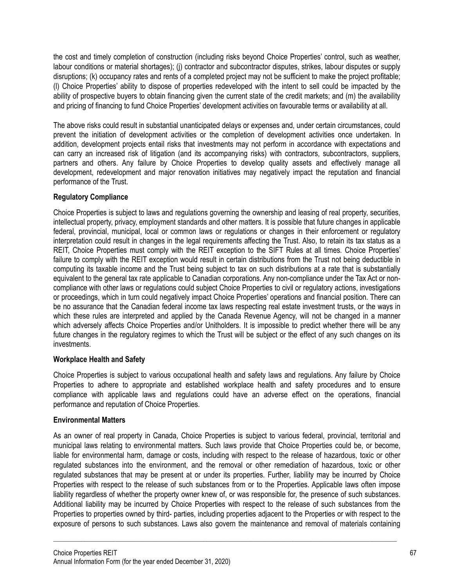the cost and timely completion of construction (including risks beyond Choice Properties' control, such as weather, labour conditions or material shortages); (j) contractor and subcontractor disputes, strikes, labour disputes or supply disruptions; (k) occupancy rates and rents of a completed project may not be sufficient to make the project profitable; (l) Choice Properties' ability to dispose of properties redeveloped with the intent to sell could be impacted by the ability of prospective buyers to obtain financing given the current state of the credit markets; and (m) the availability and pricing of financing to fund Choice Properties' development activities on favourable terms or availability at all.

The above risks could result in substantial unanticipated delays or expenses and, under certain circumstances, could prevent the initiation of development activities or the completion of development activities once undertaken. In addition, development projects entail risks that investments may not perform in accordance with expectations and can carry an increased risk of litigation (and its accompanying risks) with contractors, subcontractors, suppliers, partners and others. Any failure by Choice Properties to develop quality assets and effectively manage all development, redevelopment and major renovation initiatives may negatively impact the reputation and financial performance of the Trust.

## **Regulatory Compliance**

Choice Properties is subject to laws and regulations governing the ownership and leasing of real property, securities, intellectual property, privacy, employment standards and other matters. It is possible that future changes in applicable federal, provincial, municipal, local or common laws or regulations or changes in their enforcement or regulatory interpretation could result in changes in the legal requirements affecting the Trust. Also, to retain its tax status as a REIT, Choice Properties must comply with the REIT exception to the SIFT Rules at all times. Choice Properties' failure to comply with the REIT exception would result in certain distributions from the Trust not being deductible in computing its taxable income and the Trust being subject to tax on such distributions at a rate that is substantially equivalent to the general tax rate applicable to Canadian corporations. Any non-compliance under the Tax Act or noncompliance with other laws or regulations could subject Choice Properties to civil or regulatory actions, investigations or proceedings, which in turn could negatively impact Choice Properties' operations and financial position. There can be no assurance that the Canadian federal income tax laws respecting real estate investment trusts, or the ways in which these rules are interpreted and applied by the Canada Revenue Agency, will not be changed in a manner which adversely affects Choice Properties and/or Unitholders. It is impossible to predict whether there will be any future changes in the regulatory regimes to which the Trust will be subject or the effect of any such changes on its investments.

### **Workplace Health and Safety**

Choice Properties is subject to various occupational health and safety laws and regulations. Any failure by Choice Properties to adhere to appropriate and established workplace health and safety procedures and to ensure compliance with applicable laws and regulations could have an adverse effect on the operations, financial performance and reputation of Choice Properties.

### **Environmental Matters**

As an owner of real property in Canada, Choice Properties is subject to various federal, provincial, territorial and municipal laws relating to environmental matters. Such laws provide that Choice Properties could be, or become, liable for environmental harm, damage or costs, including with respect to the release of hazardous, toxic or other regulated substances into the environment, and the removal or other remediation of hazardous, toxic or other regulated substances that may be present at or under its properties. Further, liability may be incurred by Choice Properties with respect to the release of such substances from or to the Properties. Applicable laws often impose liability regardless of whether the property owner knew of, or was responsible for, the presence of such substances. Additional liability may be incurred by Choice Properties with respect to the release of such substances from the Properties to properties owned by third- parties, including properties adjacent to the Properties or with respect to the exposure of persons to such substances. Laws also govern the maintenance and removal of materials containing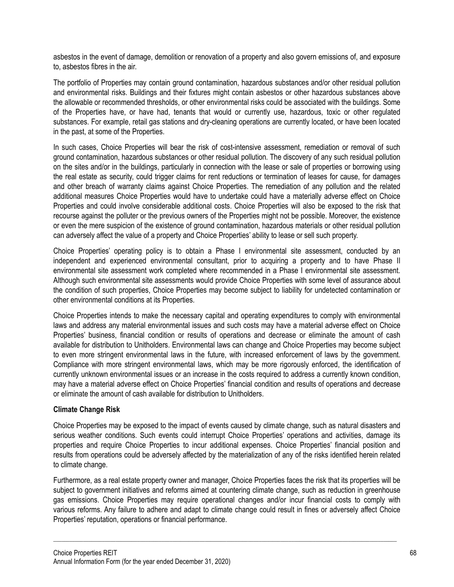asbestos in the event of damage, demolition or renovation of a property and also govern emissions of, and exposure to, asbestos fibres in the air.

The portfolio of Properties may contain ground contamination, hazardous substances and/or other residual pollution and environmental risks. Buildings and their fixtures might contain asbestos or other hazardous substances above the allowable or recommended thresholds, or other environmental risks could be associated with the buildings. Some of the Properties have, or have had, tenants that would or currently use, hazardous, toxic or other regulated substances. For example, retail gas stations and dry-cleaning operations are currently located, or have been located in the past, at some of the Properties.

In such cases, Choice Properties will bear the risk of cost-intensive assessment, remediation or removal of such ground contamination, hazardous substances or other residual pollution. The discovery of any such residual pollution on the sites and/or in the buildings, particularly in connection with the lease or sale of properties or borrowing using the real estate as security, could trigger claims for rent reductions or termination of leases for cause, for damages and other breach of warranty claims against Choice Properties. The remediation of any pollution and the related additional measures Choice Properties would have to undertake could have a materially adverse effect on Choice Properties and could involve considerable additional costs. Choice Properties will also be exposed to the risk that recourse against the polluter or the previous owners of the Properties might not be possible. Moreover, the existence or even the mere suspicion of the existence of ground contamination, hazardous materials or other residual pollution can adversely affect the value of a property and Choice Properties' ability to lease or sell such property.

Choice Properties' operating policy is to obtain a Phase I environmental site assessment, conducted by an independent and experienced environmental consultant, prior to acquiring a property and to have Phase II environmental site assessment work completed where recommended in a Phase I environmental site assessment. Although such environmental site assessments would provide Choice Properties with some level of assurance about the condition of such properties, Choice Properties may become subject to liability for undetected contamination or other environmental conditions at its Properties.

Choice Properties intends to make the necessary capital and operating expenditures to comply with environmental laws and address any material environmental issues and such costs may have a material adverse effect on Choice Properties' business, financial condition or results of operations and decrease or eliminate the amount of cash available for distribution to Unitholders. Environmental laws can change and Choice Properties may become subject to even more stringent environmental laws in the future, with increased enforcement of laws by the government. Compliance with more stringent environmental laws, which may be more rigorously enforced, the identification of currently unknown environmental issues or an increase in the costs required to address a currently known condition, may have a material adverse effect on Choice Properties' financial condition and results of operations and decrease or eliminate the amount of cash available for distribution to Unitholders.

### **Climate Change Risk**

Choice Properties may be exposed to the impact of events caused by climate change, such as natural disasters and serious weather conditions. Such events could interrupt Choice Properties' operations and activities, damage its properties and require Choice Properties to incur additional expenses. Choice Properties' financial position and results from operations could be adversely affected by the materialization of any of the risks identified herein related to climate change.

Furthermore, as a real estate property owner and manager, Choice Properties faces the risk that its properties will be subject to government initiatives and reforms aimed at countering climate change, such as reduction in greenhouse gas emissions. Choice Properties may require operational changes and/or incur financial costs to comply with various reforms. Any failure to adhere and adapt to climate change could result in fines or adversely affect Choice Properties' reputation, operations or financial performance.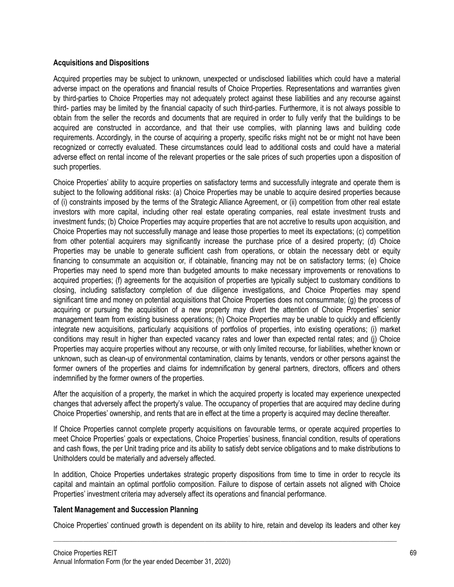### **Acquisitions and Dispositions**

Acquired properties may be subject to unknown, unexpected or undisclosed liabilities which could have a material adverse impact on the operations and financial results of Choice Properties. Representations and warranties given by third-parties to Choice Properties may not adequately protect against these liabilities and any recourse against third- parties may be limited by the financial capacity of such third-parties. Furthermore, it is not always possible to obtain from the seller the records and documents that are required in order to fully verify that the buildings to be acquired are constructed in accordance, and that their use complies, with planning laws and building code requirements. Accordingly, in the course of acquiring a property, specific risks might not be or might not have been recognized or correctly evaluated. These circumstances could lead to additional costs and could have a material adverse effect on rental income of the relevant properties or the sale prices of such properties upon a disposition of such properties.

Choice Properties' ability to acquire properties on satisfactory terms and successfully integrate and operate them is subject to the following additional risks: (a) Choice Properties may be unable to acquire desired properties because of (i) constraints imposed by the terms of the Strategic Alliance Agreement, or (ii) competition from other real estate investors with more capital, including other real estate operating companies, real estate investment trusts and investment funds; (b) Choice Properties may acquire properties that are not accretive to results upon acquisition, and Choice Properties may not successfully manage and lease those properties to meet its expectations; (c) competition from other potential acquirers may significantly increase the purchase price of a desired property; (d) Choice Properties may be unable to generate sufficient cash from operations, or obtain the necessary debt or equity financing to consummate an acquisition or, if obtainable, financing may not be on satisfactory terms; (e) Choice Properties may need to spend more than budgeted amounts to make necessary improvements or renovations to acquired properties; (f) agreements for the acquisition of properties are typically subject to customary conditions to closing, including satisfactory completion of due diligence investigations, and Choice Properties may spend significant time and money on potential acquisitions that Choice Properties does not consummate; (g) the process of acquiring or pursuing the acquisition of a new property may divert the attention of Choice Properties' senior management team from existing business operations; (h) Choice Properties may be unable to quickly and efficiently integrate new acquisitions, particularly acquisitions of portfolios of properties, into existing operations; (i) market conditions may result in higher than expected vacancy rates and lower than expected rental rates; and (j) Choice Properties may acquire properties without any recourse, or with only limited recourse, for liabilities, whether known or unknown, such as clean-up of environmental contamination, claims by tenants, vendors or other persons against the former owners of the properties and claims for indemnification by general partners, directors, officers and others indemnified by the former owners of the properties.

After the acquisition of a property, the market in which the acquired property is located may experience unexpected changes that adversely affect the property's value. The occupancy of properties that are acquired may decline during Choice Properties' ownership, and rents that are in effect at the time a property is acquired may decline thereafter.

If Choice Properties cannot complete property acquisitions on favourable terms, or operate acquired properties to meet Choice Properties' goals or expectations, Choice Properties' business, financial condition, results of operations and cash flows, the per Unit trading price and its ability to satisfy debt service obligations and to make distributions to Unitholders could be materially and adversely affected.

In addition, Choice Properties undertakes strategic property dispositions from time to time in order to recycle its capital and maintain an optimal portfolio composition. Failure to dispose of certain assets not aligned with Choice Properties' investment criteria may adversely affect its operations and financial performance.

### **Talent Management and Succession Planning**

Choice Properties' continued growth is dependent on its ability to hire, retain and develop its leaders and other key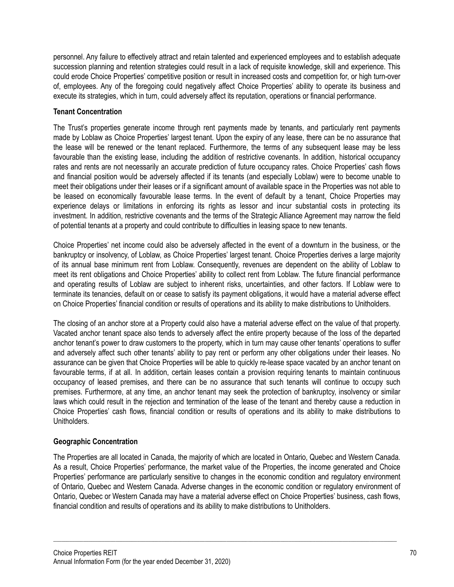personnel. Any failure to effectively attract and retain talented and experienced employees and to establish adequate succession planning and retention strategies could result in a lack of requisite knowledge, skill and experience. This could erode Choice Properties' competitive position or result in increased costs and competition for, or high turn-over of, employees. Any of the foregoing could negatively affect Choice Properties' ability to operate its business and execute its strategies, which in turn, could adversely affect its reputation, operations or financial performance.

## **Tenant Concentration**

The Trust's properties generate income through rent payments made by tenants, and particularly rent payments made by Loblaw as Choice Properties' largest tenant. Upon the expiry of any lease, there can be no assurance that the lease will be renewed or the tenant replaced. Furthermore, the terms of any subsequent lease may be less favourable than the existing lease, including the addition of restrictive covenants. In addition, historical occupancy rates and rents are not necessarily an accurate prediction of future occupancy rates. Choice Properties' cash flows and financial position would be adversely affected if its tenants (and especially Loblaw) were to become unable to meet their obligations under their leases or if a significant amount of available space in the Properties was not able to be leased on economically favourable lease terms. In the event of default by a tenant, Choice Properties may experience delays or limitations in enforcing its rights as lessor and incur substantial costs in protecting its investment. In addition, restrictive covenants and the terms of the Strategic Alliance Agreement may narrow the field of potential tenants at a property and could contribute to difficulties in leasing space to new tenants.

Choice Properties' net income could also be adversely affected in the event of a downturn in the business, or the bankruptcy or insolvency, of Loblaw, as Choice Properties' largest tenant. Choice Properties derives a large majority of its annual base minimum rent from Loblaw. Consequently, revenues are dependent on the ability of Loblaw to meet its rent obligations and Choice Properties' ability to collect rent from Loblaw. The future financial performance and operating results of Loblaw are subject to inherent risks, uncertainties, and other factors. If Loblaw were to terminate its tenancies, default on or cease to satisfy its payment obligations, it would have a material adverse effect on Choice Properties' financial condition or results of operations and its ability to make distributions to Unitholders.

The closing of an anchor store at a Property could also have a material adverse effect on the value of that property. Vacated anchor tenant space also tends to adversely affect the entire property because of the loss of the departed anchor tenant's power to draw customers to the property, which in turn may cause other tenants' operations to suffer and adversely affect such other tenants' ability to pay rent or perform any other obligations under their leases. No assurance can be given that Choice Properties will be able to quickly re-lease space vacated by an anchor tenant on favourable terms, if at all. In addition, certain leases contain a provision requiring tenants to maintain continuous occupancy of leased premises, and there can be no assurance that such tenants will continue to occupy such premises. Furthermore, at any time, an anchor tenant may seek the protection of bankruptcy, insolvency or similar laws which could result in the rejection and termination of the lease of the tenant and thereby cause a reduction in Choice Properties' cash flows, financial condition or results of operations and its ability to make distributions to Unitholders.

# **Geographic Concentration**

The Properties are all located in Canada, the majority of which are located in Ontario, Quebec and Western Canada. As a result, Choice Properties' performance, the market value of the Properties, the income generated and Choice Properties' performance are particularly sensitive to changes in the economic condition and regulatory environment of Ontario, Quebec and Western Canada. Adverse changes in the economic condition or regulatory environment of Ontario, Quebec or Western Canada may have a material adverse effect on Choice Properties' business, cash flows, financial condition and results of operations and its ability to make distributions to Unitholders.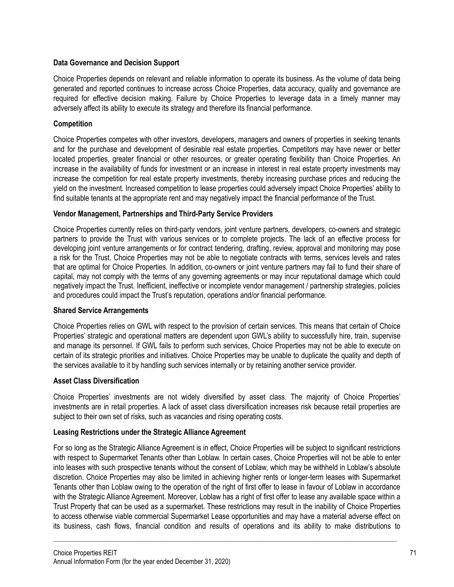## **Data Governance and Decision Support**

Choice Properties depends on relevant and reliable information to operate its business. As the volume of data being generated and reported continues to increase across Choice Properties, data accuracy, quality and governance are required for effective decision making. Failure by Choice Properties to leverage data in a timely manner may adversely affect its ability to execute its strategy and therefore its financial performance.

## **Competition**

Choice Properties competes with other investors, developers, managers and owners of properties in seeking tenants and for the purchase and development of desirable real estate properties. Competitors may have newer or better located properties, greater financial or other resources, or greater operating flexibility than Choice Properties. An increase in the availability of funds for investment or an increase in interest in real estate property investments may increase the competition for real estate property investments, thereby increasing purchase prices and reducing the yield on the investment. Increased competition to lease properties could adversely impact Choice Properties' ability to find suitable tenants at the appropriate rent and may negatively impact the financial performance of the Trust.

## **Vendor Management, Partnerships and Third-Party Service Providers**

Choice Properties currently relies on third-party vendors, joint venture partners, developers, co-owners and strategic partners to provide the Trust with various services or to complete projects. The lack of an effective process for developing joint venture arrangements or for contract tendering, drafting, review, approval and monitoring may pose a risk for the Trust. Choice Properties may not be able to negotiate contracts with terms, services levels and rates that are optimal for Choice Properties. In addition, co-owners or joint venture partners may fail to fund their share of capital, may not comply with the terms of any governing agreements or may incur reputational damage which could negatively impact the Trust. Inefficient, ineffective or incomplete vendor management / partnership strategies, policies and procedures could impact the Trust's reputation, operations and/or financial performance.

### **Shared Service Arrangements**

Choice Properties relies on GWL with respect to the provision of certain services. This means that certain of Choice Properties' strategic and operational matters are dependent upon GWL's ability to successfully hire, train, supervise and manage its personnel. If GWL fails to perform such services, Choice Properties may not be able to execute on certain of its strategic priorities and initiatives. Choice Properties may be unable to duplicate the quality and depth of the services available to it by handling such services internally or by retaining another service provider.

### **Asset Class Diversification**

Choice Properties' investments are not widely diversified by asset class. The majority of Choice Properties' investments are in retail properties. A lack of asset class diversification increases risk because retail properties are subject to their own set of risks, such as vacancies and rising operating costs.

### **Leasing Restrictions under the Strategic Alliance Agreement**

For so long as the Strategic Alliance Agreement is in effect, Choice Properties will be subject to significant restrictions with respect to Supermarket Tenants other than Loblaw. In certain cases, Choice Properties will not be able to enter into leases with such prospective tenants without the consent of Loblaw, which may be withheld in Loblaw's absolute discretion. Choice Properties may also be limited in achieving higher rents or longer-term leases with Supermarket Tenants other than Loblaw owing to the operation of the right of first offer to lease in favour of Loblaw in accordance with the Strategic Alliance Agreement. Moreover, Loblaw has a right of first offer to lease any available space within a Trust Property that can be used as a supermarket. These restrictions may result in the inability of Choice Properties to access otherwise viable commercial Supermarket Lease opportunities and may have a material adverse effect on its business, cash flows, financial condition and results of operations and its ability to make distributions to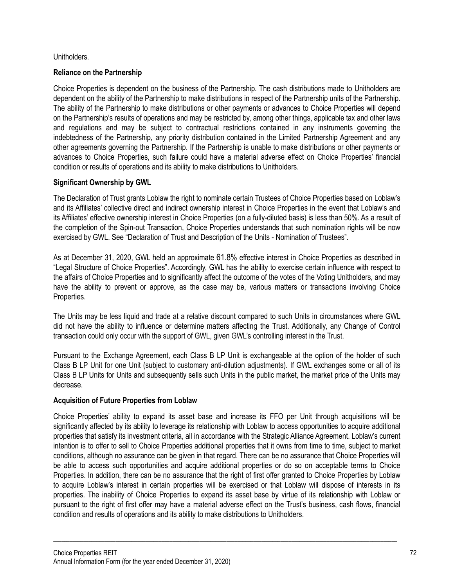### Unitholders.

### **Reliance on the Partnership**

Choice Properties is dependent on the business of the Partnership. The cash distributions made to Unitholders are dependent on the ability of the Partnership to make distributions in respect of the Partnership units of the Partnership. The ability of the Partnership to make distributions or other payments or advances to Choice Properties will depend on the Partnership's results of operations and may be restricted by, among other things, applicable tax and other laws and regulations and may be subject to contractual restrictions contained in any instruments governing the indebtedness of the Partnership, any priority distribution contained in the Limited Partnership Agreement and any other agreements governing the Partnership. If the Partnership is unable to make distributions or other payments or advances to Choice Properties, such failure could have a material adverse effect on Choice Properties' financial condition or results of operations and its ability to make distributions to Unitholders.

# **Significant Ownership by GWL**

The Declaration of Trust grants Loblaw the right to nominate certain Trustees of Choice Properties based on Loblaw's and its Affiliates' collective direct and indirect ownership interest in Choice Properties in the event that Loblaw's and its Affiliates' effective ownership interest in Choice Properties (on a fully-diluted basis) is less than 50%. As a result of the completion of the Spin-out Transaction, Choice Properties understands that such nomination rights will be now exercised by GWL. See "Declaration of Trust and Description of the Units - Nomination of Trustees".

As at December 31, 2020, GWL held an approximate 61.8% effective interest in Choice Properties as described in "Legal Structure of Choice Properties". Accordingly, GWL has the ability to exercise certain influence with respect to the affairs of Choice Properties and to significantly affect the outcome of the votes of the Voting Unitholders, and may have the ability to prevent or approve, as the case may be, various matters or transactions involving Choice Properties.

The Units may be less liquid and trade at a relative discount compared to such Units in circumstances where GWL did not have the ability to influence or determine matters affecting the Trust. Additionally, any Change of Control transaction could only occur with the support of GWL, given GWL's controlling interest in the Trust.

Pursuant to the Exchange Agreement, each Class B LP Unit is exchangeable at the option of the holder of such Class B LP Unit for one Unit (subject to customary anti-dilution adjustments). If GWL exchanges some or all of its Class B LP Units for Units and subsequently sells such Units in the public market, the market price of the Units may decrease.

### **Acquisition of Future Properties from Loblaw**

Choice Properties' ability to expand its asset base and increase its FFO per Unit through acquisitions will be significantly affected by its ability to leverage its relationship with Loblaw to access opportunities to acquire additional properties that satisfy its investment criteria, all in accordance with the Strategic Alliance Agreement. Loblaw's current intention is to offer to sell to Choice Properties additional properties that it owns from time to time, subject to market conditions, although no assurance can be given in that regard. There can be no assurance that Choice Properties will be able to access such opportunities and acquire additional properties or do so on acceptable terms to Choice Properties. In addition, there can be no assurance that the right of first offer granted to Choice Properties by Loblaw to acquire Loblaw's interest in certain properties will be exercised or that Loblaw will dispose of interests in its properties. The inability of Choice Properties to expand its asset base by virtue of its relationship with Loblaw or pursuant to the right of first offer may have a material adverse effect on the Trust's business, cash flows, financial condition and results of operations and its ability to make distributions to Unitholders.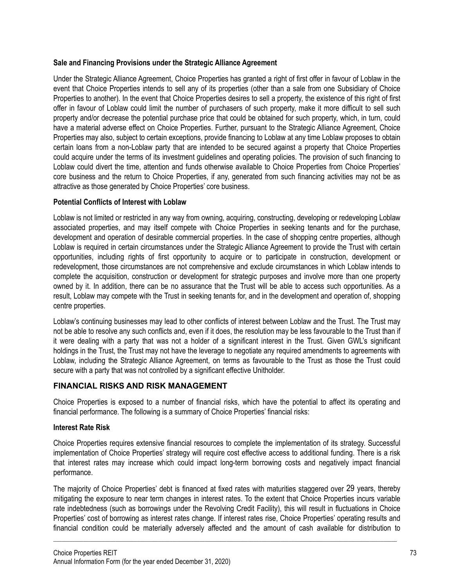### **Sale and Financing Provisions under the Strategic Alliance Agreement**

Under the Strategic Alliance Agreement, Choice Properties has granted a right of first offer in favour of Loblaw in the event that Choice Properties intends to sell any of its properties (other than a sale from one Subsidiary of Choice Properties to another). In the event that Choice Properties desires to sell a property, the existence of this right of first offer in favour of Loblaw could limit the number of purchasers of such property, make it more difficult to sell such property and/or decrease the potential purchase price that could be obtained for such property, which, in turn, could have a material adverse effect on Choice Properties. Further, pursuant to the Strategic Alliance Agreement, Choice Properties may also, subject to certain exceptions, provide financing to Loblaw at any time Loblaw proposes to obtain certain loans from a non-Loblaw party that are intended to be secured against a property that Choice Properties could acquire under the terms of its investment guidelines and operating policies. The provision of such financing to Loblaw could divert the time, attention and funds otherwise available to Choice Properties from Choice Properties' core business and the return to Choice Properties, if any, generated from such financing activities may not be as attractive as those generated by Choice Properties' core business.

## **Potential Conflicts of Interest with Loblaw**

Loblaw is not limited or restricted in any way from owning, acquiring, constructing, developing or redeveloping Loblaw associated properties, and may itself compete with Choice Properties in seeking tenants and for the purchase, development and operation of desirable commercial properties. In the case of shopping centre properties, although Loblaw is required in certain circumstances under the Strategic Alliance Agreement to provide the Trust with certain opportunities, including rights of first opportunity to acquire or to participate in construction, development or redevelopment, those circumstances are not comprehensive and exclude circumstances in which Loblaw intends to complete the acquisition, construction or development for strategic purposes and involve more than one property owned by it. In addition, there can be no assurance that the Trust will be able to access such opportunities. As a result, Loblaw may compete with the Trust in seeking tenants for, and in the development and operation of, shopping centre properties.

Loblaw's continuing businesses may lead to other conflicts of interest between Loblaw and the Trust. The Trust may not be able to resolve any such conflicts and, even if it does, the resolution may be less favourable to the Trust than if it were dealing with a party that was not a holder of a significant interest in the Trust. Given GWL's significant holdings in the Trust, the Trust may not have the leverage to negotiate any required amendments to agreements with Loblaw, including the Strategic Alliance Agreement, on terms as favourable to the Trust as those the Trust could secure with a party that was not controlled by a significant effective Unitholder.

# **FINANCIAL RISKS AND RISK MANAGEMENT**

Choice Properties is exposed to a number of financial risks, which have the potential to affect its operating and financial performance. The following is a summary of Choice Properties' financial risks:

### **Interest Rate Risk**

Choice Properties requires extensive financial resources to complete the implementation of its strategy. Successful implementation of Choice Properties' strategy will require cost effective access to additional funding. There is a risk that interest rates may increase which could impact long-term borrowing costs and negatively impact financial performance.

The majority of Choice Properties' debt is financed at fixed rates with maturities staggered over 29 years, thereby mitigating the exposure to near term changes in interest rates. To the extent that Choice Properties incurs variable rate indebtedness (such as borrowings under the Revolving Credit Facility), this will result in fluctuations in Choice Properties' cost of borrowing as interest rates change. If interest rates rise, Choice Properties' operating results and financial condition could be materially adversely affected and the amount of cash available for distribution to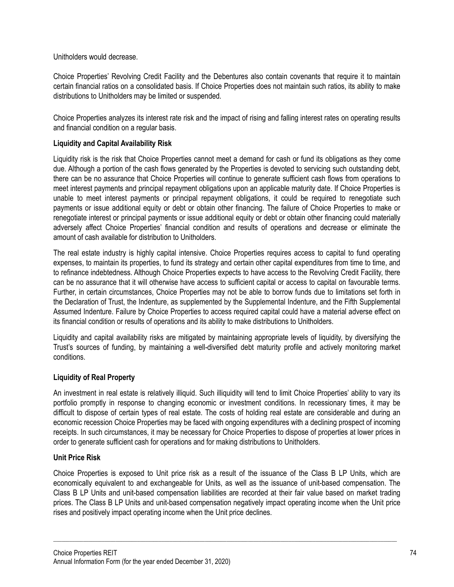Unitholders would decrease.

Choice Properties' Revolving Credit Facility and the Debentures also contain covenants that require it to maintain certain financial ratios on a consolidated basis. If Choice Properties does not maintain such ratios, its ability to make distributions to Unitholders may be limited or suspended.

Choice Properties analyzes its interest rate risk and the impact of rising and falling interest rates on operating results and financial condition on a regular basis.

### **Liquidity and Capital Availability Risk**

Liquidity risk is the risk that Choice Properties cannot meet a demand for cash or fund its obligations as they come due. Although a portion of the cash flows generated by the Properties is devoted to servicing such outstanding debt, there can be no assurance that Choice Properties will continue to generate sufficient cash flows from operations to meet interest payments and principal repayment obligations upon an applicable maturity date. If Choice Properties is unable to meet interest payments or principal repayment obligations, it could be required to renegotiate such payments or issue additional equity or debt or obtain other financing. The failure of Choice Properties to make or renegotiate interest or principal payments or issue additional equity or debt or obtain other financing could materially adversely affect Choice Properties' financial condition and results of operations and decrease or eliminate the amount of cash available for distribution to Unitholders.

The real estate industry is highly capital intensive. Choice Properties requires access to capital to fund operating expenses, to maintain its properties, to fund its strategy and certain other capital expenditures from time to time, and to refinance indebtedness. Although Choice Properties expects to have access to the Revolving Credit Facility, there can be no assurance that it will otherwise have access to sufficient capital or access to capital on favourable terms. Further, in certain circumstances, Choice Properties may not be able to borrow funds due to limitations set forth in the Declaration of Trust, the Indenture, as supplemented by the Supplemental Indenture, and the Fifth Supplemental Assumed Indenture. Failure by Choice Properties to access required capital could have a material adverse effect on its financial condition or results of operations and its ability to make distributions to Unitholders.

Liquidity and capital availability risks are mitigated by maintaining appropriate levels of liquidity, by diversifying the Trust's sources of funding, by maintaining a well-diversified debt maturity profile and actively monitoring market conditions.

### **Liquidity of Real Property**

An investment in real estate is relatively illiquid. Such illiquidity will tend to limit Choice Properties' ability to vary its portfolio promptly in response to changing economic or investment conditions. In recessionary times, it may be difficult to dispose of certain types of real estate. The costs of holding real estate are considerable and during an economic recession Choice Properties may be faced with ongoing expenditures with a declining prospect of incoming receipts. In such circumstances, it may be necessary for Choice Properties to dispose of properties at lower prices in order to generate sufficient cash for operations and for making distributions to Unitholders.

# **Unit Price Risk**

Choice Properties is exposed to Unit price risk as a result of the issuance of the Class B LP Units, which are economically equivalent to and exchangeable for Units, as well as the issuance of unit-based compensation. The Class B LP Units and unit-based compensation liabilities are recorded at their fair value based on market trading prices. The Class B LP Units and unit-based compensation negatively impact operating income when the Unit price rises and positively impact operating income when the Unit price declines.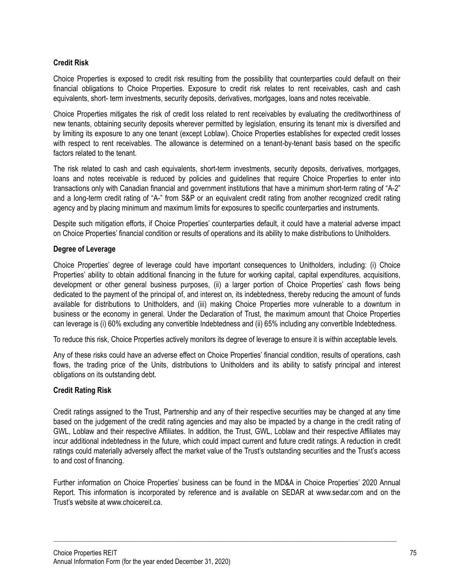# **Credit Risk**

Choice Properties is exposed to credit risk resulting from the possibility that counterparties could default on their financial obligations to Choice Properties. Exposure to credit risk relates to rent receivables, cash and cash equivalents, short- term investments, security deposits, derivatives, mortgages, loans and notes receivable.

Choice Properties mitigates the risk of credit loss related to rent receivables by evaluating the creditworthiness of new tenants, obtaining security deposits wherever permitted by legislation, ensuring its tenant mix is diversified and by limiting its exposure to any one tenant (except Loblaw). Choice Properties establishes for expected credit losses with respect to rent receivables. The allowance is determined on a tenant-by-tenant basis based on the specific factors related to the tenant.

The risk related to cash and cash equivalents, short-term investments, security deposits, derivatives, mortgages, loans and notes receivable is reduced by policies and guidelines that require Choice Properties to enter into transactions only with Canadian financial and government institutions that have a minimum short-term rating of "A-2" and a long-term credit rating of "A-" from S&P or an equivalent credit rating from another recognized credit rating agency and by placing minimum and maximum limits for exposures to specific counterparties and instruments.

Despite such mitigation efforts, if Choice Properties' counterparties default, it could have a material adverse impact on Choice Properties' financial condition or results of operations and its ability to make distributions to Unitholders.

### **Degree of Leverage**

Choice Properties' degree of leverage could have important consequences to Unitholders, including: (i) Choice Properties' ability to obtain additional financing in the future for working capital, capital expenditures, acquisitions, development or other general business purposes, (ii) a larger portion of Choice Properties' cash flows being dedicated to the payment of the principal of, and interest on, its indebtedness, thereby reducing the amount of funds available for distributions to Unitholders, and (iii) making Choice Properties more vulnerable to a downturn in business or the economy in general. Under the Declaration of Trust, the maximum amount that Choice Properties can leverage is (i) 60% excluding any convertible Indebtedness and (ii) 65% including any convertible Indebtedness.

To reduce this risk, Choice Properties actively monitors its degree of leverage to ensure it is within acceptable levels.

Any of these risks could have an adverse effect on Choice Properties' financial condition, results of operations, cash flows, the trading price of the Units, distributions to Unitholders and its ability to satisfy principal and interest obligations on its outstanding debt.

### **Credit Rating Risk**

Credit ratings assigned to the Trust, Partnership and any of their respective securities may be changed at any time based on the judgement of the credit rating agencies and may also be impacted by a change in the credit rating of GWL, Loblaw and their respective Affiliates. In addition, the Trust, GWL, Loblaw and their respective Affiliates may incur additional indebtedness in the future, which could impact current and future credit ratings. A reduction in credit ratings could materially adversely affect the market value of the Trust's outstanding securities and the Trust's access to and cost of financing.

Further information on Choice Properties' business can be found in the MD&A in Choice Properties' 2020 Annual Report. This information is incorporated by reference and is available on SEDAR at www.sedar.com and on the Trust's website at www.choicereit.ca.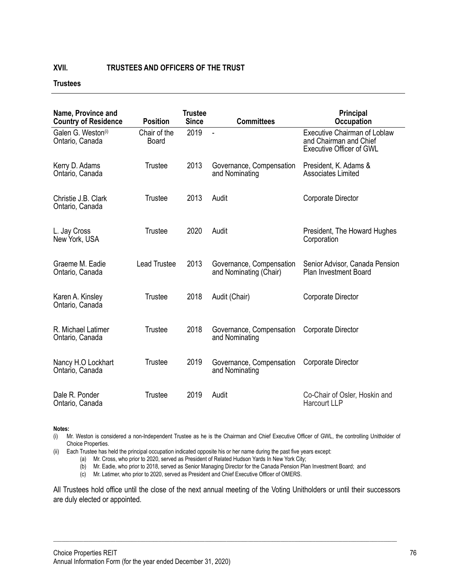### **XVII. TRUSTEES AND OFFICERS OF THE TRUST**

## **Trustees**

| Name, Province and<br><b>Country of Residence</b> | <b>Position</b>              | <b>Trustee</b><br><b>Since</b> | <b>Committees</b>                                  | Principal<br><b>Occupation</b>                                                                   |
|---------------------------------------------------|------------------------------|--------------------------------|----------------------------------------------------|--------------------------------------------------------------------------------------------------|
| Galen G. Weston <sup>(i)</sup><br>Ontario, Canada | Chair of the<br><b>Board</b> | 2019                           | ä,                                                 | <b>Executive Chairman of Loblaw</b><br>and Chairman and Chief<br><b>Executive Officer of GWL</b> |
| Kerry D. Adams<br>Ontario, Canada                 | <b>Trustee</b>               | 2013                           | Governance, Compensation<br>and Nominating         | President, K. Adams &<br><b>Associates Limited</b>                                               |
| Christie J.B. Clark<br>Ontario, Canada            | Trustee                      | 2013                           | Audit                                              | Corporate Director                                                                               |
| L. Jay Cross<br>New York, USA                     | Trustee                      | 2020                           | Audit                                              | President, The Howard Hughes<br>Corporation                                                      |
| Graeme M. Eadie<br>Ontario, Canada                | <b>Lead Trustee</b>          | 2013                           | Governance, Compensation<br>and Nominating (Chair) | Senior Advisor, Canada Pension<br><b>Plan Investment Board</b>                                   |
| Karen A. Kinsley<br>Ontario, Canada               | Trustee                      | 2018                           | Audit (Chair)                                      | Corporate Director                                                                               |
| R. Michael Latimer<br>Ontario, Canada             | Trustee                      | 2018                           | Governance, Compensation<br>and Nominating         | Corporate Director                                                                               |
| Nancy H.O Lockhart<br>Ontario, Canada             | Trustee                      | 2019                           | Governance, Compensation<br>and Nominating         | Corporate Director                                                                               |
| Dale R. Ponder<br>Ontario, Canada                 | Trustee                      | 2019                           | Audit                                              | Co-Chair of Osler, Hoskin and<br>Harcourt LLP                                                    |

**Notes:**

(i) Mr. Weston is considered a non-Independent Trustee as he is the Chairman and Chief Executive Officer of GWL, the controlling Unitholder of Choice Properties.

(ii) Each Trustee has held the principal occupation indicated opposite his or her name during the past five years except:

- (a) Mr. Cross, who prior to 2020, served as President of Related Hudson Yards In New York City;
- (b) Mr. Eadie, who prior to 2018, served as Senior Managing Director for the Canada Pension Plan Investment Board; and
- (c) Mr. Latimer, who prior to 2020, served as President and Chief Executive Officer of OMERS.

All Trustees hold office until the close of the next annual meeting of the Voting Unitholders or until their successors are duly elected or appointed.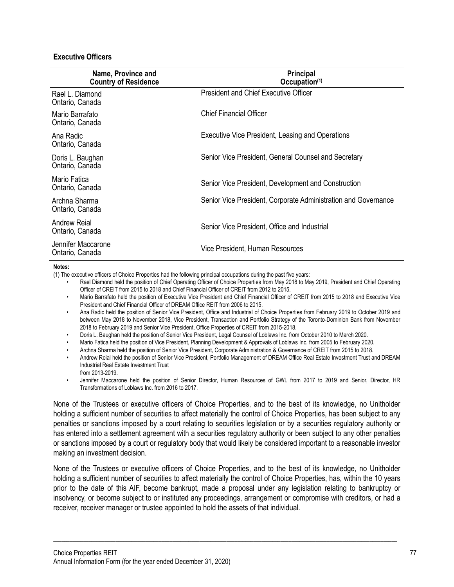### **Executive Officers**

| Name, Province and<br><b>Country of Residence</b> | Principal<br>Occupation(1)                                     |  |
|---------------------------------------------------|----------------------------------------------------------------|--|
| Rael L. Diamond<br>Ontario, Canada                | <b>President and Chief Executive Officer</b>                   |  |
| Mario Barrafato<br>Ontario, Canada                | <b>Chief Financial Officer</b>                                 |  |
| Ana Radic<br>Ontario, Canada                      | Executive Vice President, Leasing and Operations               |  |
| Doris L. Baughan<br>Ontario, Canada               | Senior Vice President, General Counsel and Secretary           |  |
| Mario Fatica<br>Ontario, Canada                   | Senior Vice President, Development and Construction            |  |
| Archna Sharma<br>Ontario, Canada                  | Senior Vice President, Corporate Administration and Governance |  |
| Andrew Reial<br>Ontario, Canada                   | Senior Vice President, Office and Industrial                   |  |
| Jennifer Maccarone<br>Ontario, Canada             | Vice President, Human Resources                                |  |

#### **Notes:**

(1) The executive officers of Choice Properties had the following principal occupations during the past five years:

- Rael Diamond held the position of Chief Operating Officer of Choice Properties from May 2018 to May 2019, President and Chief Operating Officer of CREIT from 2015 to 2018 and Chief Financial Officer of CREIT from 2012 to 2015.
- Mario Barrafato held the position of Executive Vice President and Chief Financial Officer of CREIT from 2015 to 2018 and Executive Vice President and Chief Financial Officer of DREAM Office REIT from 2006 to 2015.
- Ana Radic held the position of Senior Vice President, Office and Industrial of Choice Properties from February 2019 to October 2019 and between May 2018 to November 2018, Vice President, Transaction and Portfolio Strategy of the Toronto-Dominion Bank from November 2018 to February 2019 and Senior Vice President, Office Properties of CREIT from 2015-2018.
- Doris L. Baughan held the position of Senior Vice President, Legal Counsel of Loblaws Inc. from October 2010 to March 2020.
- Mario Fatica held the position of Vice President, Planning Development & Approvals of Loblaws Inc. from 2005 to February 2020.
- Archna Sharma held the position of Senior Vice President, Corporate Administration & Governance of CREIT from 2015 to 2018.
- Andrew Reial held the position of Senior Vice President, Portfolio Management of DREAM Office Real Estate Investment Trust and DREAM Industrial Real Estate Investment Trust from 2013-2019.
- Jennifer Maccarone held the position of Senior Director, Human Resources of GWL from 2017 to 2019 and Senior, Director, HR Transformations of Loblaws Inc. from 2016 to 2017.

None of the Trustees or executive officers of Choice Properties, and to the best of its knowledge, no Unitholder holding a sufficient number of securities to affect materially the control of Choice Properties, has been subject to any penalties or sanctions imposed by a court relating to securities legislation or by a securities regulatory authority or has entered into a settlement agreement with a securities regulatory authority or been subject to any other penalties or sanctions imposed by a court or regulatory body that would likely be considered important to a reasonable investor making an investment decision.

None of the Trustees or executive officers of Choice Properties, and to the best of its knowledge, no Unitholder holding a sufficient number of securities to affect materially the control of Choice Properties, has, within the 10 years prior to the date of this AIF, become bankrupt, made a proposal under any legislation relating to bankruptcy or insolvency, or become subject to or instituted any proceedings, arrangement or compromise with creditors, or had a receiver, receiver manager or trustee appointed to hold the assets of that individual.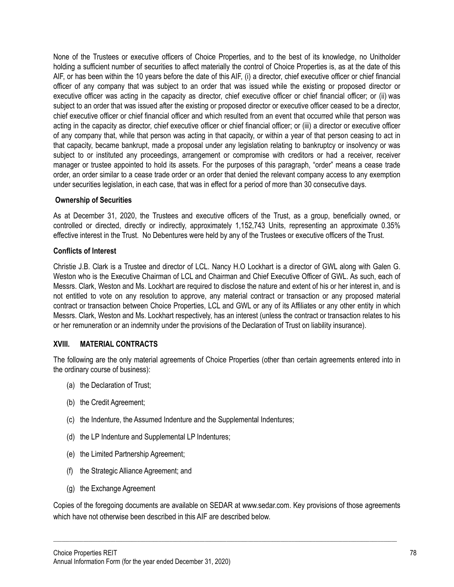None of the Trustees or executive officers of Choice Properties, and to the best of its knowledge, no Unitholder holding a sufficient number of securities to affect materially the control of Choice Properties is, as at the date of this AIF, or has been within the 10 years before the date of this AIF, (i) a director, chief executive officer or chief financial officer of any company that was subject to an order that was issued while the existing or proposed director or executive officer was acting in the capacity as director, chief executive officer or chief financial officer; or (ii) was subject to an order that was issued after the existing or proposed director or executive officer ceased to be a director, chief executive officer or chief financial officer and which resulted from an event that occurred while that person was acting in the capacity as director, chief executive officer or chief financial officer; or (iii) a director or executive officer of any company that, while that person was acting in that capacity, or within a year of that person ceasing to act in that capacity, became bankrupt, made a proposal under any legislation relating to bankruptcy or insolvency or was subject to or instituted any proceedings, arrangement or compromise with creditors or had a receiver, receiver manager or trustee appointed to hold its assets. For the purposes of this paragraph, "order" means a cease trade order, an order similar to a cease trade order or an order that denied the relevant company access to any exemption under securities legislation, in each case, that was in effect for a period of more than 30 consecutive days.

### **Ownership of Securities**

As at December 31, 2020, the Trustees and executive officers of the Trust, as a group, beneficially owned, or controlled or directed, directly or indirectly, approximately 1,152,743 Units, representing an approximate 0.35% effective interest in the Trust. No Debentures were held by any of the Trustees or executive officers of the Trust.

### **Conflicts of Interest**

Christie J.B. Clark is a Trustee and director of LCL. Nancy H.O Lockhart is a director of GWL along with Galen G. Weston who is the Executive Chairman of LCL and Chairman and Chief Executive Officer of GWL. As such, each of Messrs. Clark, Weston and Ms. Lockhart are required to disclose the nature and extent of his or her interest in, and is not entitled to vote on any resolution to approve, any material contract or transaction or any proposed material contract or transaction between Choice Properties, LCL and GWL or any of its Affiliates or any other entity in which Messrs. Clark, Weston and Ms. Lockhart respectively, has an interest (unless the contract or transaction relates to his or her remuneration or an indemnity under the provisions of the Declaration of Trust on liability insurance).

### **XVIII. MATERIAL CONTRACTS**

The following are the only material agreements of Choice Properties (other than certain agreements entered into in the ordinary course of business):

- (a) the Declaration of Trust;
- (b) the Credit Agreement;
- (c) the Indenture, the Assumed Indenture and the Supplemental Indentures;
- (d) the LP Indenture and Supplemental LP Indentures;
- (e) the Limited Partnership Agreement;
- (f) the Strategic Alliance Agreement; and
- (g) the Exchange Agreement

Copies of the foregoing documents are available on SEDAR at www.sedar.com. Key provisions of those agreements which have not otherwise been described in this AIF are described below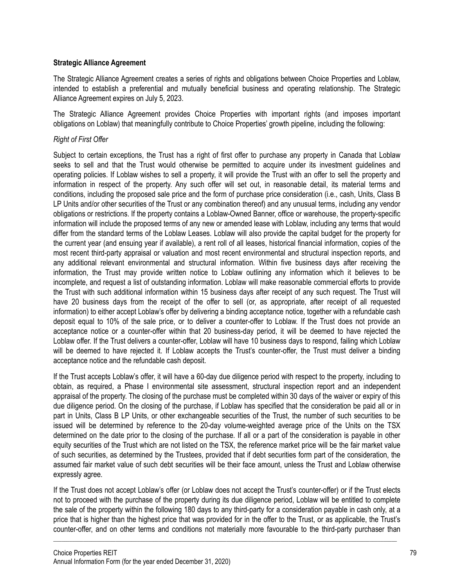### **Strategic Alliance Agreement**

The Strategic Alliance Agreement creates a series of rights and obligations between Choice Properties and Loblaw, intended to establish a preferential and mutually beneficial business and operating relationship. The Strategic Alliance Agreement expires on July 5, 2023.

The Strategic Alliance Agreement provides Choice Properties with important rights (and imposes important obligations on Loblaw) that meaningfully contribute to Choice Properties' growth pipeline, including the following:

## *Right of First Offer*

Subject to certain exceptions, the Trust has a right of first offer to purchase any property in Canada that Loblaw seeks to sell and that the Trust would otherwise be permitted to acquire under its investment guidelines and operating policies. If Loblaw wishes to sell a property, it will provide the Trust with an offer to sell the property and information in respect of the property. Any such offer will set out, in reasonable detail, its material terms and conditions, including the proposed sale price and the form of purchase price consideration (i.e., cash, Units, Class B LP Units and/or other securities of the Trust or any combination thereof) and any unusual terms, including any vendor obligations or restrictions. If the property contains a Loblaw-Owned Banner, office or warehouse, the property-specific information will include the proposed terms of any new or amended lease with Loblaw, including any terms that would differ from the standard terms of the Loblaw Leases. Loblaw will also provide the capital budget for the property for the current year (and ensuing year if available), a rent roll of all leases, historical financial information, copies of the most recent third-party appraisal or valuation and most recent environmental and structural inspection reports, and any additional relevant environmental and structural information. Within five business days after receiving the information, the Trust may provide written notice to Loblaw outlining any information which it believes to be incomplete, and request a list of outstanding information. Loblaw will make reasonable commercial efforts to provide the Trust with such additional information within 15 business days after receipt of any such request. The Trust will have 20 business days from the receipt of the offer to sell (or, as appropriate, after receipt of all requested information) to either accept Loblaw's offer by delivering a binding acceptance notice, together with a refundable cash deposit equal to 10% of the sale price, or to deliver a counter-offer to Loblaw. If the Trust does not provide an acceptance notice or a counter-offer within that 20 business-day period, it will be deemed to have rejected the Loblaw offer. If the Trust delivers a counter-offer, Loblaw will have 10 business days to respond, failing which Loblaw will be deemed to have rejected it. If Loblaw accepts the Trust's counter-offer, the Trust must deliver a binding acceptance notice and the refundable cash deposit.

If the Trust accepts Loblaw's offer, it will have a 60-day due diligence period with respect to the property, including to obtain, as required, a Phase I environmental site assessment, structural inspection report and an independent appraisal of the property. The closing of the purchase must be completed within 30 days of the waiver or expiry of this due diligence period. On the closing of the purchase, if Loblaw has specified that the consideration be paid all or in part in Units, Class B LP Units, or other exchangeable securities of the Trust, the number of such securities to be issued will be determined by reference to the 20-day volume-weighted average price of the Units on the TSX determined on the date prior to the closing of the purchase. If all or a part of the consideration is payable in other equity securities of the Trust which are not listed on the TSX, the reference market price will be the fair market value of such securities, as determined by the Trustees, provided that if debt securities form part of the consideration, the assumed fair market value of such debt securities will be their face amount, unless the Trust and Loblaw otherwise expressly agree.

If the Trust does not accept Loblaw's offer (or Loblaw does not accept the Trust's counter-offer) or if the Trust elects not to proceed with the purchase of the property during its due diligence period, Loblaw will be entitled to complete the sale of the property within the following 180 days to any third-party for a consideration payable in cash only, at a price that is higher than the highest price that was provided for in the offer to the Trust, or as applicable, the Trust's counter-offer, and on other terms and conditions not materially more favourable to the third-party purchaser than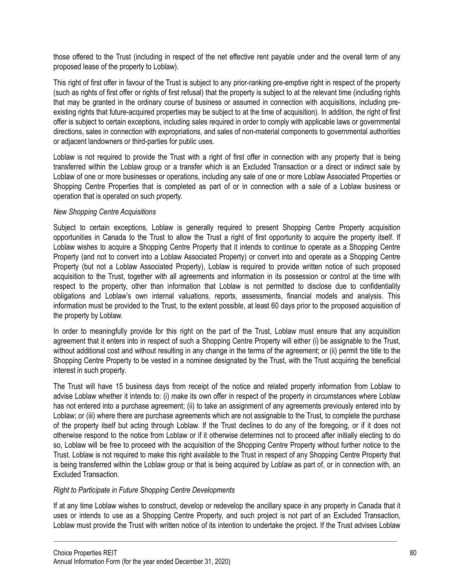those offered to the Trust (including in respect of the net effective rent payable under and the overall term of any proposed lease of the property to Loblaw).

This right of first offer in favour of the Trust is subject to any prior-ranking pre-emptive right in respect of the property (such as rights of first offer or rights of first refusal) that the property is subject to at the relevant time (including rights that may be granted in the ordinary course of business or assumed in connection with acquisitions, including preexisting rights that future-acquired properties may be subject to at the time of acquisition). In addition, the right of first offer is subject to certain exceptions, including sales required in order to comply with applicable laws or governmental directions, sales in connection with expropriations, and sales of non-material components to governmental authorities or adjacent landowners or third-parties for public uses.

Loblaw is not required to provide the Trust with a right of first offer in connection with any property that is being transferred within the Loblaw group or a transfer which is an Excluded Transaction or a direct or indirect sale by Loblaw of one or more businesses or operations, including any sale of one or more Loblaw Associated Properties or Shopping Centre Properties that is completed as part of or in connection with a sale of a Loblaw business or operation that is operated on such property.

### *New Shopping Centre Acquisitions*

Subject to certain exceptions, Loblaw is generally required to present Shopping Centre Property acquisition opportunities in Canada to the Trust to allow the Trust a right of first opportunity to acquire the property itself. If Loblaw wishes to acquire a Shopping Centre Property that it intends to continue to operate as a Shopping Centre Property (and not to convert into a Loblaw Associated Property) or convert into and operate as a Shopping Centre Property (but not a Loblaw Associated Property), Loblaw is required to provide written notice of such proposed acquisition to the Trust, together with all agreements and information in its possession or control at the time with respect to the property, other than information that Loblaw is not permitted to disclose due to confidentiality obligations and Loblaw's own internal valuations, reports, assessments, financial models and analysis. This information must be provided to the Trust, to the extent possible, at least 60 days prior to the proposed acquisition of the property by Loblaw.

In order to meaningfully provide for this right on the part of the Trust, Loblaw must ensure that any acquisition agreement that it enters into in respect of such a Shopping Centre Property will either (i) be assignable to the Trust, without additional cost and without resulting in any change in the terms of the agreement; or (ii) permit the title to the Shopping Centre Property to be vested in a nominee designated by the Trust, with the Trust acquiring the beneficial interest in such property.

The Trust will have 15 business days from receipt of the notice and related property information from Loblaw to advise Loblaw whether it intends to: (i) make its own offer in respect of the property in circumstances where Loblaw has not entered into a purchase agreement; (ii) to take an assignment of any agreements previously entered into by Loblaw; or (iii) where there are purchase agreements which are not assignable to the Trust, to complete the purchase of the property itself but acting through Loblaw. If the Trust declines to do any of the foregoing, or if it does not otherwise respond to the notice from Loblaw or if it otherwise determines not to proceed after initially electing to do so, Loblaw will be free to proceed with the acquisition of the Shopping Centre Property without further notice to the Trust. Loblaw is not required to make this right available to the Trust in respect of any Shopping Centre Property that is being transferred within the Loblaw group or that is being acquired by Loblaw as part of, or in connection with, an Excluded Transaction.

### *Right to Participate in Future Shopping Centre Developments*

If at any time Loblaw wishes to construct, develop or redevelop the ancillary space in any property in Canada that it uses or intends to use as a Shopping Centre Property, and such project is not part of an Excluded Transaction, Loblaw must provide the Trust with written notice of its intention to undertake the project. If the Trust advises Loblaw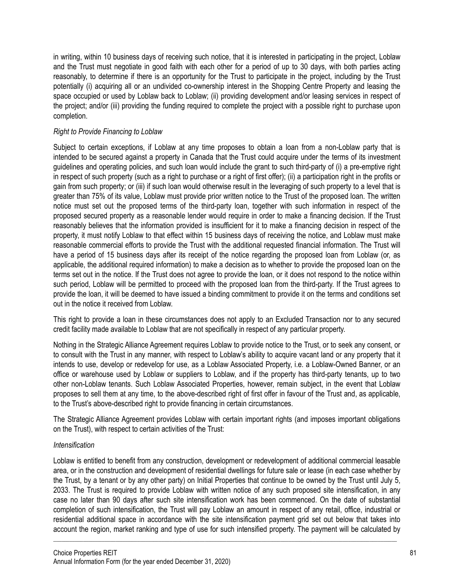in writing, within 10 business days of receiving such notice, that it is interested in participating in the project, Loblaw and the Trust must negotiate in good faith with each other for a period of up to 30 days, with both parties acting reasonably, to determine if there is an opportunity for the Trust to participate in the project, including by the Trust potentially (i) acquiring all or an undivided co-ownership interest in the Shopping Centre Property and leasing the space occupied or used by Loblaw back to Loblaw; (ii) providing development and/or leasing services in respect of the project; and/or (iii) providing the funding required to complete the project with a possible right to purchase upon completion.

### *Right to Provide Financing to Loblaw*

Subject to certain exceptions, if Loblaw at any time proposes to obtain a loan from a non-Loblaw party that is intended to be secured against a property in Canada that the Trust could acquire under the terms of its investment guidelines and operating policies, and such loan would include the grant to such third-party of (i) a pre-emptive right in respect of such property (such as a right to purchase or a right of first offer); (ii) a participation right in the profits or gain from such property; or (iii) if such loan would otherwise result in the leveraging of such property to a level that is greater than 75% of its value, Loblaw must provide prior written notice to the Trust of the proposed loan. The written notice must set out the proposed terms of the third-party loan, together with such information in respect of the proposed secured property as a reasonable lender would require in order to make a financing decision. If the Trust reasonably believes that the information provided is insufficient for it to make a financing decision in respect of the property, it must notify Loblaw to that effect within 15 business days of receiving the notice, and Loblaw must make reasonable commercial efforts to provide the Trust with the additional requested financial information. The Trust will have a period of 15 business days after its receipt of the notice regarding the proposed loan from Loblaw (or, as applicable, the additional required information) to make a decision as to whether to provide the proposed loan on the terms set out in the notice. If the Trust does not agree to provide the loan, or it does not respond to the notice within such period, Loblaw will be permitted to proceed with the proposed loan from the third-party. If the Trust agrees to provide the loan, it will be deemed to have issued a binding commitment to provide it on the terms and conditions set out in the notice it received from Loblaw.

This right to provide a loan in these circumstances does not apply to an Excluded Transaction nor to any secured credit facility made available to Loblaw that are not specifically in respect of any particular property.

Nothing in the Strategic Alliance Agreement requires Loblaw to provide notice to the Trust, or to seek any consent, or to consult with the Trust in any manner, with respect to Loblaw's ability to acquire vacant land or any property that it intends to use, develop or redevelop for use, as a Loblaw Associated Property, i.e. a Loblaw-Owned Banner, or an office or warehouse used by Loblaw or suppliers to Loblaw, and if the property has third-party tenants, up to two other non-Loblaw tenants. Such Loblaw Associated Properties, however, remain subject, in the event that Loblaw proposes to sell them at any time, to the above-described right of first offer in favour of the Trust and, as applicable, to the Trust's above-described right to provide financing in certain circumstances.

The Strategic Alliance Agreement provides Loblaw with certain important rights (and imposes important obligations on the Trust), with respect to certain activities of the Trust:

### *Intensification*

Loblaw is entitled to benefit from any construction, development or redevelopment of additional commercial leasable area, or in the construction and development of residential dwellings for future sale or lease (in each case whether by the Trust, by a tenant or by any other party) on Initial Properties that continue to be owned by the Trust until July 5, 2033. The Trust is required to provide Loblaw with written notice of any such proposed site intensification, in any case no later than 90 days after such site intensification work has been commenced. On the date of substantial completion of such intensification, the Trust will pay Loblaw an amount in respect of any retail, office, industrial or residential additional space in accordance with the site intensification payment grid set out below that takes into account the region, market ranking and type of use for such intensified property. The payment will be calculated by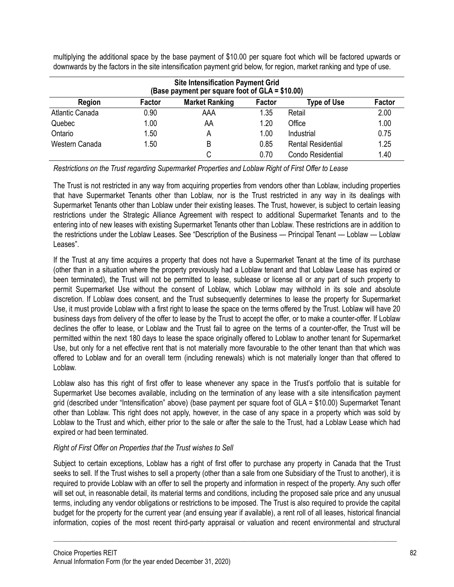multiplying the additional space by the base payment of \$10.00 per square foot which will be factored upwards or downwards by the factors in the site intensification payment grid below, for region, market ranking and type of use.

| <b>Site Intensification Payment Grid</b><br>(Base payment per square foot of GLA = \$10.00) |        |                       |        |                           |        |  |  |
|---------------------------------------------------------------------------------------------|--------|-----------------------|--------|---------------------------|--------|--|--|
| Region                                                                                      | Factor | <b>Market Ranking</b> | Factor | <b>Type of Use</b>        | Factor |  |  |
| <b>Atlantic Canada</b>                                                                      | 0.90   | AAA                   | 1.35   | Retail                    | 2.00   |  |  |
| Quebec                                                                                      | 1.00   | AA                    | 1.20   | Office                    | 1.00   |  |  |
| Ontario                                                                                     | 1.50   | Α                     | 1.00   | Industrial                | 0.75   |  |  |
| Western Canada                                                                              | 1.50   | B                     | 0.85   | <b>Rental Residential</b> | 1.25   |  |  |
|                                                                                             |        |                       | 0.70   | Condo Residential         | 1.40   |  |  |

*Restrictions on the Trust regarding Supermarket Properties and Loblaw Right of First Offer to Lease*

The Trust is not restricted in any way from acquiring properties from vendors other than Loblaw, including properties that have Supermarket Tenants other than Loblaw, nor is the Trust restricted in any way in its dealings with Supermarket Tenants other than Loblaw under their existing leases. The Trust, however, is subject to certain leasing restrictions under the Strategic Alliance Agreement with respect to additional Supermarket Tenants and to the entering into of new leases with existing Supermarket Tenants other than Loblaw. These restrictions are in addition to the restrictions under the Loblaw Leases. See "Description of the Business — Principal Tenant — Loblaw — Loblaw Leases".

If the Trust at any time acquires a property that does not have a Supermarket Tenant at the time of its purchase (other than in a situation where the property previously had a Loblaw tenant and that Loblaw Lease has expired or been terminated), the Trust will not be permitted to lease, sublease or license all or any part of such property to permit Supermarket Use without the consent of Loblaw, which Loblaw may withhold in its sole and absolute discretion. If Loblaw does consent, and the Trust subsequently determines to lease the property for Supermarket Use, it must provide Loblaw with a first right to lease the space on the terms offered by the Trust. Loblaw will have 20 business days from delivery of the offer to lease by the Trust to accept the offer, or to make a counter-offer. If Loblaw declines the offer to lease, or Loblaw and the Trust fail to agree on the terms of a counter-offer, the Trust will be permitted within the next 180 days to lease the space originally offered to Loblaw to another tenant for Supermarket Use, but only for a net effective rent that is not materially more favourable to the other tenant than that which was offered to Loblaw and for an overall term (including renewals) which is not materially longer than that offered to Loblaw.

Loblaw also has this right of first offer to lease whenever any space in the Trust's portfolio that is suitable for Supermarket Use becomes available, including on the termination of any lease with a site intensification payment grid (described under "Intensification" above) (base payment per square foot of GLA = \$10.00) Supermarket Tenant other than Loblaw. This right does not apply, however, in the case of any space in a property which was sold by Loblaw to the Trust and which, either prior to the sale or after the sale to the Trust, had a Loblaw Lease which had expired or had been terminated.

# *Right of First Offer on Properties that the Trust wishes to Sell*

Subject to certain exceptions, Loblaw has a right of first offer to purchase any property in Canada that the Trust seeks to sell. If the Trust wishes to sell a property (other than a sale from one Subsidiary of the Trust to another), it is required to provide Loblaw with an offer to sell the property and information in respect of the property. Any such offer will set out, in reasonable detail, its material terms and conditions, including the proposed sale price and any unusual terms, including any vendor obligations or restrictions to be imposed. The Trust is also required to provide the capital budget for the property for the current year (and ensuing year if available), a rent roll of all leases, historical financial information, copies of the most recent third-party appraisal or valuation and recent environmental and structural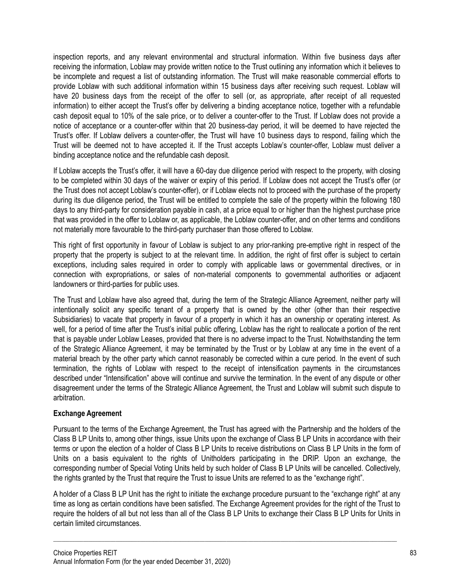inspection reports, and any relevant environmental and structural information. Within five business days after receiving the information, Loblaw may provide written notice to the Trust outlining any information which it believes to be incomplete and request a list of outstanding information. The Trust will make reasonable commercial efforts to provide Loblaw with such additional information within 15 business days after receiving such request. Loblaw will have 20 business days from the receipt of the offer to sell (or, as appropriate, after receipt of all requested information) to either accept the Trust's offer by delivering a binding acceptance notice, together with a refundable cash deposit equal to 10% of the sale price, or to deliver a counter-offer to the Trust. If Loblaw does not provide a notice of acceptance or a counter-offer within that 20 business-day period, it will be deemed to have rejected the Trust's offer. If Loblaw delivers a counter-offer, the Trust will have 10 business days to respond, failing which the Trust will be deemed not to have accepted it. If the Trust accepts Loblaw's counter-offer, Loblaw must deliver a binding acceptance notice and the refundable cash deposit.

If Loblaw accepts the Trust's offer, it will have a 60-day due diligence period with respect to the property, with closing to be completed within 30 days of the waiver or expiry of this period. If Loblaw does not accept the Trust's offer (or the Trust does not accept Loblaw's counter-offer), or if Loblaw elects not to proceed with the purchase of the property during its due diligence period, the Trust will be entitled to complete the sale of the property within the following 180 days to any third-party for consideration payable in cash, at a price equal to or higher than the highest purchase price that was provided in the offer to Loblaw or, as applicable, the Loblaw counter-offer, and on other terms and conditions not materially more favourable to the third-party purchaser than those offered to Loblaw.

This right of first opportunity in favour of Loblaw is subject to any prior-ranking pre-emptive right in respect of the property that the property is subject to at the relevant time. In addition, the right of first offer is subject to certain exceptions, including sales required in order to comply with applicable laws or governmental directives, or in connection with expropriations, or sales of non-material components to governmental authorities or adjacent landowners or third-parties for public uses.

The Trust and Loblaw have also agreed that, during the term of the Strategic Alliance Agreement, neither party will intentionally solicit any specific tenant of a property that is owned by the other (other than their respective Subsidiaries) to vacate that property in favour of a property in which it has an ownership or operating interest. As well, for a period of time after the Trust's initial public offering, Loblaw has the right to reallocate a portion of the rent that is payable under Loblaw Leases, provided that there is no adverse impact to the Trust. Notwithstanding the term of the Strategic Alliance Agreement, it may be terminated by the Trust or by Loblaw at any time in the event of a material breach by the other party which cannot reasonably be corrected within a cure period. In the event of such termination, the rights of Loblaw with respect to the receipt of intensification payments in the circumstances described under "Intensification" above will continue and survive the termination. In the event of any dispute or other disagreement under the terms of the Strategic Alliance Agreement, the Trust and Loblaw will submit such dispute to arbitration.

# **Exchange Agreement**

Pursuant to the terms of the Exchange Agreement, the Trust has agreed with the Partnership and the holders of the Class B LP Units to, among other things, issue Units upon the exchange of Class B LP Units in accordance with their terms or upon the election of a holder of Class B LP Units to receive distributions on Class B LP Units in the form of Units on a basis equivalent to the rights of Unitholders participating in the DRIP. Upon an exchange, the corresponding number of Special Voting Units held by such holder of Class B LP Units will be cancelled. Collectively, the rights granted by the Trust that require the Trust to issue Units are referred to as the "exchange right".

A holder of a Class B LP Unit has the right to initiate the exchange procedure pursuant to the "exchange right" at any time as long as certain conditions have been satisfied. The Exchange Agreement provides for the right of the Trust to require the holders of all but not less than all of the Class B LP Units to exchange their Class B LP Units for Units in certain limited circumstances.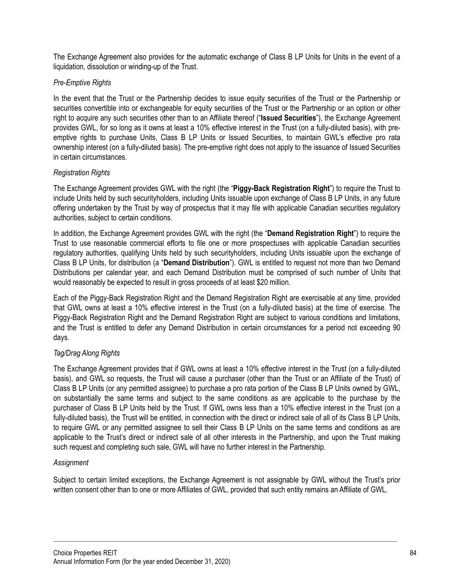The Exchange Agreement also provides for the automatic exchange of Class B LP Units for Units in the event of a liquidation, dissolution or winding-up of the Trust.

## *Pre-Emptive Rights*

In the event that the Trust or the Partnership decides to issue equity securities of the Trust or the Partnership or securities convertible into or exchangeable for equity securities of the Trust or the Partnership or an option or other right to acquire any such securities other than to an Affiliate thereof ("**Issued Securities**"), the Exchange Agreement provides GWL, for so long as it owns at least a 10% effective interest in the Trust (on a fully-diluted basis), with preemptive rights to purchase Units, Class B LP Units or Issued Securities, to maintain GWL's effective pro rata ownership interest (on a fully-diluted basis). The pre-emptive right does not apply to the issuance of Issued Securities in certain circumstances.

## *Registration Rights*

The Exchange Agreement provides GWL with the right (the "**Piggy-Back Registration Right**") to require the Trust to include Units held by such securityholders, including Units issuable upon exchange of Class B LP Units, in any future offering undertaken by the Trust by way of prospectus that it may file with applicable Canadian securities regulatory authorities, subject to certain conditions.

In addition, the Exchange Agreement provides GWL with the right (the "**Demand Registration Right**") to require the Trust to use reasonable commercial efforts to file one or more prospectuses with applicable Canadian securities regulatory authorities, qualifying Units held by such securityholders, including Units issuable upon the exchange of Class B LP Units, for distribution (a "**Demand Distribution**"). GWL is entitled to request not more than two Demand Distributions per calendar year, and each Demand Distribution must be comprised of such number of Units that would reasonably be expected to result in gross proceeds of at least \$20 million.

Each of the Piggy-Back Registration Right and the Demand Registration Right are exercisable at any time, provided that GWL owns at least a 10% effective interest in the Trust (on a fully-diluted basis) at the time of exercise. The Piggy-Back Registration Right and the Demand Registration Right are subject to various conditions and limitations, and the Trust is entitled to defer any Demand Distribution in certain circumstances for a period not exceeding 90 days.

# *Tag/Drag Along Rights*

The Exchange Agreement provides that if GWL owns at least a 10% effective interest in the Trust (on a fully-diluted basis), and GWL so requests, the Trust will cause a purchaser (other than the Trust or an Affiliate of the Trust) of Class B LP Units (or any permitted assignee) to purchase a pro rata portion of the Class B LP Units owned by GWL, on substantially the same terms and subject to the same conditions as are applicable to the purchase by the purchaser of Class B LP Units held by the Trust. If GWL owns less than a 10% effective interest in the Trust (on a fully-diluted basis), the Trust will be entitled, in connection with the direct or indirect sale of all of its Class B LP Units, to require GWL or any permitted assignee to sell their Class B LP Units on the same terms and conditions as are applicable to the Trust's direct or indirect sale of all other interests in the Partnership, and upon the Trust making such request and completing such sale, GWL will have no further interest in the Partnership.

# *Assignment*

Subject to certain limited exceptions, the Exchange Agreement is not assignable by GWL without the Trust's prior written consent other than to one or more Affiliates of GWL, provided that such entity remains an Affiliate of GWL.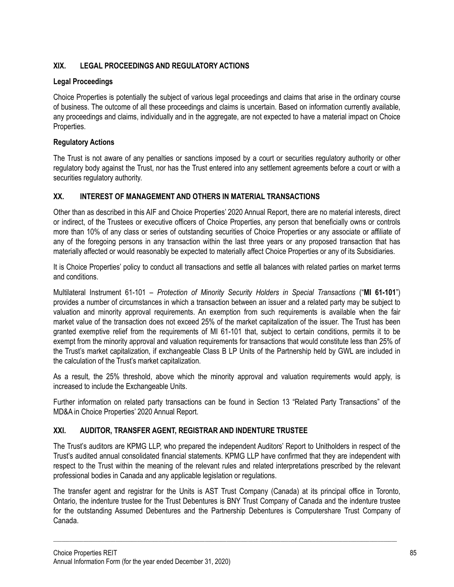# **XIX. LEGAL PROCEEDINGS AND REGULATORY ACTIONS**

# **Legal Proceedings**

Choice Properties is potentially the subject of various legal proceedings and claims that arise in the ordinary course of business. The outcome of all these proceedings and claims is uncertain. Based on information currently available, any proceedings and claims, individually and in the aggregate, are not expected to have a material impact on Choice Properties.

# **Regulatory Actions**

The Trust is not aware of any penalties or sanctions imposed by a court or securities regulatory authority or other regulatory body against the Trust, nor has the Trust entered into any settlement agreements before a court or with a securities regulatory authority.

# **XX. INTEREST OF MANAGEMENT AND OTHERS IN MATERIAL TRANSACTIONS**

Other than as described in this AIF and Choice Properties' 2020 Annual Report, there are no material interests, direct or indirect, of the Trustees or executive officers of Choice Properties, any person that beneficially owns or controls more than 10% of any class or series of outstanding securities of Choice Properties or any associate or affiliate of any of the foregoing persons in any transaction within the last three years or any proposed transaction that has materially affected or would reasonably be expected to materially affect Choice Properties or any of its Subsidiaries.

It is Choice Properties' policy to conduct all transactions and settle all balances with related parties on market terms and conditions.

Multilateral Instrument 61-101 – *Protection of Minority Security Holders in Special Transactions* ("**MI 61-101**") provides a number of circumstances in which a transaction between an issuer and a related party may be subject to valuation and minority approval requirements. An exemption from such requirements is available when the fair market value of the transaction does not exceed 25% of the market capitalization of the issuer. The Trust has been granted exemptive relief from the requirements of MI 61-101 that, subject to certain conditions, permits it to be exempt from the minority approval and valuation requirements for transactions that would constitute less than 25% of the Trust's market capitalization, if exchangeable Class B LP Units of the Partnership held by GWL are included in the calculation of the Trust's market capitalization.

As a result, the 25% threshold, above which the minority approval and valuation requirements would apply, is increased to include the Exchangeable Units.

Further information on related party transactions can be found in Section 13 "Related Party Transactions" of the MD&A in Choice Properties' 2020 Annual Report.

# **XXI. AUDITOR, TRANSFER AGENT, REGISTRAR AND INDENTURE TRUSTEE**

The Trust's auditors are KPMG LLP, who prepared the independent Auditors' Report to Unitholders in respect of the Trust's audited annual consolidated financial statements. KPMG LLP have confirmed that they are independent with respect to the Trust within the meaning of the relevant rules and related interpretations prescribed by the relevant professional bodies in Canada and any applicable legislation or regulations.

The transfer agent and registrar for the Units is AST Trust Company (Canada) at its principal office in Toronto, Ontario, the indenture trustee for the Trust Debentures is BNY Trust Company of Canada and the indenture trustee for the outstanding Assumed Debentures and the Partnership Debentures is Computershare Trust Company of Canada.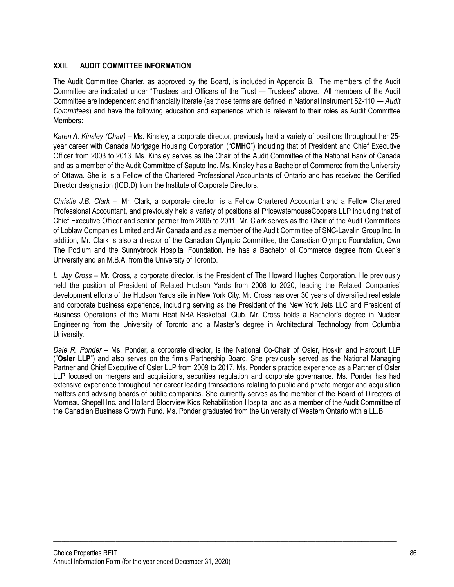### **XXII. AUDIT COMMITTEE INFORMATION**

The Audit Committee Charter, as approved by the Board, is included in Appendix B. The members of the Audit Committee are indicated under "Trustees and Officers of the Trust — Trustees" above. All members of the Audit Committee are independent and financially literate (as those terms are defined in National Instrument 52-110 — *Audit Committees*) and have the following education and experience which is relevant to their roles as Audit Committee Members:

*Karen A. Kinsley (Chair)* – Ms. Kinsley, a corporate director, previously held a variety of positions throughout her 25 year career with Canada Mortgage Housing Corporation ("**CMHC**") including that of President and Chief Executive Officer from 2003 to 2013. Ms. Kinsley serves as the Chair of the Audit Committee of the National Bank of Canada and as a member of the Audit Committee of Saputo Inc. Ms. Kinsley has a Bachelor of Commerce from the University of Ottawa. She is is a Fellow of the Chartered Professional Accountants of Ontario and has received the Certified Director designation (ICD.D) from the Institute of Corporate Directors.

*Christie J.B. Clark* – Mr. Clark, a corporate director, is a Fellow Chartered Accountant and a Fellow Chartered Professional Accountant, and previously held a variety of positions at PricewaterhouseCoopers LLP including that of Chief Executive Officer and senior partner from 2005 to 2011. Mr. Clark serves as the Chair of the Audit Committees of Loblaw Companies Limited and Air Canada and as a member of the Audit Committee of SNC-Lavalin Group Inc. In addition, Mr. Clark is also a director of the Canadian Olympic Committee, the Canadian Olympic Foundation, Own The Podium and the Sunnybrook Hospital Foundation. He has a Bachelor of Commerce degree from Queen's University and an M.B.A. from the University of Toronto.

*L. Jay Cross* – Mr. Cross, a corporate director, is the President of The Howard Hughes Corporation. He previously held the position of President of Related Hudson Yards from 2008 to 2020, leading the Related Companies' development efforts of the Hudson Yards site in New York City. Mr. Cross has over 30 years of diversified real estate and corporate business experience, including serving as the President of the New York Jets LLC and President of Business Operations of the Miami Heat NBA Basketball Club. Mr. Cross holds a Bachelor's degree in Nuclear Engineering from the University of Toronto and a Master's degree in Architectural Technology from Columbia University.

*Dale R. Ponder* – Ms. Ponder, a corporate director, is the National Co-Chair of Osler, Hoskin and Harcourt LLP ("**Osler LLP**") and also serves on the firm's Partnership Board. She previously served as the National Managing Partner and Chief Executive of Osler LLP from 2009 to 2017. Ms. Ponder's practice experience as a Partner of Osler LLP focused on mergers and acquisitions, securities regulation and corporate governance. Ms. Ponder has had extensive experience throughout her career leading transactions relating to public and private merger and acquisition matters and advising boards of public companies. She currently serves as the member of the Board of Directors of Morneau Shepell Inc. and Holland Bloorview Kids Rehabilitation Hospital and as a member of the Audit Committee of the Canadian Business Growth Fund. Ms. Ponder graduated from the University of Western Ontario with a LL.B.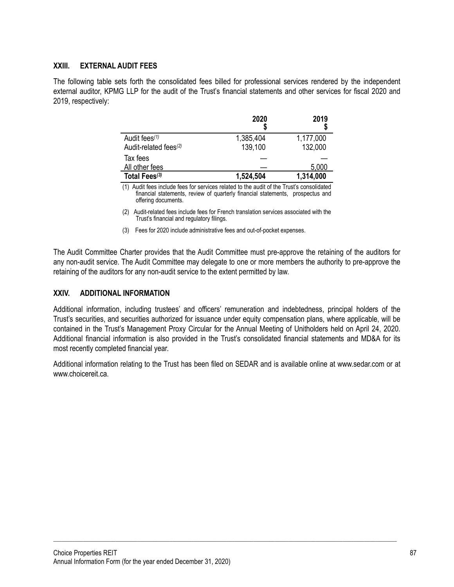### **XXIII. EXTERNAL AUDIT FEES**

The following table sets forth the consolidated fees billed for professional services rendered by the independent external auditor, KPMG LLP for the audit of the Trust's financial statements and other services for fiscal 2020 and 2019, respectively:

|                                                                | 2020                 | 2019                 |
|----------------------------------------------------------------|----------------------|----------------------|
| Audit fees <sup>(1)</sup><br>Audit-related fees <sup>(2)</sup> | 1,385,404<br>139,100 | 1,177,000<br>132,000 |
| Tax fees<br>All other fees                                     |                      | 5,000                |
| Total Fees <sup>(3)</sup>                                      | 1,524,504            | 1,314,000            |

(1) Audit fees include fees for services related to the audit of the Trust's consolidated financial statements, review of quarterly financial statements, prospectus and offering documents.

(2) Audit-related fees include fees for French translation services associated with the Trust's financial and regulatory filings.

(3) Fees for 2020 include administrative fees and out-of-pocket expenses.

The Audit Committee Charter provides that the Audit Committee must pre-approve the retaining of the auditors for any non-audit service. The Audit Committee may delegate to one or more members the authority to pre-approve the retaining of the auditors for any non-audit service to the extent permitted by law.

### **XXIV. ADDITIONAL INFORMATION**

Additional information, including trustees' and officers' remuneration and indebtedness, principal holders of the Trust's securities, and securities authorized for issuance under equity compensation plans, where applicable, will be contained in the Trust's Management Proxy Circular for the Annual Meeting of Unitholders held on April 24, 2020. Additional financial information is also provided in the Trust's consolidated financial statements and MD&A for its most recently completed financial year.

Additional information relating to the Trust has been filed on SEDAR and is available online at www.sedar.com or at www.choicereit.ca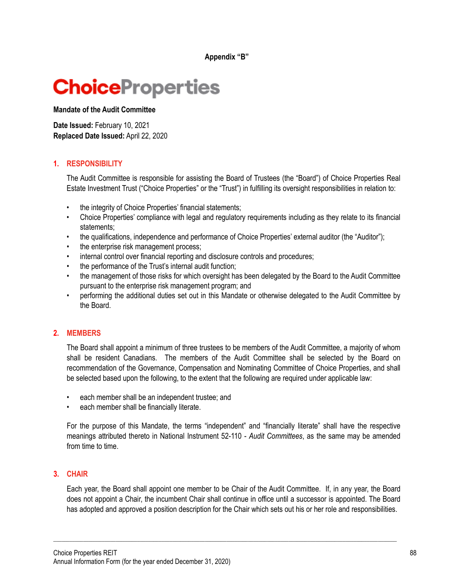**Appendix "B"**

# **ChoiceProperties**

**Mandate of the Audit Committee**

**Date Issued:** February 10, 2021 **Replaced Date Issued:** April 22, 2020

## **1. RESPONSIBILITY**

The Audit Committee is responsible for assisting the Board of Trustees (the "Board") of Choice Properties Real Estate Investment Trust ("Choice Properties" or the "Trust") in fulfilling its oversight responsibilities in relation to:

- the integrity of Choice Properties' financial statements;
- Choice Properties' compliance with legal and regulatory requirements including as they relate to its financial statements;
- the qualifications, independence and performance of Choice Properties' external auditor (the "Auditor");
- the enterprise risk management process;
- internal control over financial reporting and disclosure controls and procedures;
- the performance of the Trust's internal audit function;
- the management of those risks for which oversight has been delegated by the Board to the Audit Committee pursuant to the enterprise risk management program; and
- performing the additional duties set out in this Mandate or otherwise delegated to the Audit Committee by the Board.

### **2. MEMBERS**

The Board shall appoint a minimum of three trustees to be members of the Audit Committee, a majority of whom shall be resident Canadians. The members of the Audit Committee shall be selected by the Board on recommendation of the Governance, Compensation and Nominating Committee of Choice Properties, and shall be selected based upon the following, to the extent that the following are required under applicable law:

- each member shall be an independent trustee; and
- each member shall be financially literate.

For the purpose of this Mandate, the terms "independent" and "financially literate" shall have the respective meanings attributed thereto in National Instrument 52-110 - *Audit Committees*, as the same may be amended from time to time.

### **3. CHAIR**

Each year, the Board shall appoint one member to be Chair of the Audit Committee. If, in any year, the Board does not appoint a Chair, the incumbent Chair shall continue in office until a successor is appointed. The Board has adopted and approved a position description for the Chair which sets out his or her role and responsibilities.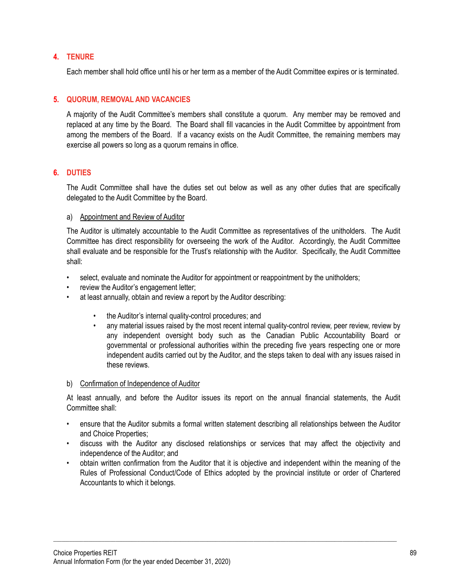### **4. TENURE**

Each member shall hold office until his or her term as a member of the Audit Committee expires or is terminated.

### **5. QUORUM, REMOVAL AND VACANCIES**

A majority of the Audit Committee's members shall constitute a quorum. Any member may be removed and replaced at any time by the Board. The Board shall fill vacancies in the Audit Committee by appointment from among the members of the Board. If a vacancy exists on the Audit Committee, the remaining members may exercise all powers so long as a quorum remains in office.

## **6. DUTIES**

The Audit Committee shall have the duties set out below as well as any other duties that are specifically delegated to the Audit Committee by the Board.

### a) Appointment and Review of Auditor

The Auditor is ultimately accountable to the Audit Committee as representatives of the unitholders. The Audit Committee has direct responsibility for overseeing the work of the Auditor. Accordingly, the Audit Committee shall evaluate and be responsible for the Trust's relationship with the Auditor. Specifically, the Audit Committee shall:

- select, evaluate and nominate the Auditor for appointment or reappointment by the unitholders;
- review the Auditor's engagement letter;
- at least annually, obtain and review a report by the Auditor describing:
	- the Auditor's internal quality-control procedures; and
	- any material issues raised by the most recent internal quality-control review, peer review, review by any independent oversight body such as the Canadian Public Accountability Board or governmental or professional authorities within the preceding five years respecting one or more independent audits carried out by the Auditor, and the steps taken to deal with any issues raised in these reviews.

### b) Confirmation of Independence of Auditor

At least annually, and before the Auditor issues its report on the annual financial statements, the Audit Committee shall:

- ensure that the Auditor submits a formal written statement describing all relationships between the Auditor and Choice Properties;
- discuss with the Auditor any disclosed relationships or services that may affect the objectivity and independence of the Auditor; and
- obtain written confirmation from the Auditor that it is objective and independent within the meaning of the Rules of Professional Conduct/Code of Ethics adopted by the provincial institute or order of Chartered Accountants to which it belongs.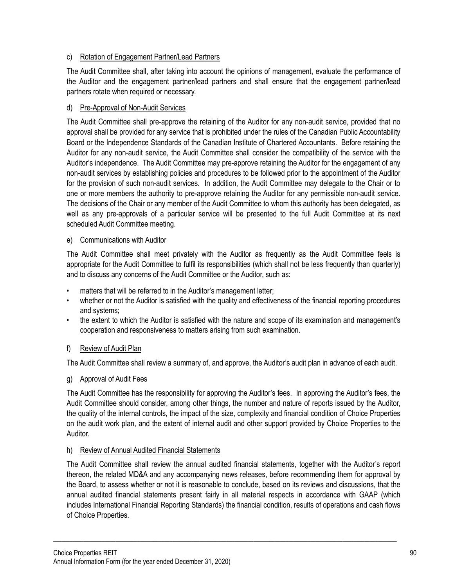# c) Rotation of Engagement Partner/Lead Partners

The Audit Committee shall, after taking into account the opinions of management, evaluate the performance of the Auditor and the engagement partner/lead partners and shall ensure that the engagement partner/lead partners rotate when required or necessary.

# d) Pre-Approval of Non-Audit Services

The Audit Committee shall pre-approve the retaining of the Auditor for any non-audit service, provided that no approval shall be provided for any service that is prohibited under the rules of the Canadian Public Accountability Board or the Independence Standards of the Canadian Institute of Chartered Accountants. Before retaining the Auditor for any non-audit service, the Audit Committee shall consider the compatibility of the service with the Auditor's independence. The Audit Committee may pre-approve retaining the Auditor for the engagement of any non-audit services by establishing policies and procedures to be followed prior to the appointment of the Auditor for the provision of such non-audit services. In addition, the Audit Committee may delegate to the Chair or to one or more members the authority to pre-approve retaining the Auditor for any permissible non-audit service. The decisions of the Chair or any member of the Audit Committee to whom this authority has been delegated, as well as any pre-approvals of a particular service will be presented to the full Audit Committee at its next scheduled Audit Committee meeting.

## e) Communications with Auditor

The Audit Committee shall meet privately with the Auditor as frequently as the Audit Committee feels is appropriate for the Audit Committee to fulfil its responsibilities (which shall not be less frequently than quarterly) and to discuss any concerns of the Audit Committee or the Auditor, such as:

- matters that will be referred to in the Auditor's management letter;
- whether or not the Auditor is satisfied with the quality and effectiveness of the financial reporting procedures and systems;
- the extent to which the Auditor is satisfied with the nature and scope of its examination and management's cooperation and responsiveness to matters arising from such examination.

# f) Review of Audit Plan

The Audit Committee shall review a summary of, and approve, the Auditor's audit plan in advance of each audit.

# g) Approval of Audit Fees

The Audit Committee has the responsibility for approving the Auditor's fees. In approving the Auditor's fees, the Audit Committee should consider, among other things, the number and nature of reports issued by the Auditor, the quality of the internal controls, the impact of the size, complexity and financial condition of Choice Properties on the audit work plan, and the extent of internal audit and other support provided by Choice Properties to the Auditor.

# h) Review of Annual Audited Financial Statements

The Audit Committee shall review the annual audited financial statements, together with the Auditor's report thereon, the related MD&A and any accompanying news releases, before recommending them for approval by the Board, to assess whether or not it is reasonable to conclude, based on its reviews and discussions, that the annual audited financial statements present fairly in all material respects in accordance with GAAP (which includes International Financial Reporting Standards) the financial condition, results of operations and cash flows of Choice Properties.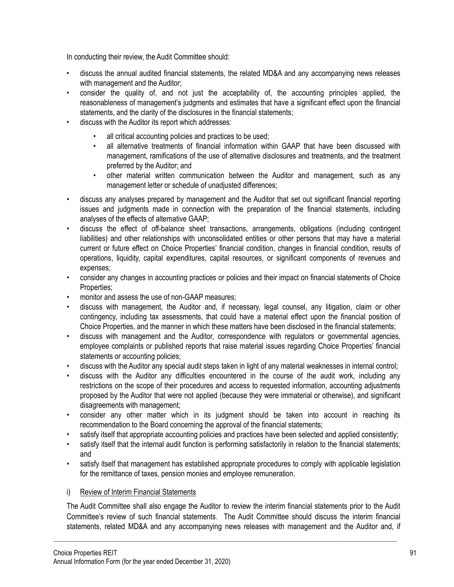In conducting their review, the Audit Committee should:

- discuss the annual audited financial statements, the related MD&A and any accompanying news releases with management and the Auditor:
- consider the quality of, and not just the acceptability of, the accounting principles applied, the reasonableness of management's judgments and estimates that have a significant effect upon the financial statements, and the clarity of the disclosures in the financial statements;
- discuss with the Auditor its report which addresses:
	- all critical accounting policies and practices to be used;
	- all alternative treatments of financial information within GAAP that have been discussed with management, ramifications of the use of alternative disclosures and treatments, and the treatment preferred by the Auditor; and
	- other material written communication between the Auditor and management, such as any management letter or schedule of unadjusted differences;
- discuss any analyses prepared by management and the Auditor that set out significant financial reporting issues and judgments made in connection with the preparation of the financial statements, including analyses of the effects of alternative GAAP;
- discuss the effect of off-balance sheet transactions, arrangements, obligations (including contingent liabilities) and other relationships with unconsolidated entities or other persons that may have a material current or future effect on Choice Properties' financial condition, changes in financial condition, results of operations, liquidity, capital expenditures, capital resources, or significant components of revenues and expenses;
- consider any changes in accounting practices or policies and their impact on financial statements of Choice Properties;
- monitor and assess the use of non-GAAP measures;
- discuss with management, the Auditor and, if necessary, legal counsel, any litigation, claim or other contingency, including tax assessments, that could have a material effect upon the financial position of Choice Properties, and the manner in which these matters have been disclosed in the financial statements;
- discuss with management and the Auditor, correspondence with regulators or governmental agencies, employee complaints or published reports that raise material issues regarding Choice Properties' financial statements or accounting policies;
- discuss with the Auditor any special audit steps taken in light of any material weaknesses in internal control;
- discuss with the Auditor any difficulties encountered in the course of the audit work, including any restrictions on the scope of their procedures and access to requested information, accounting adjustments proposed by the Auditor that were not applied (because they were immaterial or otherwise), and significant disagreements with management;
- consider any other matter which in its judgment should be taken into account in reaching its recommendation to the Board concerning the approval of the financial statements;
- satisfy itself that appropriate accounting policies and practices have been selected and applied consistently;
- satisfy itself that the internal audit function is performing satisfactorily in relation to the financial statements; and
- satisfy itself that management has established appropriate procedures to comply with applicable legislation for the remittance of taxes, pension monies and employee remuneration.

### i) Review of Interim Financial Statements

The Audit Committee shall also engage the Auditor to review the interim financial statements prior to the Audit Committee's review of such financial statements. The Audit Committee should discuss the interim financial statements, related MD&A and any accompanying news releases with management and the Auditor and, if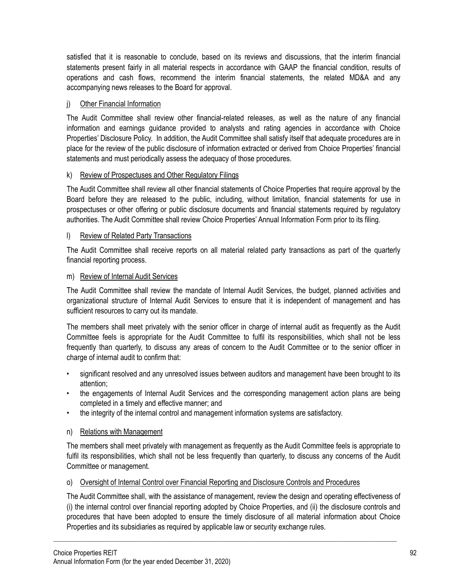satisfied that it is reasonable to conclude, based on its reviews and discussions, that the interim financial statements present fairly in all material respects in accordance with GAAP the financial condition, results of operations and cash flows, recommend the interim financial statements, the related MD&A and any accompanying news releases to the Board for approval.

### j) Other Financial Information

The Audit Committee shall review other financial-related releases, as well as the nature of any financial information and earnings guidance provided to analysts and rating agencies in accordance with Choice Properties' Disclosure Policy. In addition, the Audit Committee shall satisfy itself that adequate procedures are in place for the review of the public disclosure of information extracted or derived from Choice Properties' financial statements and must periodically assess the adequacy of those procedures.

### k) Review of Prospectuses and Other Regulatory Filings

The Audit Committee shall review all other financial statements of Choice Properties that require approval by the Board before they are released to the public, including, without limitation, financial statements for use in prospectuses or other offering or public disclosure documents and financial statements required by regulatory authorities. The Audit Committee shall review Choice Properties' Annual Information Form prior to its filing.

### l) Review of Related Party Transactions

The Audit Committee shall receive reports on all material related party transactions as part of the quarterly financial reporting process.

### m) Review of Internal Audit Services

The Audit Committee shall review the mandate of Internal Audit Services, the budget, planned activities and organizational structure of Internal Audit Services to ensure that it is independent of management and has sufficient resources to carry out its mandate.

The members shall meet privately with the senior officer in charge of internal audit as frequently as the Audit Committee feels is appropriate for the Audit Committee to fulfil its responsibilities, which shall not be less frequently than quarterly, to discuss any areas of concern to the Audit Committee or to the senior officer in charge of internal audit to confirm that:

- significant resolved and any unresolved issues between auditors and management have been brought to its attention;
- the engagements of Internal Audit Services and the corresponding management action plans are being completed in a timely and effective manner; and
- the integrity of the internal control and management information systems are satisfactory.

# n) Relations with Management

The members shall meet privately with management as frequently as the Audit Committee feels is appropriate to fulfil its responsibilities, which shall not be less frequently than quarterly, to discuss any concerns of the Audit Committee or management.

### o) Oversight of Internal Control over Financial Reporting and Disclosure Controls and Procedures

The Audit Committee shall, with the assistance of management, review the design and operating effectiveness of (i) the internal control over financial reporting adopted by Choice Properties, and (ii) the disclosure controls and procedures that have been adopted to ensure the timely disclosure of all material information about Choice Properties and its subsidiaries as required by applicable law or security exchange rules.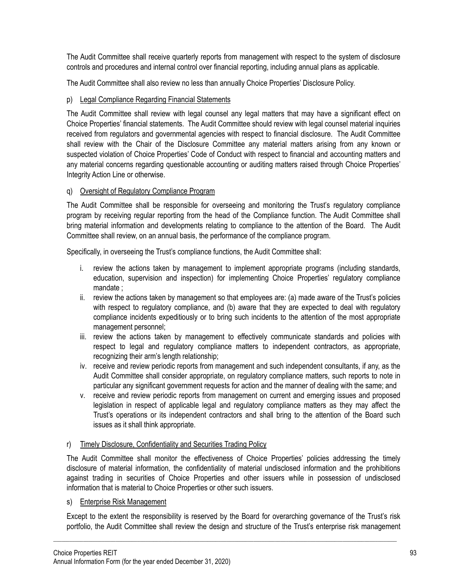The Audit Committee shall receive quarterly reports from management with respect to the system of disclosure controls and procedures and internal control over financial reporting, including annual plans as applicable.

The Audit Committee shall also review no less than annually Choice Properties' Disclosure Policy.

# p) Legal Compliance Regarding Financial Statements

The Audit Committee shall review with legal counsel any legal matters that may have a significant effect on Choice Properties' financial statements. The Audit Committee should review with legal counsel material inquiries received from regulators and governmental agencies with respect to financial disclosure. The Audit Committee shall review with the Chair of the Disclosure Committee any material matters arising from any known or suspected violation of Choice Properties' Code of Conduct with respect to financial and accounting matters and any material concerns regarding questionable accounting or auditing matters raised through Choice Properties' Integrity Action Line or otherwise.

## q) Oversight of Regulatory Compliance Program

The Audit Committee shall be responsible for overseeing and monitoring the Trust's regulatory compliance program by receiving regular reporting from the head of the Compliance function. The Audit Committee shall bring material information and developments relating to compliance to the attention of the Board. The Audit Committee shall review, on an annual basis, the performance of the compliance program.

Specifically, in overseeing the Trust's compliance functions, the Audit Committee shall:

- i. review the actions taken by management to implement appropriate programs (including standards, education, supervision and inspection) for implementing Choice Properties' regulatory compliance mandate ;
- ii. review the actions taken by management so that employees are: (a) made aware of the Trust's policies with respect to regulatory compliance, and (b) aware that they are expected to deal with regulatory compliance incidents expeditiously or to bring such incidents to the attention of the most appropriate management personnel;
- iii. review the actions taken by management to effectively communicate standards and policies with respect to legal and regulatory compliance matters to independent contractors, as appropriate, recognizing their arm's length relationship;
- iv. receive and review periodic reports from management and such independent consultants, if any, as the Audit Committee shall consider appropriate, on regulatory compliance matters, such reports to note in particular any significant government requests for action and the manner of dealing with the same; and
- v. receive and review periodic reports from management on current and emerging issues and proposed legislation in respect of applicable legal and regulatory compliance matters as they may affect the Trust's operations or its independent contractors and shall bring to the attention of the Board such issues as it shall think appropriate.

### r) Timely Disclosure, Confidentiality and Securities Trading Policy

The Audit Committee shall monitor the effectiveness of Choice Properties' policies addressing the timely disclosure of material information, the confidentiality of material undisclosed information and the prohibitions against trading in securities of Choice Properties and other issuers while in possession of undisclosed information that is material to Choice Properties or other such issuers.

### s) Enterprise Risk Management

Except to the extent the responsibility is reserved by the Board for overarching governance of the Trust's risk portfolio, the Audit Committee shall review the design and structure of the Trust's enterprise risk management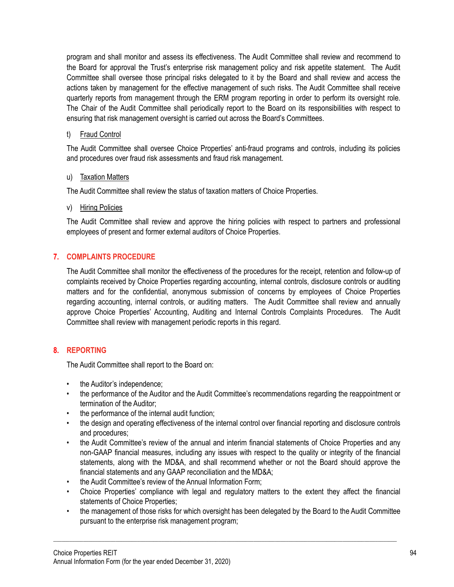program and shall monitor and assess its effectiveness. The Audit Committee shall review and recommend to the Board for approval the Trust's enterprise risk management policy and risk appetite statement. The Audit Committee shall oversee those principal risks delegated to it by the Board and shall review and access the actions taken by management for the effective management of such risks. The Audit Committee shall receive quarterly reports from management through the ERM program reporting in order to perform its oversight role. The Chair of the Audit Committee shall periodically report to the Board on its responsibilities with respect to ensuring that risk management oversight is carried out across the Board's Committees.

### t) Fraud Control

The Audit Committee shall oversee Choice Properties' anti-fraud programs and controls, including its policies and procedures over fraud risk assessments and fraud risk management.

## u) Taxation Matters

The Audit Committee shall review the status of taxation matters of Choice Properties.

## v) Hiring Policies

The Audit Committee shall review and approve the hiring policies with respect to partners and professional employees of present and former external auditors of Choice Properties.

# **7. COMPLAINTS PROCEDURE**

The Audit Committee shall monitor the effectiveness of the procedures for the receipt, retention and follow-up of complaints received by Choice Properties regarding accounting, internal controls, disclosure controls or auditing matters and for the confidential, anonymous submission of concerns by employees of Choice Properties regarding accounting, internal controls, or auditing matters. The Audit Committee shall review and annually approve Choice Properties' Accounting, Auditing and Internal Controls Complaints Procedures. The Audit Committee shall review with management periodic reports in this regard.

# **8. REPORTING**

The Audit Committee shall report to the Board on:

- the Auditor's independence;
- the performance of the Auditor and the Audit Committee's recommendations regarding the reappointment or termination of the Auditor;
- the performance of the internal audit function;
- the design and operating effectiveness of the internal control over financial reporting and disclosure controls and procedures;
- the Audit Committee's review of the annual and interim financial statements of Choice Properties and any non-GAAP financial measures, including any issues with respect to the quality or integrity of the financial statements, along with the MD&A, and shall recommend whether or not the Board should approve the financial statements and any GAAP reconciliation and the MD&A;
- the Audit Committee's review of the Annual Information Form;
- Choice Properties' compliance with legal and regulatory matters to the extent they affect the financial statements of Choice Properties;
- the management of those risks for which oversight has been delegated by the Board to the Audit Committee pursuant to the enterprise risk management program;